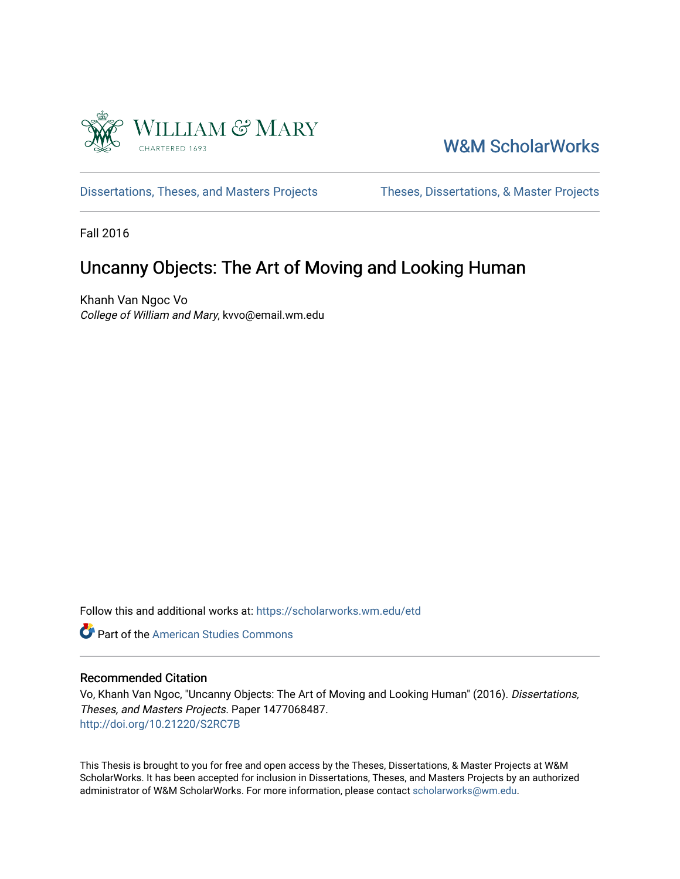

## [W&M ScholarWorks](https://scholarworks.wm.edu/)

[Dissertations, Theses, and Masters Projects](https://scholarworks.wm.edu/etd) Theses, Dissertations, & Master Projects

Fall 2016

## Uncanny Objects: The Art of Moving and Looking Human

Khanh Van Ngoc Vo College of William and Mary, kvvo@email.wm.edu

Follow this and additional works at: [https://scholarworks.wm.edu/etd](https://scholarworks.wm.edu/etd?utm_source=scholarworks.wm.edu%2Fetd%2F1477068487&utm_medium=PDF&utm_campaign=PDFCoverPages)



#### Recommended Citation

Vo, Khanh Van Ngoc, "Uncanny Objects: The Art of Moving and Looking Human" (2016). Dissertations, Theses, and Masters Projects. Paper 1477068487. <http://doi.org/10.21220/S2RC7B>

This Thesis is brought to you for free and open access by the Theses, Dissertations, & Master Projects at W&M ScholarWorks. It has been accepted for inclusion in Dissertations, Theses, and Masters Projects by an authorized administrator of W&M ScholarWorks. For more information, please contact [scholarworks@wm.edu.](mailto:scholarworks@wm.edu)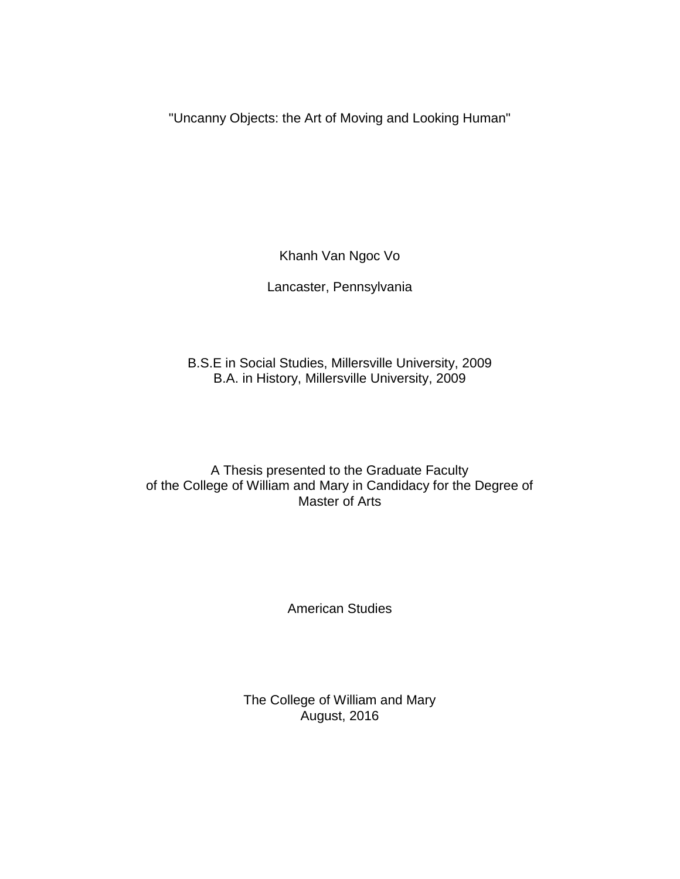"Uncanny Objects: the Art of Moving and Looking Human"

Khanh Van Ngoc Vo

Lancaster, Pennsylvania

B.S.E in Social Studies, Millersville University, 2009 B.A. in History, Millersville University, 2009

A Thesis presented to the Graduate Faculty of the College of William and Mary in Candidacy for the Degree of Master of Arts

American Studies

The College of William and Mary August, 2016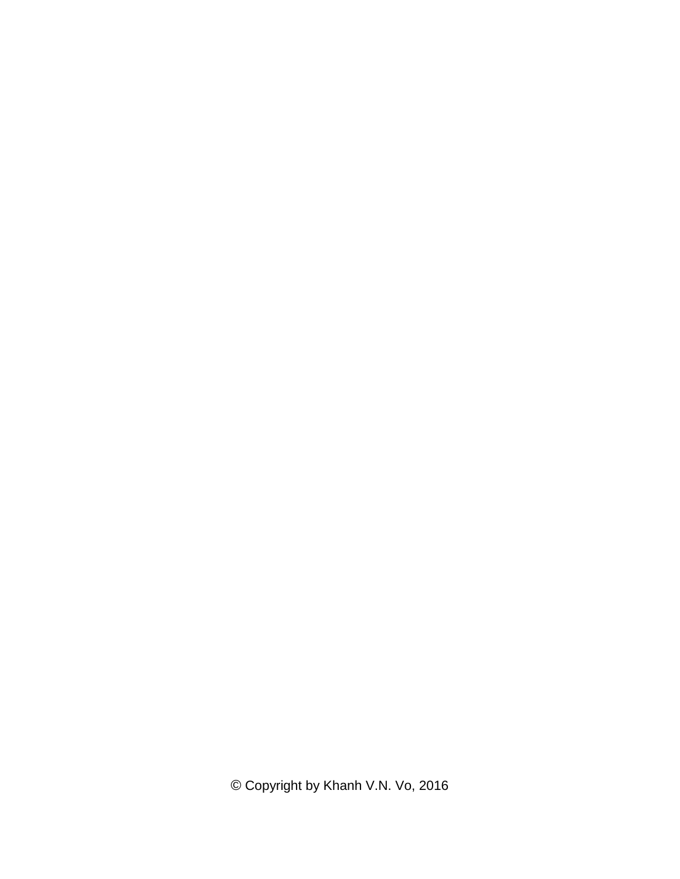© Copyright by Khanh V.N. Vo, 2016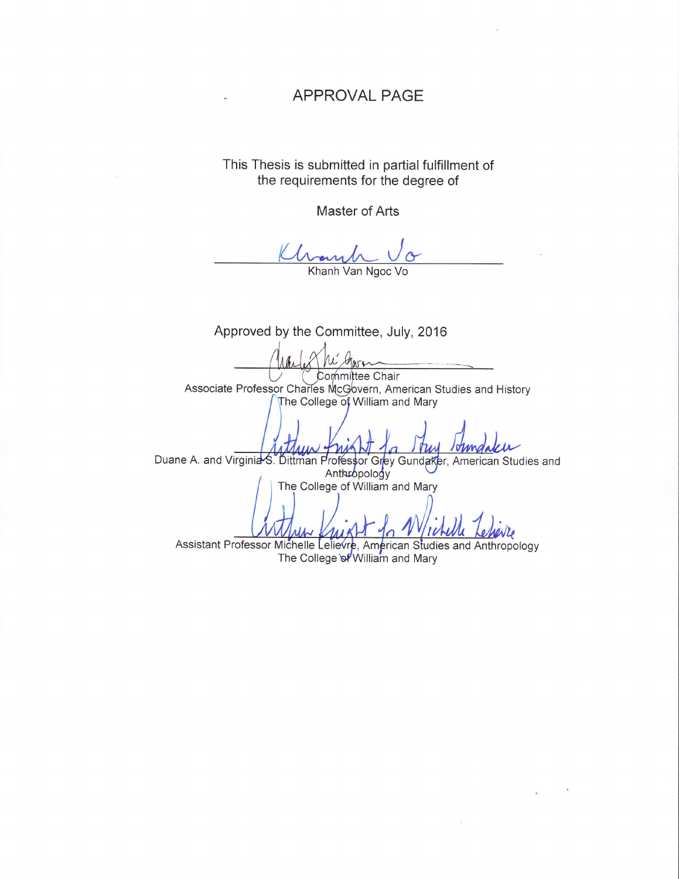#### APPROVAL PAGE

This Thesis is submitted in partial fulfillment of the requirements for the degree of

Master of Arts

Khanh Khanh Van Ngoc Vo

Approved by the Committee, July, 2016 Garn Committee Chair Associate Professor Charles McGovern, American Studies and History The College of William and Mary Duane A. and Virginia-S. Dittman Proféssor Grey Gundaker, American Studies and The College of William and Mary n Studies and Anthropology The College of William and Mary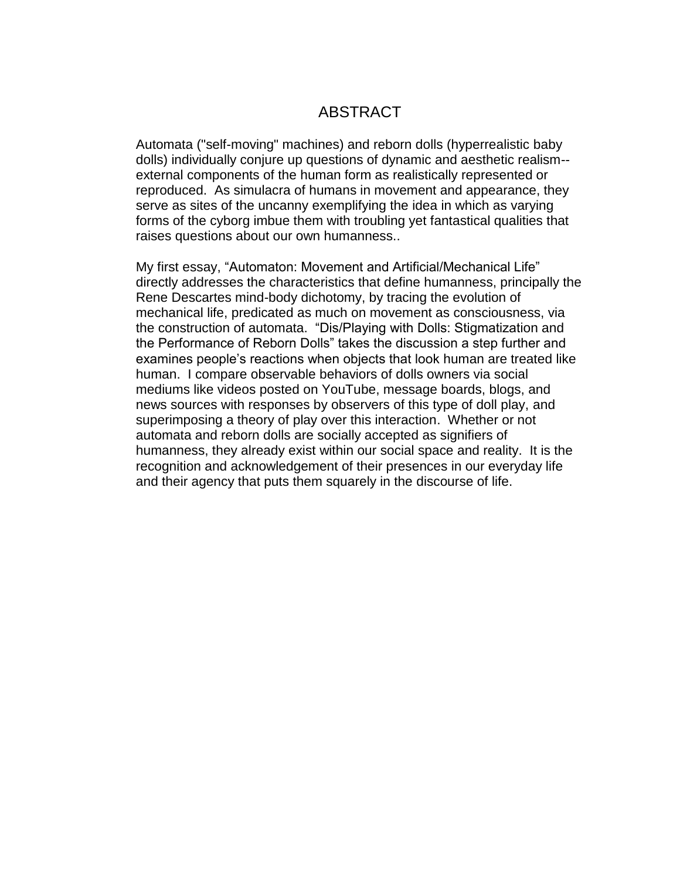### ABSTRACT

Automata ("self-moving" machines) and reborn dolls (hyperrealistic baby dolls) individually conjure up questions of dynamic and aesthetic realism- external components of the human form as realistically represented or reproduced. As simulacra of humans in movement and appearance, they serve as sites of the uncanny exemplifying the idea in which as varying forms of the cyborg imbue them with troubling yet fantastical qualities that raises questions about our own humanness..

My first essay, "Automaton: Movement and Artificial/Mechanical Life" directly addresses the characteristics that define humanness, principally the Rene Descartes mind-body dichotomy, by tracing the evolution of mechanical life, predicated as much on movement as consciousness, via the construction of automata. "Dis/Playing with Dolls: Stigmatization and the Performance of Reborn Dolls" takes the discussion a step further and examines people's reactions when objects that look human are treated like human. I compare observable behaviors of dolls owners via social mediums like videos posted on YouTube, message boards, blogs, and news sources with responses by observers of this type of doll play, and superimposing a theory of play over this interaction. Whether or not automata and reborn dolls are socially accepted as signifiers of humanness, they already exist within our social space and reality. It is the recognition and acknowledgement of their presences in our everyday life and their agency that puts them squarely in the discourse of life.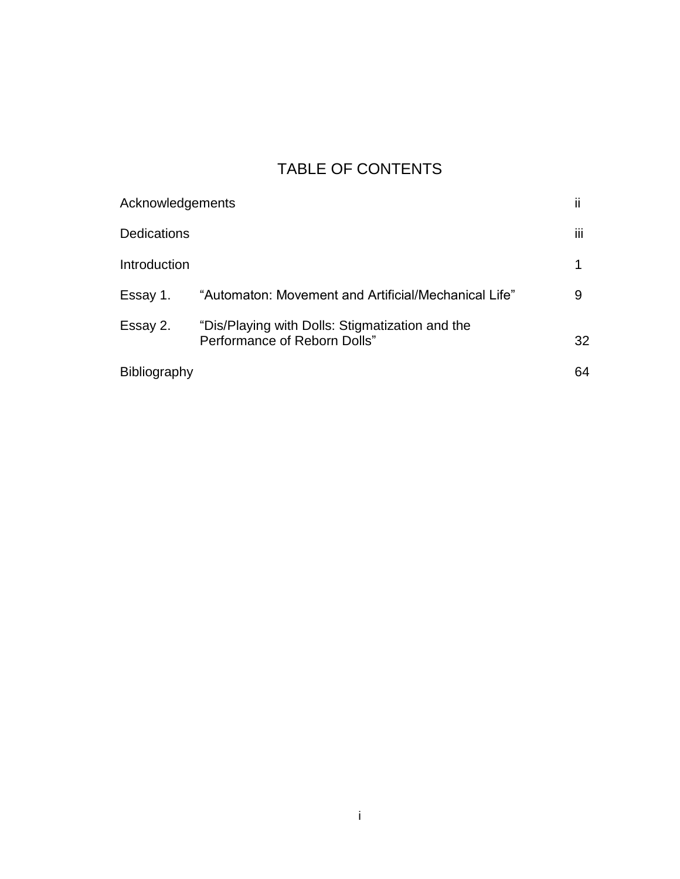# TABLE OF CONTENTS

| Acknowledgements    |                                                                                 | ii |
|---------------------|---------------------------------------------------------------------------------|----|
| <b>Dedications</b>  |                                                                                 | Ш  |
| Introduction        |                                                                                 |    |
| Essay 1.            | "Automaton: Movement and Artificial/Mechanical Life"                            | 9  |
| Essay 2.            | "Dis/Playing with Dolls: Stigmatization and the<br>Performance of Reborn Dolls" | 32 |
| <b>Bibliography</b> |                                                                                 | 64 |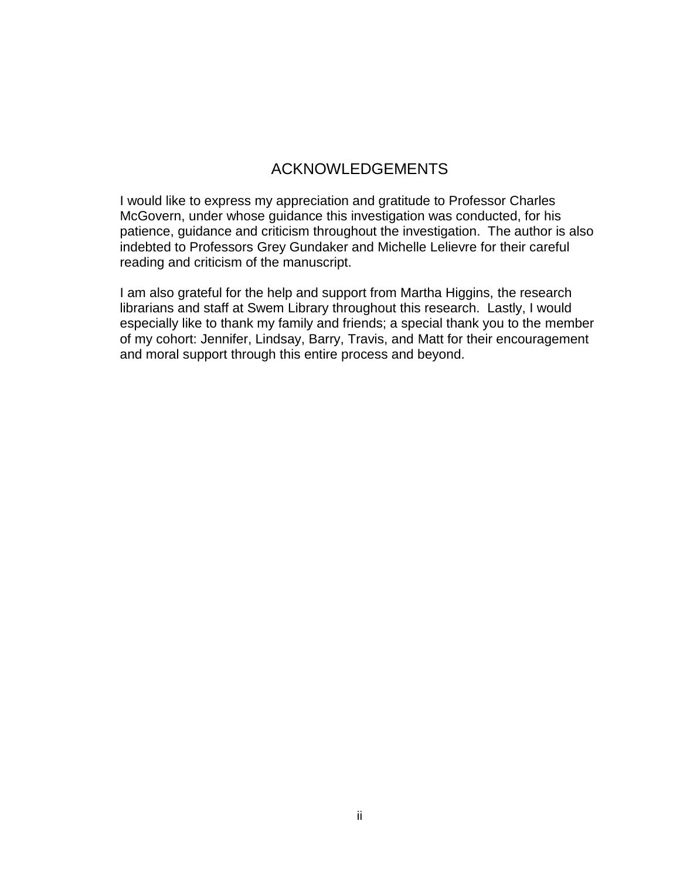### ACKNOWLEDGEMENTS

I would like to express my appreciation and gratitude to Professor Charles McGovern, under whose guidance this investigation was conducted, for his patience, guidance and criticism throughout the investigation. The author is also indebted to Professors Grey Gundaker and Michelle Lelievre for their careful reading and criticism of the manuscript.

I am also grateful for the help and support from Martha Higgins, the research librarians and staff at Swem Library throughout this research. Lastly, I would especially like to thank my family and friends; a special thank you to the member of my cohort: Jennifer, Lindsay, Barry, Travis, and Matt for their encouragement and moral support through this entire process and beyond.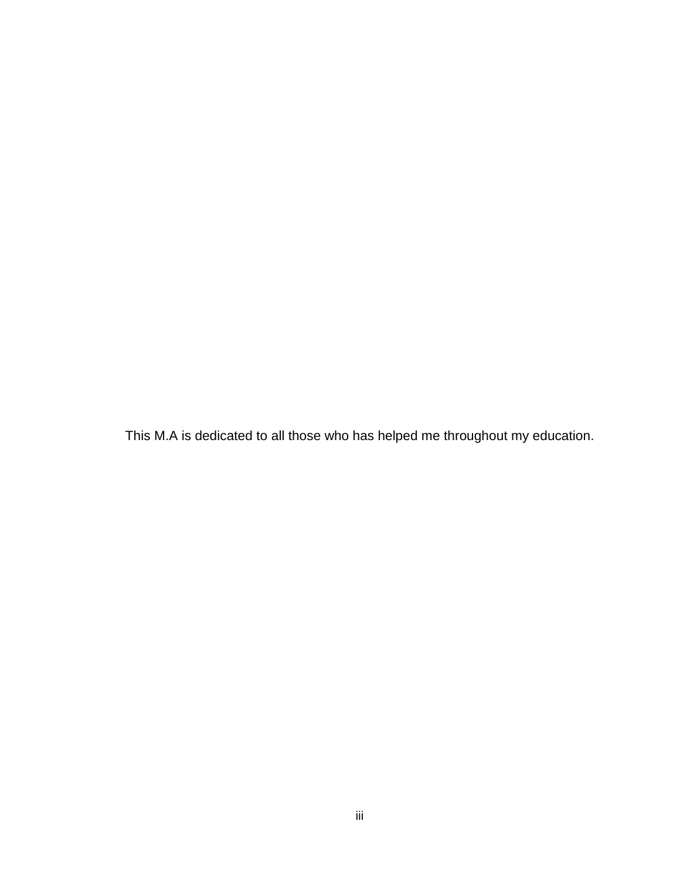This M.A is dedicated to all those who has helped me throughout my education.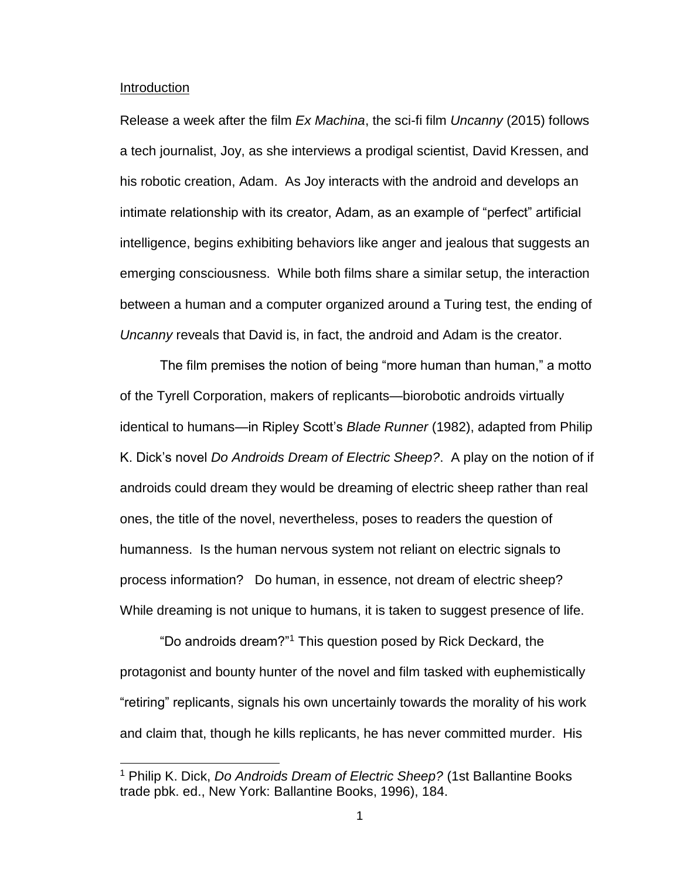#### Introduction

Release a week after the film *Ex Machina*, the sci-fi film *Uncanny* (2015) follows a tech journalist, Joy, as she interviews a prodigal scientist, David Kressen, and his robotic creation, Adam. As Joy interacts with the android and develops an intimate relationship with its creator, Adam, as an example of "perfect" artificial intelligence, begins exhibiting behaviors like anger and jealous that suggests an emerging consciousness. While both films share a similar setup, the interaction between a human and a computer organized around a Turing test, the ending of *Uncanny* reveals that David is, in fact, the android and Adam is the creator.

The film premises the notion of being "more human than human," a motto of the Tyrell Corporation, makers of replicants—biorobotic androids virtually identical to humans—in Ripley Scott's *Blade Runner* (1982), adapted from Philip K. Dick's novel *Do Androids Dream of Electric Sheep?*. A play on the notion of if androids could dream they would be dreaming of electric sheep rather than real ones, the title of the novel, nevertheless, poses to readers the question of humanness. Is the human nervous system not reliant on electric signals to process information? Do human, in essence, not dream of electric sheep? While dreaming is not unique to humans, it is taken to suggest presence of life.

"Do androids dream?"<sup>1</sup> This question posed by Rick Deckard, the protagonist and bounty hunter of the novel and film tasked with euphemistically "retiring" replicants, signals his own uncertainly towards the morality of his work and claim that, though he kills replicants, he has never committed murder. His

<sup>1</sup> Philip K. Dick, *Do Androids Dream of Electric Sheep?* (1st Ballantine Books trade pbk. ed., New York: Ballantine Books, 1996), 184.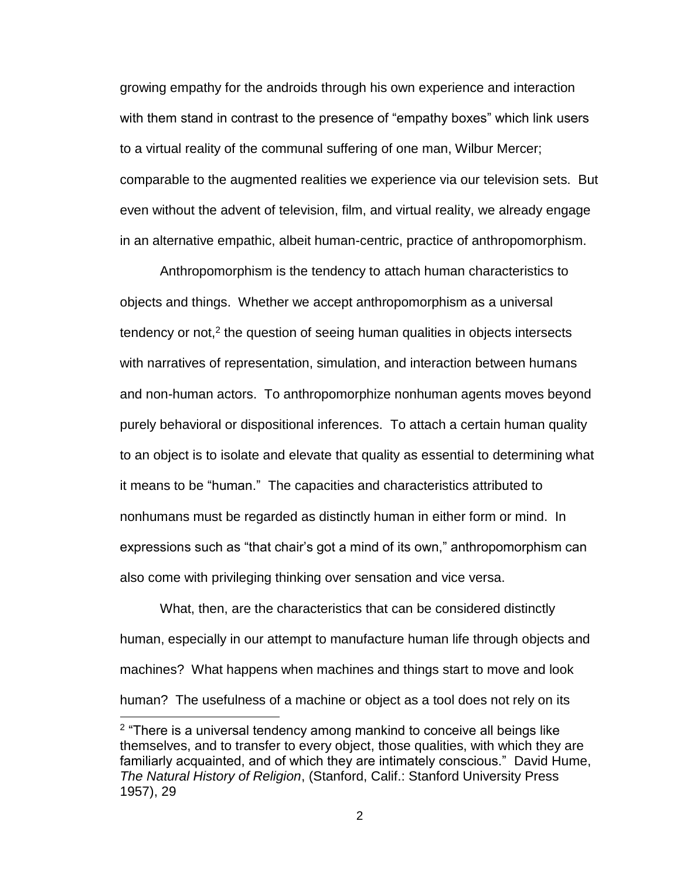growing empathy for the androids through his own experience and interaction with them stand in contrast to the presence of "empathy boxes" which link users to a virtual reality of the communal suffering of one man, Wilbur Mercer; comparable to the augmented realities we experience via our television sets. But even without the advent of television, film, and virtual reality, we already engage in an alternative empathic, albeit human-centric, practice of anthropomorphism.

Anthropomorphism is the tendency to attach human characteristics to objects and things. Whether we accept anthropomorphism as a universal tendency or not,<sup>2</sup> the question of seeing human qualities in objects intersects with narratives of representation, simulation, and interaction between humans and non-human actors. To anthropomorphize nonhuman agents moves beyond purely behavioral or dispositional inferences. To attach a certain human quality to an object is to isolate and elevate that quality as essential to determining what it means to be "human." The capacities and characteristics attributed to nonhumans must be regarded as distinctly human in either form or mind. In expressions such as "that chair's got a mind of its own," anthropomorphism can also come with privileging thinking over sensation and vice versa.

What, then, are the characteristics that can be considered distinctly human, especially in our attempt to manufacture human life through objects and machines? What happens when machines and things start to move and look human? The usefulness of a machine or object as a tool does not rely on its

<sup>&</sup>lt;sup>2</sup> "There is a universal tendency among mankind to conceive all beings like themselves, and to transfer to every object, those qualities, with which they are familiarly acquainted, and of which they are intimately conscious." David Hume, *The Natural History of Religion*, (Stanford, Calif.: Stanford University Press 1957), 29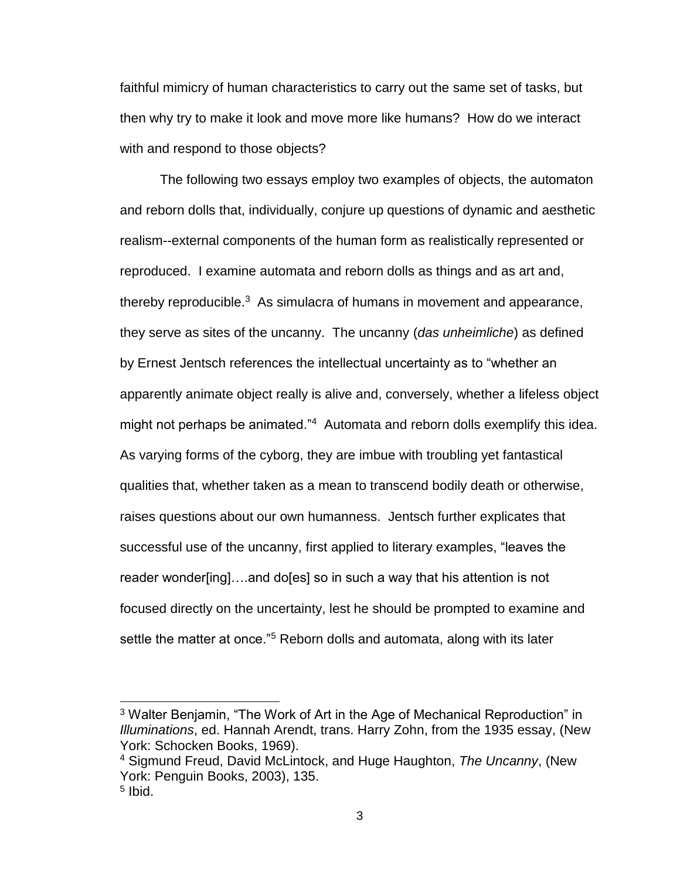faithful mimicry of human characteristics to carry out the same set of tasks, but then why try to make it look and move more like humans? How do we interact with and respond to those objects?

The following two essays employ two examples of objects, the automaton and reborn dolls that, individually, conjure up questions of dynamic and aesthetic realism--external components of the human form as realistically represented or reproduced. I examine automata and reborn dolls as things and as art and, thereby reproducible. $3$  As simulacra of humans in movement and appearance, they serve as sites of the uncanny. The uncanny (*das unheimliche*) as defined by Ernest Jentsch references the intellectual uncertainty as to "whether an apparently animate object really is alive and, conversely, whether a lifeless object might not perhaps be animated."<sup>4</sup> Automata and reborn dolls exemplify this idea. As varying forms of the cyborg, they are imbue with troubling yet fantastical qualities that, whether taken as a mean to transcend bodily death or otherwise, raises questions about our own humanness. Jentsch further explicates that successful use of the uncanny, first applied to literary examples, "leaves the reader wonder[ing]….and do[es] so in such a way that his attention is not focused directly on the uncertainty, lest he should be prompted to examine and settle the matter at once."<sup>5</sup> Reborn dolls and automata, along with its later

<sup>3</sup> Walter Benjamin, "The Work of Art in the Age of Mechanical Reproduction" in *Illuminations*, ed. Hannah Arendt, trans. Harry Zohn, from the 1935 essay, (New York: Schocken Books, 1969).

<sup>4</sup> Sigmund Freud, David McLintock, and Huge Haughton, *The Uncanny*, (New York: Penguin Books, 2003), 135.

<sup>&</sup>lt;sup>5</sup> Ibid.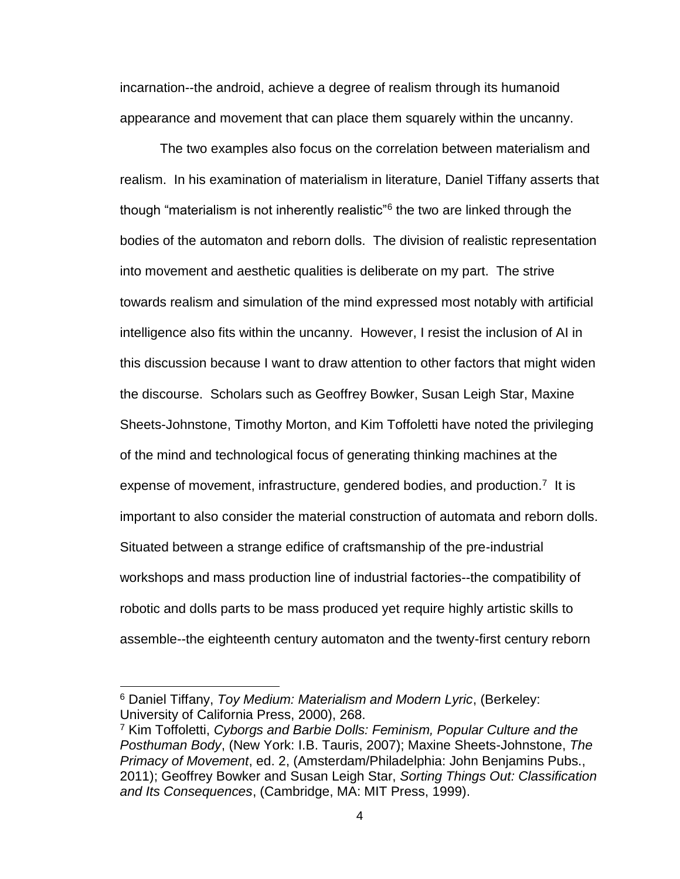incarnation--the android, achieve a degree of realism through its humanoid appearance and movement that can place them squarely within the uncanny.

The two examples also focus on the correlation between materialism and realism. In his examination of materialism in literature, Daniel Tiffany asserts that though "materialism is not inherently realistic"<sup>6</sup> the two are linked through the bodies of the automaton and reborn dolls. The division of realistic representation into movement and aesthetic qualities is deliberate on my part. The strive towards realism and simulation of the mind expressed most notably with artificial intelligence also fits within the uncanny. However, I resist the inclusion of AI in this discussion because I want to draw attention to other factors that might widen the discourse. Scholars such as Geoffrey Bowker, Susan Leigh Star, Maxine Sheets-Johnstone, Timothy Morton, and Kim Toffoletti have noted the privileging of the mind and technological focus of generating thinking machines at the expense of movement, infrastructure, gendered bodies, and production.<sup>7</sup> It is important to also consider the material construction of automata and reborn dolls. Situated between a strange edifice of craftsmanship of the pre-industrial workshops and mass production line of industrial factories--the compatibility of robotic and dolls parts to be mass produced yet require highly artistic skills to assemble--the eighteenth century automaton and the twenty-first century reborn

<sup>6</sup> Daniel Tiffany, *Toy Medium: Materialism and Modern Lyric*, (Berkeley: University of California Press, 2000), 268.

<sup>7</sup> Kim Toffoletti, *Cyborgs and Barbie Dolls: Feminism, Popular Culture and the Posthuman Body*, (New York: I.B. Tauris, 2007); Maxine Sheets-Johnstone, *The Primacy of Movement*, ed. 2, (Amsterdam/Philadelphia: John Benjamins Pubs., 2011); Geoffrey Bowker and Susan Leigh Star, *Sorting Things Out: Classification and Its Consequences*, (Cambridge, MA: MIT Press, 1999).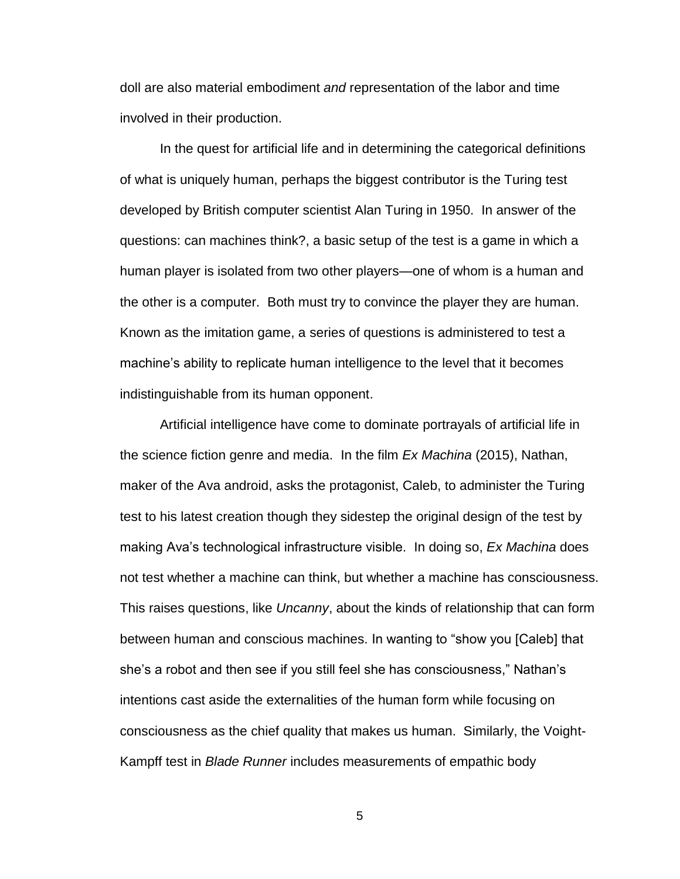doll are also material embodiment *and* representation of the labor and time involved in their production.

In the quest for artificial life and in determining the categorical definitions of what is uniquely human, perhaps the biggest contributor is the Turing test developed by British computer scientist Alan Turing in 1950. In answer of the questions: can machines think?, a basic setup of the test is a game in which a human player is isolated from two other players—one of whom is a human and the other is a computer. Both must try to convince the player they are human. Known as the imitation game, a series of questions is administered to test a machine's ability to replicate human intelligence to the level that it becomes indistinguishable from its human opponent.

Artificial intelligence have come to dominate portrayals of artificial life in the science fiction genre and media. In the film *Ex Machina* (2015), Nathan, maker of the Ava android, asks the protagonist, Caleb, to administer the Turing test to his latest creation though they sidestep the original design of the test by making Ava's technological infrastructure visible. In doing so, *Ex Machina* does not test whether a machine can think, but whether a machine has consciousness. This raises questions, like *Uncanny*, about the kinds of relationship that can form between human and conscious machines. In wanting to "show you [Caleb] that she's a robot and then see if you still feel she has consciousness," Nathan's intentions cast aside the externalities of the human form while focusing on consciousness as the chief quality that makes us human. Similarly, the Voight-Kampff test in *Blade Runner* includes measurements of empathic body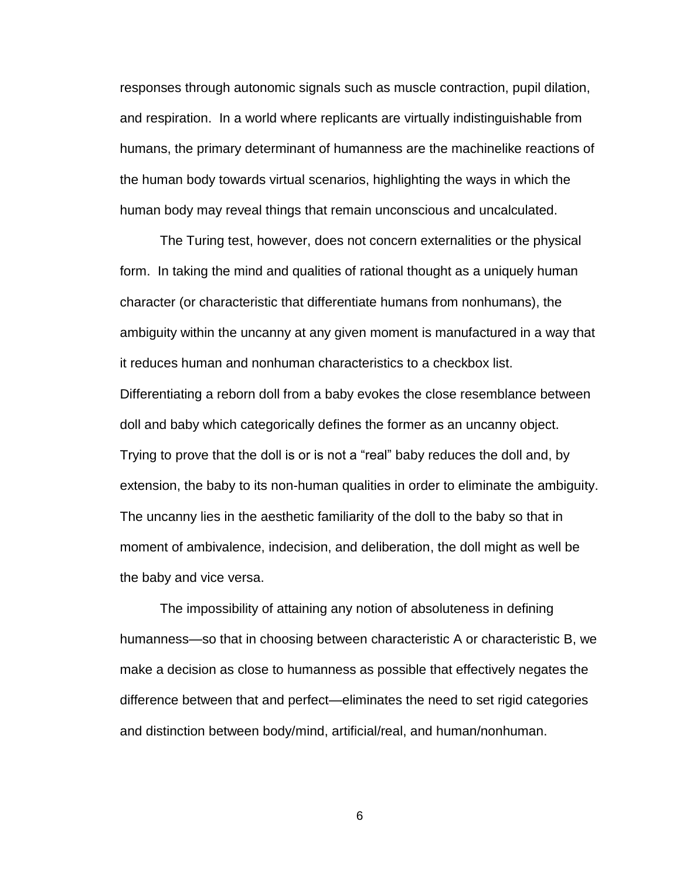responses through autonomic signals such as muscle contraction, pupil dilation, and respiration. In a world where replicants are virtually indistinguishable from humans, the primary determinant of humanness are the machinelike reactions of the human body towards virtual scenarios, highlighting the ways in which the human body may reveal things that remain unconscious and uncalculated.

The Turing test, however, does not concern externalities or the physical form. In taking the mind and qualities of rational thought as a uniquely human character (or characteristic that differentiate humans from nonhumans), the ambiguity within the uncanny at any given moment is manufactured in a way that it reduces human and nonhuman characteristics to a checkbox list. Differentiating a reborn doll from a baby evokes the close resemblance between doll and baby which categorically defines the former as an uncanny object. Trying to prove that the doll is or is not a "real" baby reduces the doll and, by extension, the baby to its non-human qualities in order to eliminate the ambiguity. The uncanny lies in the aesthetic familiarity of the doll to the baby so that in moment of ambivalence, indecision, and deliberation, the doll might as well be the baby and vice versa.

The impossibility of attaining any notion of absoluteness in defining humanness—so that in choosing between characteristic A or characteristic B, we make a decision as close to humanness as possible that effectively negates the difference between that and perfect—eliminates the need to set rigid categories and distinction between body/mind, artificial/real, and human/nonhuman.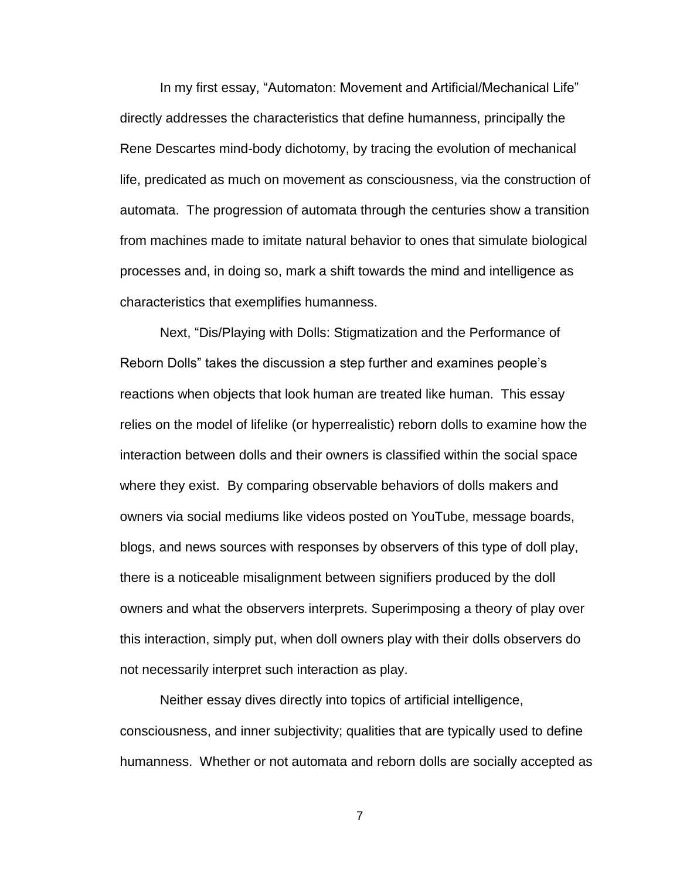In my first essay, "Automaton: Movement and Artificial/Mechanical Life" directly addresses the characteristics that define humanness, principally the Rene Descartes mind-body dichotomy, by tracing the evolution of mechanical life, predicated as much on movement as consciousness, via the construction of automata. The progression of automata through the centuries show a transition from machines made to imitate natural behavior to ones that simulate biological processes and, in doing so, mark a shift towards the mind and intelligence as characteristics that exemplifies humanness.

Next, "Dis/Playing with Dolls: Stigmatization and the Performance of Reborn Dolls" takes the discussion a step further and examines people's reactions when objects that look human are treated like human. This essay relies on the model of lifelike (or hyperrealistic) reborn dolls to examine how the interaction between dolls and their owners is classified within the social space where they exist. By comparing observable behaviors of dolls makers and owners via social mediums like videos posted on YouTube, message boards, blogs, and news sources with responses by observers of this type of doll play, there is a noticeable misalignment between signifiers produced by the doll owners and what the observers interprets. Superimposing a theory of play over this interaction, simply put, when doll owners play with their dolls observers do not necessarily interpret such interaction as play.

Neither essay dives directly into topics of artificial intelligence, consciousness, and inner subjectivity; qualities that are typically used to define humanness. Whether or not automata and reborn dolls are socially accepted as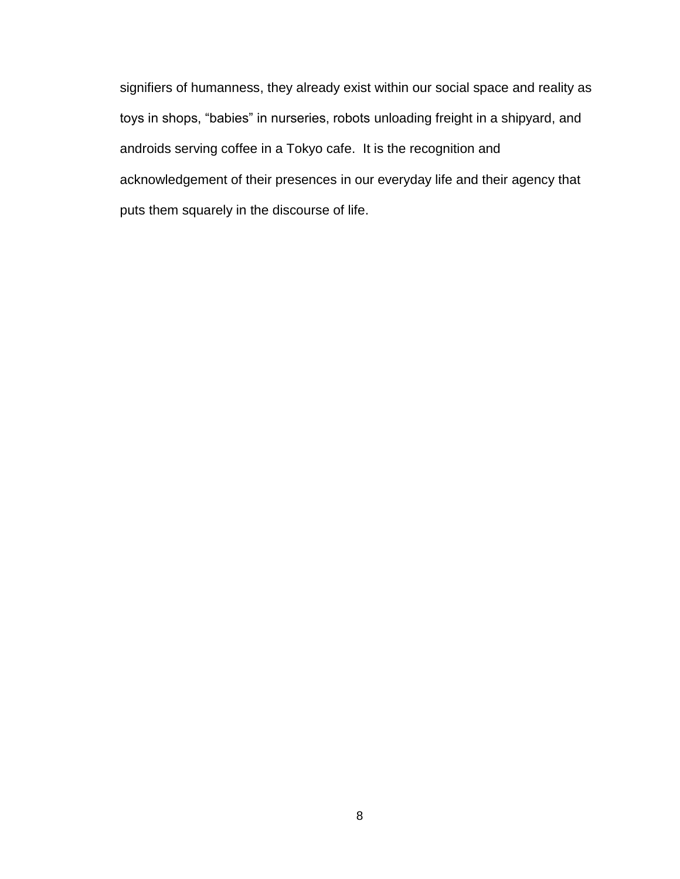signifiers of humanness, they already exist within our social space and reality as toys in shops, "babies" in nurseries, robots unloading freight in a shipyard, and androids serving coffee in a Tokyo cafe. It is the recognition and acknowledgement of their presences in our everyday life and their agency that puts them squarely in the discourse of life.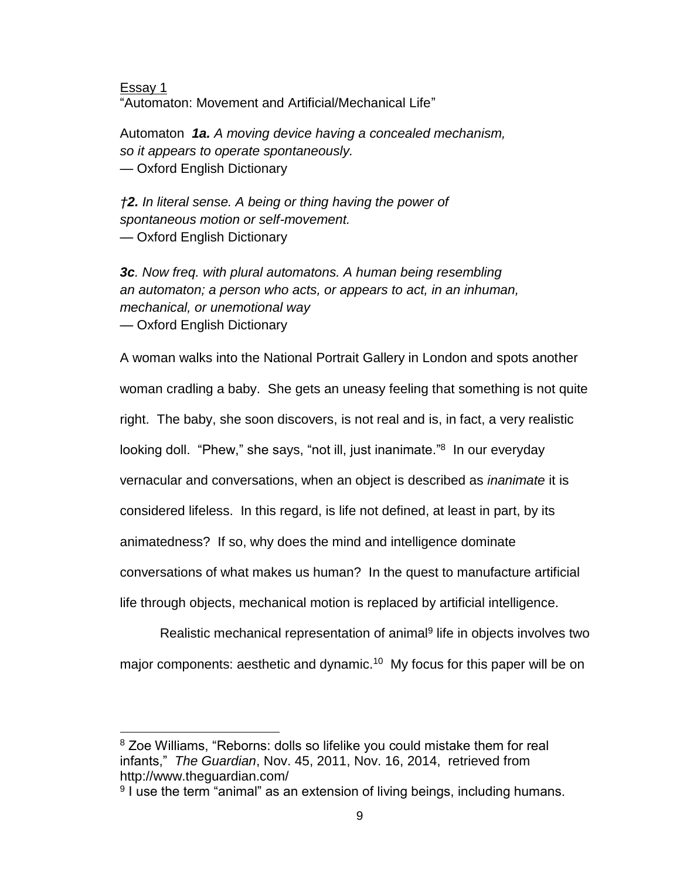Essay 1 "Automaton: Movement and Artificial/Mechanical Life"

Automaton *1a. A moving device having a concealed mechanism, so it appears to operate spontaneously.* — Oxford English Dictionary

*†2. In literal sense. A being or thing having the power of spontaneous motion or self-movement.* — Oxford English Dictionary

*3c. Now freq. with plural automatons. A human being resembling an automaton; a person who acts, or appears to act, in an inhuman, mechanical, or unemotional way* — Oxford English Dictionary

A woman walks into the National Portrait Gallery in London and spots another woman cradling a baby. She gets an uneasy feeling that something is not quite right. The baby, she soon discovers, is not real and is, in fact, a very realistic looking doll. "Phew," she says, "not ill, just inanimate."<sup>8</sup> In our everyday vernacular and conversations, when an object is described as *inanimate* it is considered lifeless. In this regard, is life not defined, at least in part, by its animatedness? If so, why does the mind and intelligence dominate conversations of what makes us human? In the quest to manufacture artificial life through objects, mechanical motion is replaced by artificial intelligence.

Realistic mechanical representation of animal<sup>9</sup> life in objects involves two major components: aesthetic and dynamic.<sup>10</sup> My focus for this paper will be on

 $\overline{a}$ <sup>8</sup> Zoe Williams, "Reborns: dolls so lifelike you could mistake them for real infants," *The Guardian*, Nov. 45, 2011, Nov. 16, 2014, retrieved from http://www.theguardian.com/

<sup>&</sup>lt;sup>9</sup> I use the term "animal" as an extension of living beings, including humans.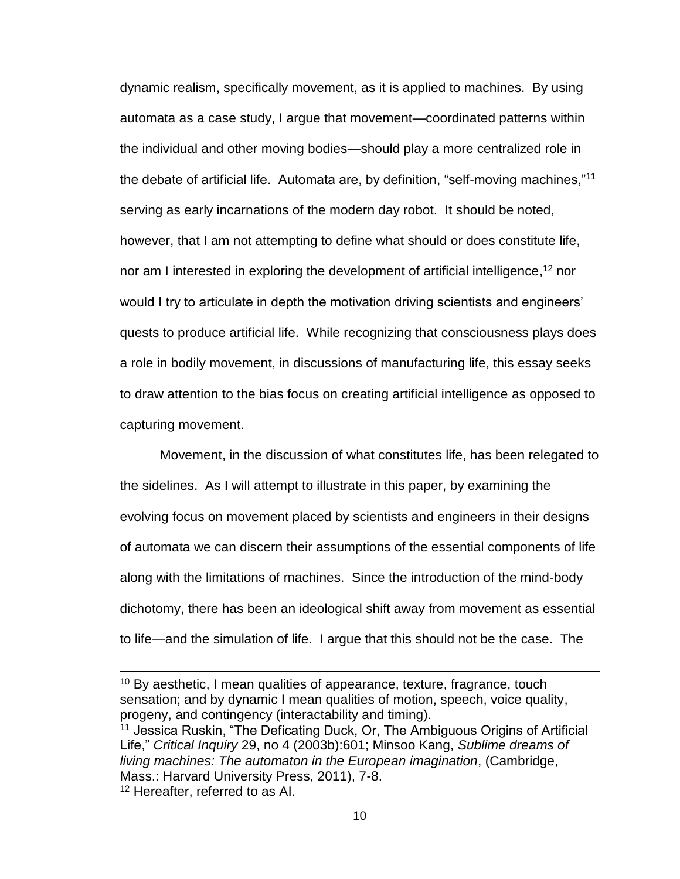dynamic realism, specifically movement, as it is applied to machines. By using automata as a case study, I argue that movement—coordinated patterns within the individual and other moving bodies—should play a more centralized role in the debate of artificial life. Automata are, by definition, "self-moving machines,"<sup>11</sup> serving as early incarnations of the modern day robot. It should be noted, however, that I am not attempting to define what should or does constitute life, nor am I interested in exploring the development of artificial intelligence,<sup>12</sup> nor would I try to articulate in depth the motivation driving scientists and engineers' quests to produce artificial life. While recognizing that consciousness plays does a role in bodily movement, in discussions of manufacturing life, this essay seeks to draw attention to the bias focus on creating artificial intelligence as opposed to capturing movement.

Movement, in the discussion of what constitutes life, has been relegated to the sidelines. As I will attempt to illustrate in this paper, by examining the evolving focus on movement placed by scientists and engineers in their designs of automata we can discern their assumptions of the essential components of life along with the limitations of machines. Since the introduction of the mind-body dichotomy, there has been an ideological shift away from movement as essential to life—and the simulation of life. I argue that this should not be the case. The

 $\overline{a}$ 

<sup>11</sup> Jessica Ruskin, "The Deficating Duck, Or, The Ambiguous Origins of Artificial Life," *Critical Inquiry* 29, no 4 (2003b):601; Minsoo Kang, *Sublime dreams of living machines: The automaton in the European imagination*, (Cambridge, Mass.: Harvard University Press, 2011), 7-8. <sup>12</sup> Hereafter, referred to as AI.

<sup>&</sup>lt;sup>10</sup> By aesthetic, I mean qualities of appearance, texture, fragrance, touch sensation; and by dynamic I mean qualities of motion, speech, voice quality, progeny, and contingency (interactability and timing).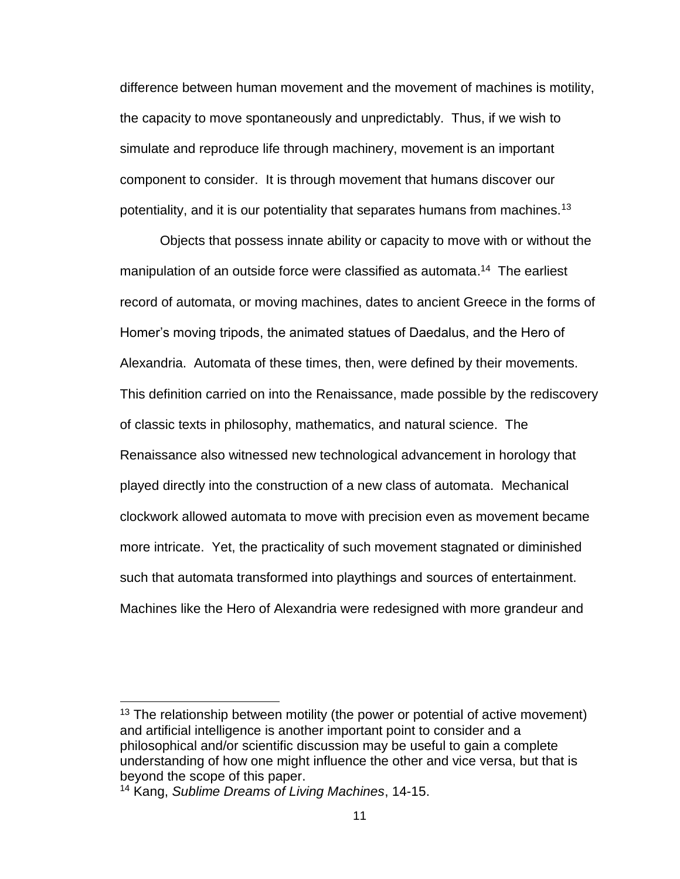difference between human movement and the movement of machines is motility, the capacity to move spontaneously and unpredictably. Thus, if we wish to simulate and reproduce life through machinery, movement is an important component to consider. It is through movement that humans discover our potentiality, and it is our potentiality that separates humans from machines.<sup>13</sup>

Objects that possess innate ability or capacity to move with or without the manipulation of an outside force were classified as automata.<sup>14</sup> The earliest record of automata, or moving machines, dates to ancient Greece in the forms of Homer's moving tripods, the animated statues of Daedalus, and the Hero of Alexandria. Automata of these times, then, were defined by their movements. This definition carried on into the Renaissance, made possible by the rediscovery of classic texts in philosophy, mathematics, and natural science. The Renaissance also witnessed new technological advancement in horology that played directly into the construction of a new class of automata. Mechanical clockwork allowed automata to move with precision even as movement became more intricate. Yet, the practicality of such movement stagnated or diminished such that automata transformed into playthings and sources of entertainment. Machines like the Hero of Alexandria were redesigned with more grandeur and

 $13$  The relationship between motility (the power or potential of active movement) and artificial intelligence is another important point to consider and a philosophical and/or scientific discussion may be useful to gain a complete understanding of how one might influence the other and vice versa, but that is beyond the scope of this paper.

<sup>14</sup> Kang, *Sublime Dreams of Living Machines*, 14-15.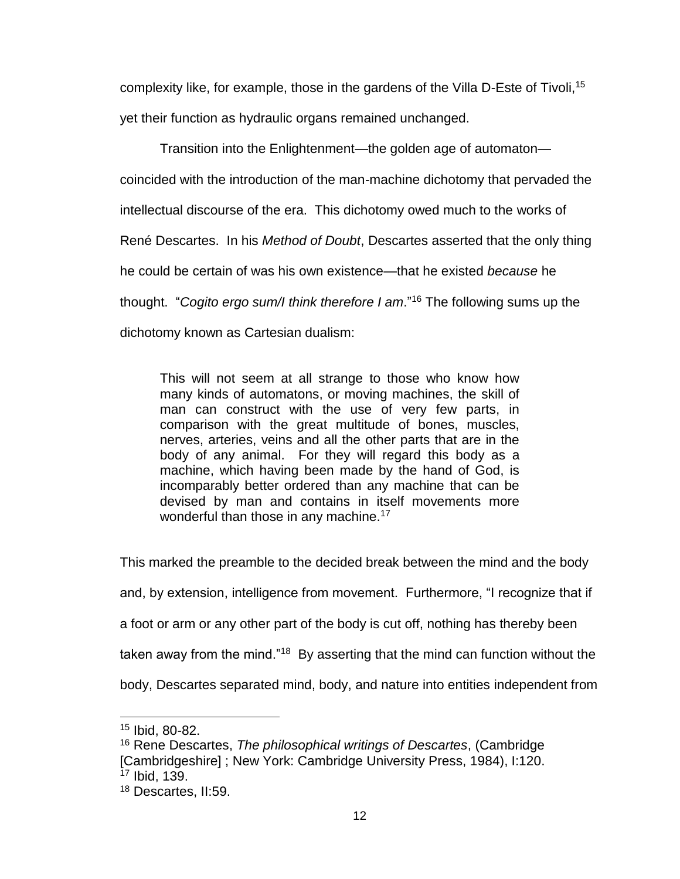complexity like, for example, those in the gardens of the Villa D-Este of Tivoli, 15 yet their function as hydraulic organs remained unchanged.

Transition into the Enlightenment—the golden age of automaton coincided with the introduction of the man-machine dichotomy that pervaded the intellectual discourse of the era. This dichotomy owed much to the works of René Descartes. In his *Method of Doubt*, Descartes asserted that the only thing he could be certain of was his own existence—that he existed *because* he thought. "*Cogito ergo sum/I think therefore I am*." <sup>16</sup> The following sums up the dichotomy known as Cartesian dualism:

This will not seem at all strange to those who know how many kinds of automatons, or moving machines, the skill of man can construct with the use of very few parts, in comparison with the great multitude of bones, muscles, nerves, arteries, veins and all the other parts that are in the body of any animal. For they will regard this body as a machine, which having been made by the hand of God, is incomparably better ordered than any machine that can be devised by man and contains in itself movements more wonderful than those in any machine.<sup>17</sup>

This marked the preamble to the decided break between the mind and the body and, by extension, intelligence from movement. Furthermore, "I recognize that if a foot or arm or any other part of the body is cut off, nothing has thereby been taken away from the mind."<sup>18</sup> By asserting that the mind can function without the body, Descartes separated mind, body, and nature into entities independent from

<sup>15</sup> Ibid, 80-82.

<sup>16</sup> Rene Descartes, *The philosophical writings of Descartes*, (Cambridge [Cambridgeshire] ; New York: Cambridge University Press, 1984), I:120. <sup>17</sup> Ibid, 139.

<sup>18</sup> Descartes, II:59.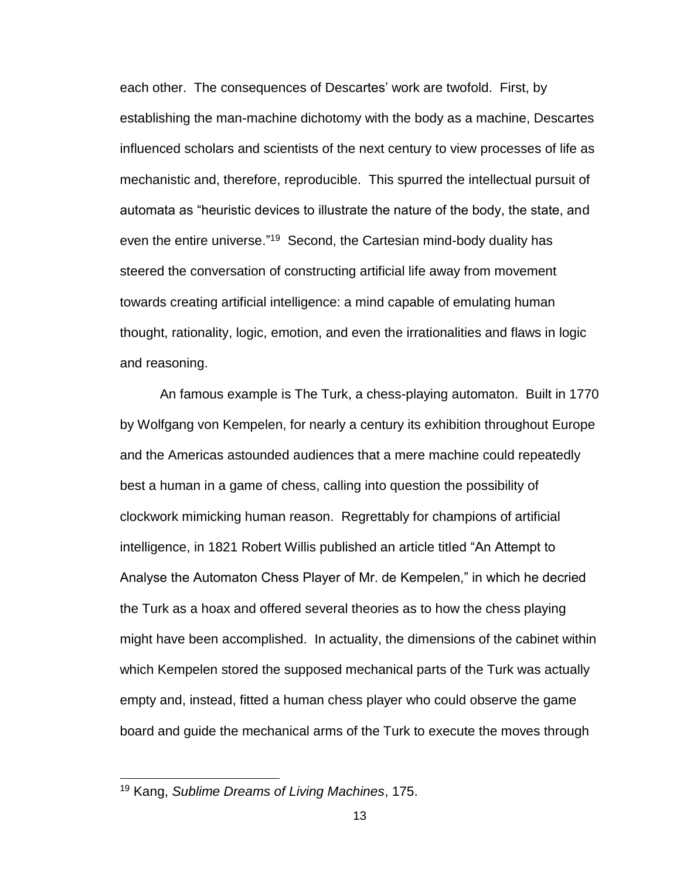each other. The consequences of Descartes' work are twofold. First, by establishing the man-machine dichotomy with the body as a machine, Descartes influenced scholars and scientists of the next century to view processes of life as mechanistic and, therefore, reproducible. This spurred the intellectual pursuit of automata as "heuristic devices to illustrate the nature of the body, the state, and even the entire universe."<sup>19</sup> Second, the Cartesian mind-body duality has steered the conversation of constructing artificial life away from movement towards creating artificial intelligence: a mind capable of emulating human thought, rationality, logic, emotion, and even the irrationalities and flaws in logic and reasoning.

An famous example is The Turk, a chess-playing automaton. Built in 1770 by Wolfgang von Kempelen, for nearly a century its exhibition throughout Europe and the Americas astounded audiences that a mere machine could repeatedly best a human in a game of chess, calling into question the possibility of clockwork mimicking human reason. Regrettably for champions of artificial intelligence, in 1821 Robert Willis published an article titled "An Attempt to Analyse the Automaton Chess Player of Mr. de Kempelen," in which he decried the Turk as a hoax and offered several theories as to how the chess playing might have been accomplished. In actuality, the dimensions of the cabinet within which Kempelen stored the supposed mechanical parts of the Turk was actually empty and, instead, fitted a human chess player who could observe the game board and guide the mechanical arms of the Turk to execute the moves through

<sup>19</sup> Kang, *Sublime Dreams of Living Machines*, 175.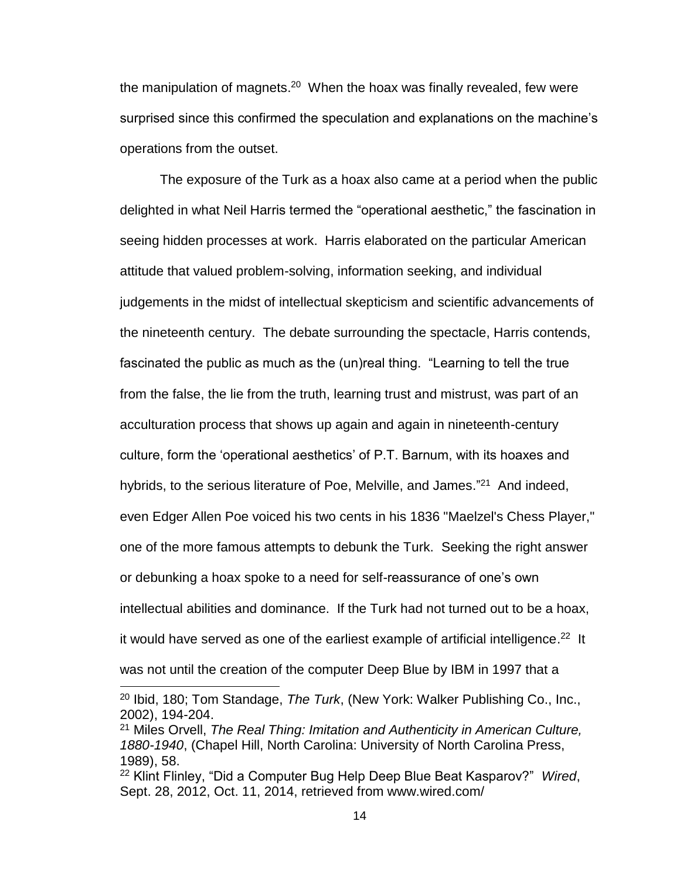the manipulation of magnets.<sup>20</sup> When the hoax was finally revealed, few were surprised since this confirmed the speculation and explanations on the machine's operations from the outset.

The exposure of the Turk as a hoax also came at a period when the public delighted in what Neil Harris termed the "operational aesthetic," the fascination in seeing hidden processes at work. Harris elaborated on the particular American attitude that valued problem-solving, information seeking, and individual judgements in the midst of intellectual skepticism and scientific advancements of the nineteenth century. The debate surrounding the spectacle, Harris contends, fascinated the public as much as the (un)real thing. "Learning to tell the true from the false, the lie from the truth, learning trust and mistrust, was part of an acculturation process that shows up again and again in nineteenth-century culture, form the 'operational aesthetics' of P.T. Barnum, with its hoaxes and hybrids, to the serious literature of Poe, Melville, and James."<sup>21</sup> And indeed, even Edger Allen Poe voiced his two cents in his 1836 "Maelzel's Chess Player," one of the more famous attempts to debunk the Turk. Seeking the right answer or debunking a hoax spoke to a need for self-reassurance of one's own intellectual abilities and dominance. If the Turk had not turned out to be a hoax, it would have served as one of the earliest example of artificial intelligence.<sup>22</sup> It was not until the creation of the computer Deep Blue by IBM in 1997 that a

<sup>20</sup> Ibid, 180; Tom Standage, *The Turk*, (New York: Walker Publishing Co., Inc., 2002), 194-204.

<sup>21</sup> Miles Orvell, *The Real Thing: Imitation and Authenticity in American Culture, 1880-1940*, (Chapel Hill, North Carolina: University of North Carolina Press, 1989), 58.

<sup>22</sup> Klint Flinley, "Did a Computer Bug Help Deep Blue Beat Kasparov?" *Wired*, Sept. 28, 2012, Oct. 11, 2014, retrieved from www.wired.com/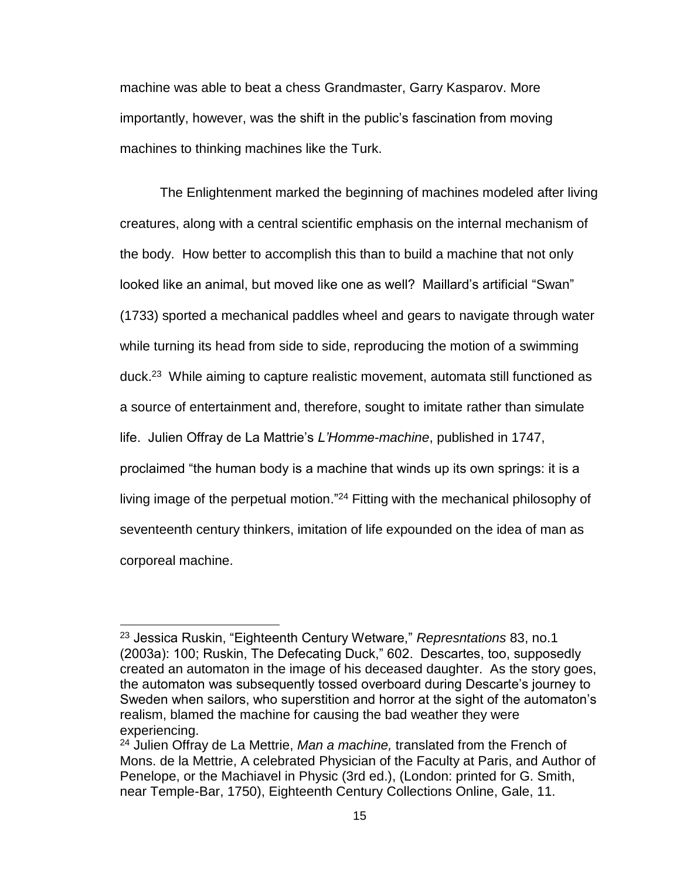machine was able to beat a chess Grandmaster, Garry Kasparov. More importantly, however, was the shift in the public's fascination from moving machines to thinking machines like the Turk.

The Enlightenment marked the beginning of machines modeled after living creatures, along with a central scientific emphasis on the internal mechanism of the body. How better to accomplish this than to build a machine that not only looked like an animal, but moved like one as well? Maillard's artificial "Swan" (1733) sported a mechanical paddles wheel and gears to navigate through water while turning its head from side to side, reproducing the motion of a swimming duck.<sup>23</sup> While aiming to capture realistic movement, automata still functioned as a source of entertainment and, therefore, sought to imitate rather than simulate life. Julien Offray de La Mattrie's *L'Homme-machine*, published in 1747, proclaimed "the human body is a machine that winds up its own springs: it is a living image of the perpetual motion."<sup>24</sup> Fitting with the mechanical philosophy of seventeenth century thinkers, imitation of life expounded on the idea of man as corporeal machine.

<sup>23</sup> Jessica Ruskin, "Eighteenth Century Wetware," *Represntations* 83, no.1 (2003a): 100; Ruskin, The Defecating Duck," 602. Descartes, too, supposedly created an automaton in the image of his deceased daughter. As the story goes, the automaton was subsequently tossed overboard during Descarte's journey to Sweden when sailors, who superstition and horror at the sight of the automaton's realism, blamed the machine for causing the bad weather they were experiencing.

<sup>24</sup> Julien Offray de La Mettrie, *Man a machine,* translated from the French of Mons. de la Mettrie, A celebrated Physician of the Faculty at Paris, and Author of Penelope, or the Machiavel in Physic (3rd ed.), (London: printed for G. Smith, near Temple-Bar, 1750), Eighteenth Century Collections Online, Gale, 11.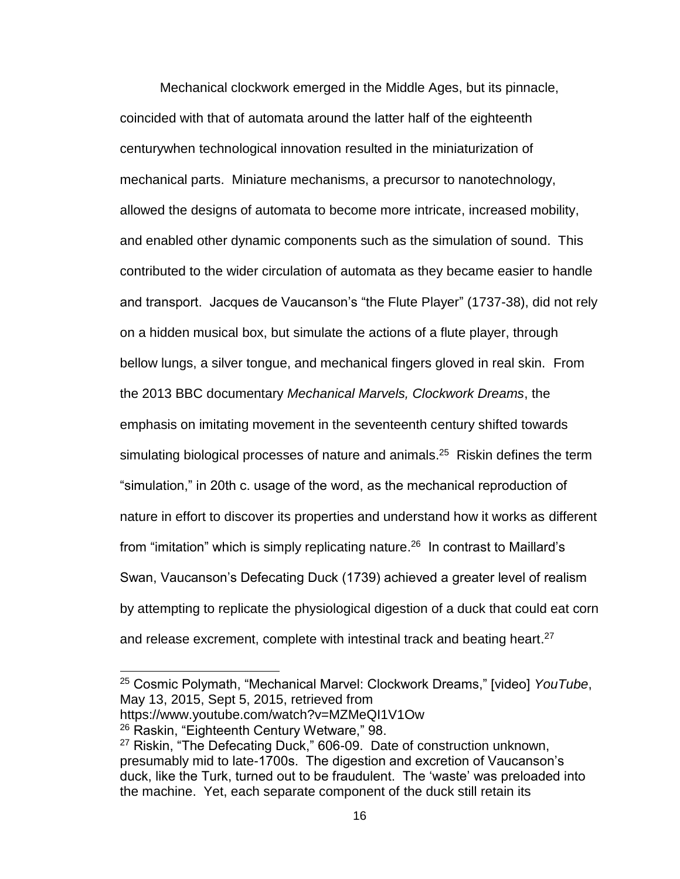Mechanical clockwork emerged in the Middle Ages, but its pinnacle, coincided with that of automata around the latter half of the eighteenth centurywhen technological innovation resulted in the miniaturization of mechanical parts. Miniature mechanisms, a precursor to nanotechnology, allowed the designs of automata to become more intricate, increased mobility, and enabled other dynamic components such as the simulation of sound. This contributed to the wider circulation of automata as they became easier to handle and transport. Jacques de Vaucanson's "the Flute Player" (1737-38), did not rely on a hidden musical box, but simulate the actions of a flute player, through bellow lungs, a silver tongue, and mechanical fingers gloved in real skin. From the 2013 BBC documentary *Mechanical Marvels, Clockwork Dreams*, the emphasis on imitating movement in the seventeenth century shifted towards simulating biological processes of nature and animals.<sup>25</sup> Riskin defines the term "simulation," in 20th c. usage of the word, as the mechanical reproduction of nature in effort to discover its properties and understand how it works as different from "imitation" which is simply replicating nature.<sup>26</sup> In contrast to Maillard's Swan, Vaucanson's Defecating Duck (1739) achieved a greater level of realism by attempting to replicate the physiological digestion of a duck that could eat corn and release excrement, complete with intestinal track and beating heart.<sup>27</sup>

https://www.youtube.com/watch?v=MZMeQI1V1Ow

<sup>25</sup> Cosmic Polymath, "Mechanical Marvel: Clockwork Dreams," [video] *YouTube*, May 13, 2015, Sept 5, 2015, retrieved from

<sup>26</sup> Raskin, "Eighteenth Century Wetware," 98.

<sup>27</sup> Riskin, "The Defecating Duck," 606-09. Date of construction unknown, presumably mid to late-1700s. The digestion and excretion of Vaucanson's duck, like the Turk, turned out to be fraudulent. The 'waste' was preloaded into the machine. Yet, each separate component of the duck still retain its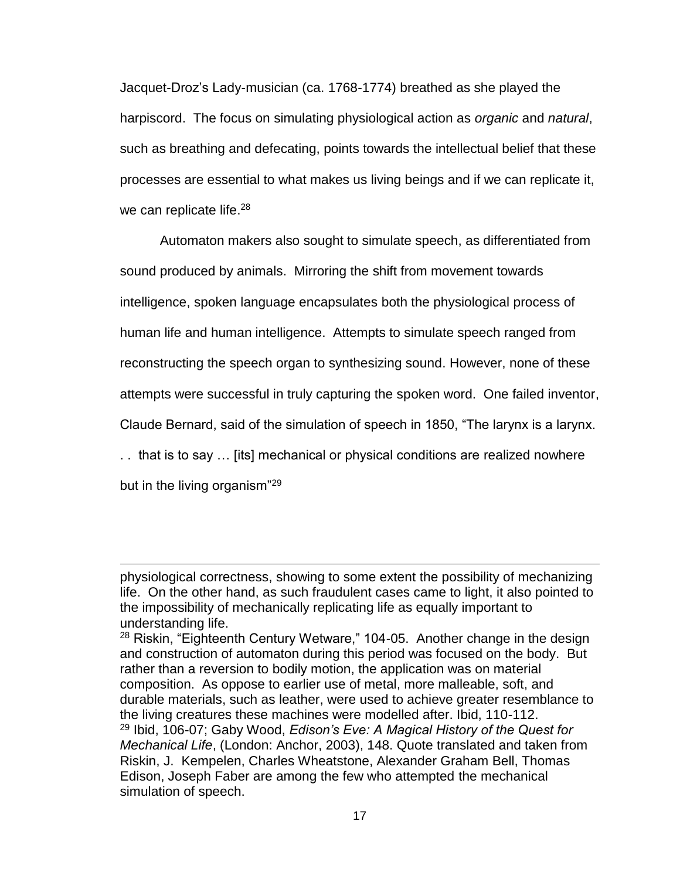Jacquet-Droz's Lady-musician (ca. 1768-1774) breathed as she played the harpiscord. The focus on simulating physiological action as *organic* and *natural*, such as breathing and defecating, points towards the intellectual belief that these processes are essential to what makes us living beings and if we can replicate it, we can replicate life.<sup>28</sup>

Automaton makers also sought to simulate speech, as differentiated from sound produced by animals. Mirroring the shift from movement towards intelligence, spoken language encapsulates both the physiological process of human life and human intelligence. Attempts to simulate speech ranged from reconstructing the speech organ to synthesizing sound. However, none of these attempts were successful in truly capturing the spoken word. One failed inventor, Claude Bernard, said of the simulation of speech in 1850, "The larynx is a larynx. . . that is to say … [its] mechanical or physical conditions are realized nowhere but in the living organism"<sup>29</sup>

physiological correctness, showing to some extent the possibility of mechanizing life. On the other hand, as such fraudulent cases came to light, it also pointed to the impossibility of mechanically replicating life as equally important to understanding life.

 $28$  Riskin, "Eighteenth Century Wetware," 104-05. Another change in the design and construction of automaton during this period was focused on the body. But rather than a reversion to bodily motion, the application was on material composition. As oppose to earlier use of metal, more malleable, soft, and durable materials, such as leather, were used to achieve greater resemblance to the living creatures these machines were modelled after. Ibid, 110-112. <sup>29</sup> Ibid, 106-07; Gaby Wood, *Edison's Eve: A Magical History of the Quest for Mechanical Life*, (London: Anchor, 2003), 148. Quote translated and taken from Riskin, J. Kempelen, Charles Wheatstone, Alexander Graham Bell, Thomas Edison, Joseph Faber are among the few who attempted the mechanical simulation of speech.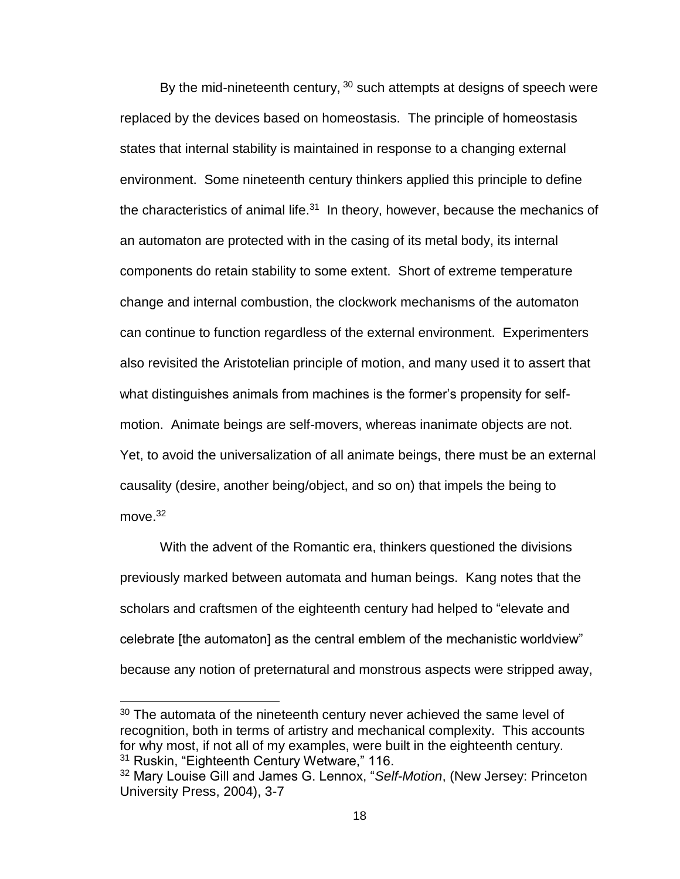By the mid-nineteenth century,  $30$  such attempts at designs of speech were replaced by the devices based on homeostasis. The principle of homeostasis states that internal stability is maintained in response to a changing external environment. Some nineteenth century thinkers applied this principle to define the characteristics of animal life. $31$  In theory, however, because the mechanics of an automaton are protected with in the casing of its metal body, its internal components do retain stability to some extent. Short of extreme temperature change and internal combustion, the clockwork mechanisms of the automaton can continue to function regardless of the external environment. Experimenters also revisited the Aristotelian principle of motion, and many used it to assert that what distinguishes animals from machines is the former's propensity for selfmotion. Animate beings are self-movers, whereas inanimate objects are not. Yet, to avoid the universalization of all animate beings, there must be an external causality (desire, another being/object, and so on) that impels the being to move. 32

With the advent of the Romantic era, thinkers questioned the divisions previously marked between automata and human beings. Kang notes that the scholars and craftsmen of the eighteenth century had helped to "elevate and celebrate [the automaton] as the central emblem of the mechanistic worldview" because any notion of preternatural and monstrous aspects were stripped away,

 $30$  The automata of the nineteenth century never achieved the same level of recognition, both in terms of artistry and mechanical complexity. This accounts for why most, if not all of my examples, were built in the eighteenth century. <sup>31</sup> Ruskin, "Eighteenth Century Wetware," 116.

<sup>32</sup> Mary Louise Gill and James G. Lennox, "*Self-Motion*, (New Jersey: Princeton University Press, 2004), 3-7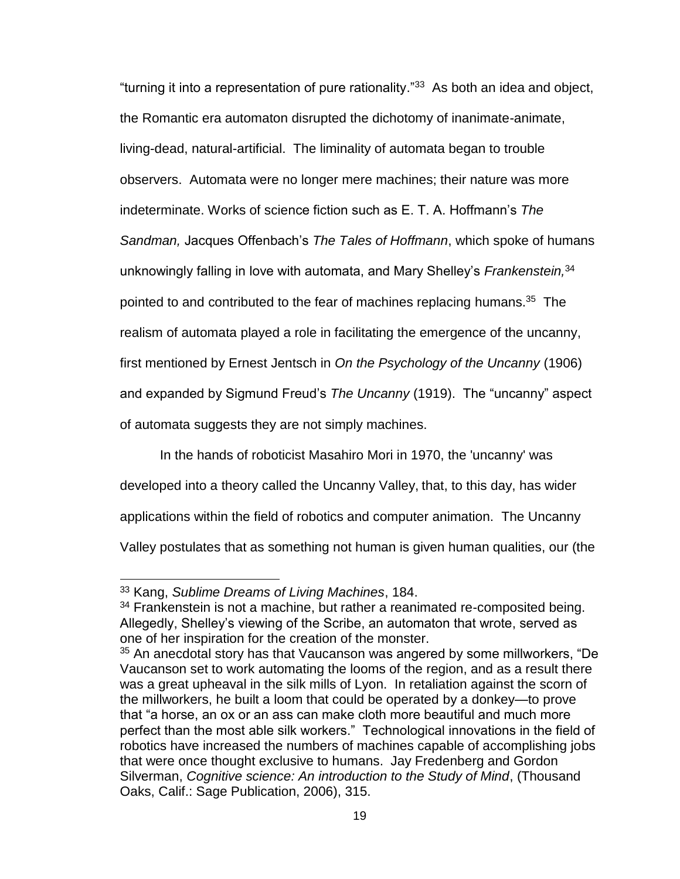"turning it into a representation of pure rationality." 33 As both an idea and object, the Romantic era automaton disrupted the dichotomy of inanimate-animate, living-dead, natural-artificial. The liminality of automata began to trouble observers. Automata were no longer mere machines; their nature was more indeterminate. Works of science fiction such as E. T. A. Hoffmann's *The Sandman,* Jacques Offenbach's *The Tales of Hoffmann*, which spoke of humans unknowingly falling in love with automata, and Mary Shelley's *Frankenstein,*<sup>34</sup> pointed to and contributed to the fear of machines replacing humans.<sup>35</sup> The realism of automata played a role in facilitating the emergence of the uncanny, first mentioned by Ernest Jentsch in *On the Psychology of the Uncanny* (1906) and expanded by Sigmund Freud's *The Uncanny* (1919). The "uncanny" aspect of automata suggests they are not simply machines.

In the hands of roboticist Masahiro Mori in 1970, the 'uncanny' was developed into a theory called the Uncanny Valley, that, to this day, has wider applications within the field of robotics and computer animation. The Uncanny Valley postulates that as something not human is given human qualities, our (the

<sup>33</sup> Kang, *Sublime Dreams of Living Machines*, 184.

 $34$  Frankenstein is not a machine, but rather a reanimated re-composited being. Allegedly, Shelley's viewing of the Scribe, an automaton that wrote, served as one of her inspiration for the creation of the monster.

 $35$  An anecdotal story has that Vaucanson was angered by some millworkers, "De Vaucanson set to work automating the looms of the region, and as a result there was a great upheaval in the silk mills of Lyon. In retaliation against the scorn of the millworkers, he built a loom that could be operated by a donkey—to prove that "a horse, an ox or an ass can make cloth more beautiful and much more perfect than the most able silk workers." Technological innovations in the field of robotics have increased the numbers of machines capable of accomplishing jobs that were once thought exclusive to humans. Jay Fredenberg and Gordon Silverman, *Cognitive science: An introduction to the Study of Mind*, (Thousand Oaks, Calif.: Sage Publication, 2006), 315.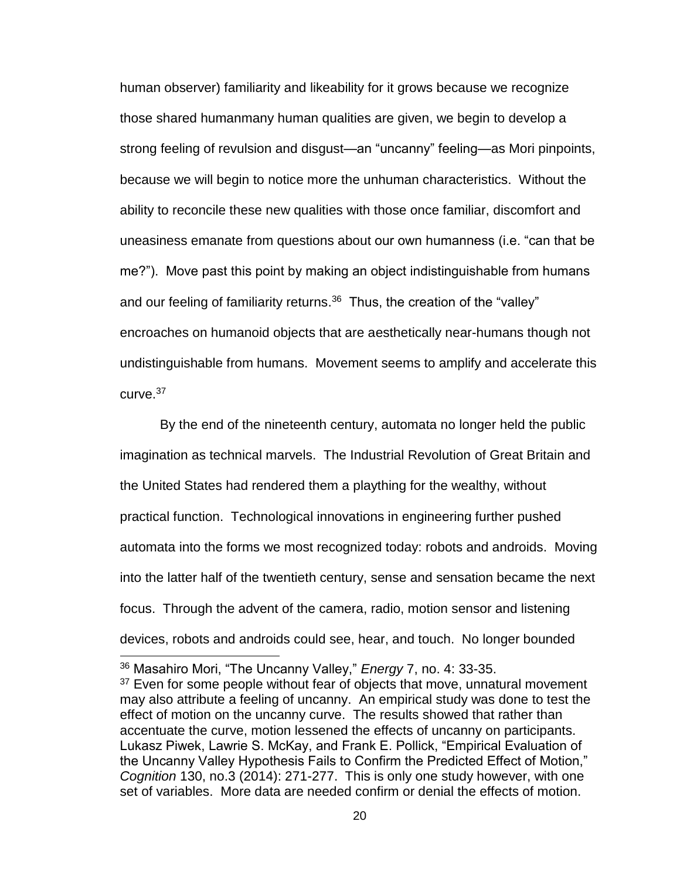human observer) familiarity and likeability for it grows because we recognize those shared humanmany human qualities are given, we begin to develop a strong feeling of revulsion and disgust—an "uncanny" feeling—as Mori pinpoints, because we will begin to notice more the unhuman characteristics. Without the ability to reconcile these new qualities with those once familiar, discomfort and uneasiness emanate from questions about our own humanness (i.e. "can that be me?"). Move past this point by making an object indistinguishable from humans and our feeling of familiarity returns.<sup>36</sup> Thus, the creation of the "valley" encroaches on humanoid objects that are aesthetically near-humans though not undistinguishable from humans. Movement seems to amplify and accelerate this  $curve<sup>37</sup>$ 

By the end of the nineteenth century, automata no longer held the public imagination as technical marvels. The Industrial Revolution of Great Britain and the United States had rendered them a plaything for the wealthy, without practical function. Technological innovations in engineering further pushed automata into the forms we most recognized today: robots and androids. Moving into the latter half of the twentieth century, sense and sensation became the next focus. Through the advent of the camera, radio, motion sensor and listening devices, robots and androids could see, hear, and touch. No longer bounded

<sup>36</sup> Masahiro Mori, "The Uncanny Valley," *Energy* 7, no. 4: 33-35.

 $37$  Even for some people without fear of objects that move, unnatural movement may also attribute a feeling of uncanny. An empirical study was done to test the effect of motion on the uncanny curve. The results showed that rather than accentuate the curve, motion lessened the effects of uncanny on participants. Lukasz Piwek, Lawrie S. McKay, and Frank E. Pollick, "Empirical Evaluation of the Uncanny Valley Hypothesis Fails to Confirm the Predicted Effect of Motion," *Cognition* 130, no.3 (2014): 271-277. This is only one study however, with one set of variables. More data are needed confirm or denial the effects of motion.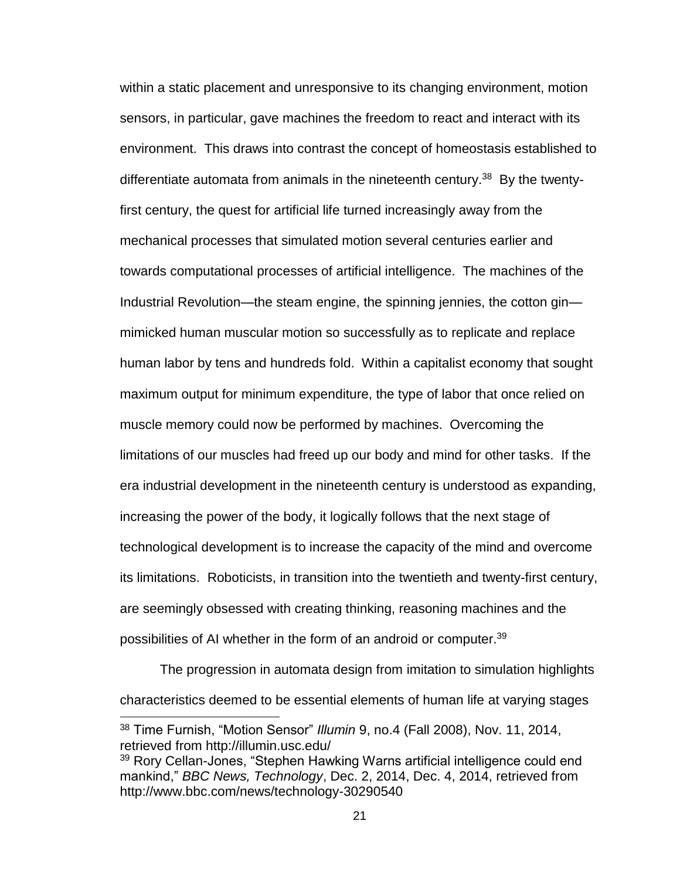within a static placement and unresponsive to its changing environment, motion sensors, in particular, gave machines the freedom to react and interact with its environment. This draws into contrast the concept of homeostasis established to differentiate automata from animals in the nineteenth century.<sup>38</sup> By the twentyfirst century, the quest for artificial life turned increasingly away from the mechanical processes that simulated motion several centuries earlier and towards computational processes of artificial intelligence. The machines of the Industrial Revolution—the steam engine, the spinning jennies, the cotton gin mimicked human muscular motion so successfully as to replicate and replace human labor by tens and hundreds fold. Within a capitalist economy that sought maximum output for minimum expenditure, the type of labor that once relied on muscle memory could now be performed by machines. Overcoming the limitations of our muscles had freed up our body and mind for other tasks. If the era industrial development in the nineteenth century is understood as expanding, increasing the power of the body, it logically follows that the next stage of technological development is to increase the capacity of the mind and overcome its limitations. Roboticists, in transition into the twentieth and twenty-first century, are seemingly obsessed with creating thinking, reasoning machines and the possibilities of AI whether in the form of an android or computer. 39

The progression in automata design from imitation to simulation highlights characteristics deemed to be essential elements of human life at varying stages

<sup>38</sup> Time Furnish, "Motion Sensor" *Illumin* 9, no.4 (Fall 2008), Nov. 11, 2014, retrieved from http://illumin.usc.edu/

<sup>&</sup>lt;sup>39</sup> Rory Cellan-Jones, "Stephen Hawking Warns artificial intelligence could end mankind," *BBC News, Technology*, Dec. 2, 2014, Dec. 4, 2014, retrieved from http://www.bbc.com/news/technology-30290540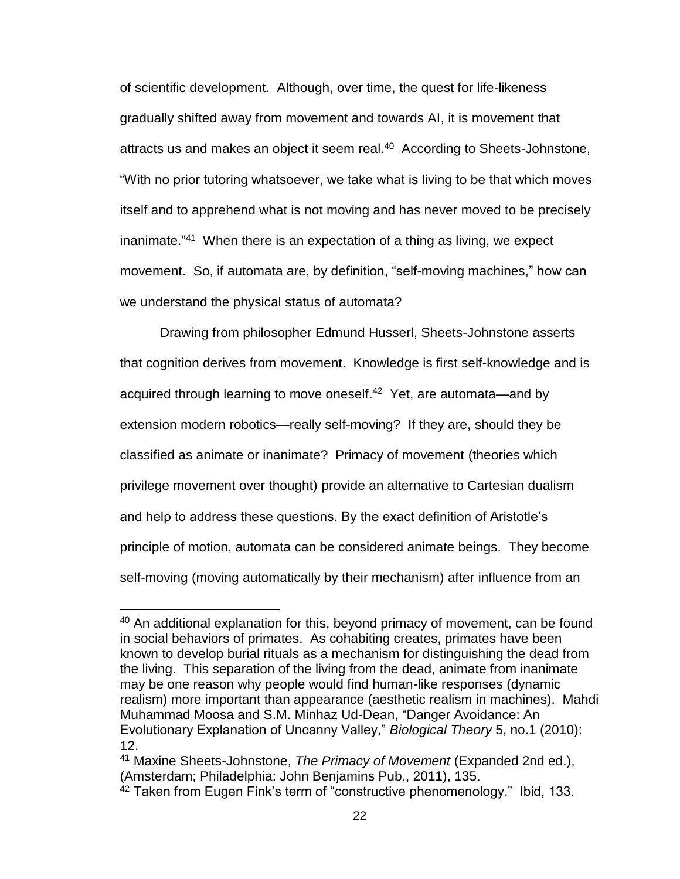of scientific development. Although, over time, the quest for life-likeness gradually shifted away from movement and towards AI, it is movement that attracts us and makes an object it seem real.<sup>40</sup> According to Sheets-Johnstone, "With no prior tutoring whatsoever, we take what is living to be that which moves itself and to apprehend what is not moving and has never moved to be precisely inanimate."<sup>41</sup> When there is an expectation of a thing as living, we expect movement. So, if automata are, by definition, "self-moving machines," how can we understand the physical status of automata?

Drawing from philosopher Edmund Husserl, Sheets-Johnstone asserts that cognition derives from movement. Knowledge is first self-knowledge and is acquired through learning to move oneself.<sup>42</sup> Yet, are automata—and by extension modern robotics—really self-moving? If they are, should they be classified as animate or inanimate? Primacy of movement (theories which privilege movement over thought) provide an alternative to Cartesian dualism and help to address these questions. By the exact definition of Aristotle's principle of motion, automata can be considered animate beings. They become self-moving (moving automatically by their mechanism) after influence from an

<sup>&</sup>lt;sup>40</sup> An additional explanation for this, beyond primacy of movement, can be found in social behaviors of primates. As cohabiting creates, primates have been known to develop burial rituals as a mechanism for distinguishing the dead from the living. This separation of the living from the dead, animate from inanimate may be one reason why people would find human-like responses (dynamic realism) more important than appearance (aesthetic realism in machines). Mahdi Muhammad Moosa and S.M. Minhaz Ud-Dean, "Danger Avoidance: An Evolutionary Explanation of Uncanny Valley," *Biological Theory* 5, no.1 (2010): 12.

<sup>41</sup> Maxine Sheets-Johnstone, *The Primacy of Movement* (Expanded 2nd ed.), (Amsterdam; Philadelphia: John Benjamins Pub., 2011), 135.

 $42$  Taken from Eugen Fink's term of "constructive phenomenology." Ibid, 133.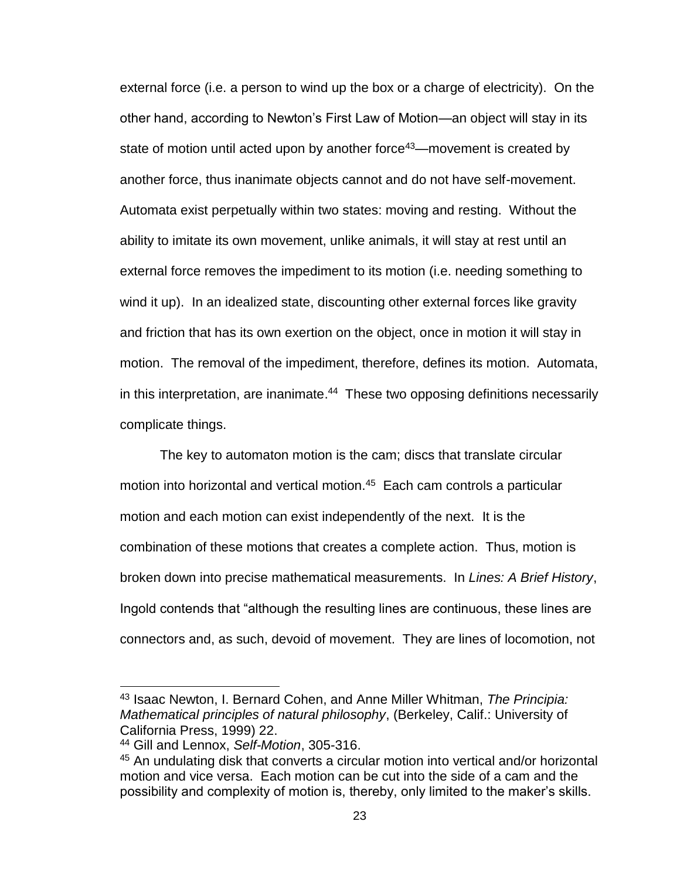external force (i.e. a person to wind up the box or a charge of electricity). On the other hand, according to Newton's First Law of Motion—an object will stay in its state of motion until acted upon by another force<sup>43</sup>—movement is created by another force, thus inanimate objects cannot and do not have self-movement. Automata exist perpetually within two states: moving and resting. Without the ability to imitate its own movement, unlike animals, it will stay at rest until an external force removes the impediment to its motion (i.e. needing something to wind it up). In an idealized state, discounting other external forces like gravity and friction that has its own exertion on the object, once in motion it will stay in motion. The removal of the impediment, therefore, defines its motion. Automata, in this interpretation, are inanimate.<sup>44</sup> These two opposing definitions necessarily complicate things.

The key to automaton motion is the cam; discs that translate circular motion into horizontal and vertical motion.<sup>45</sup> Each cam controls a particular motion and each motion can exist independently of the next. It is the combination of these motions that creates a complete action. Thus, motion is broken down into precise mathematical measurements. In *Lines: A Brief History*, Ingold contends that "although the resulting lines are continuous, these lines are connectors and, as such, devoid of movement. They are lines of locomotion, not

<sup>43</sup> Isaac Newton, I. Bernard Cohen, and Anne Miller Whitman, *The Principia: Mathematical principles of natural philosophy*, (Berkeley, Calif.: University of California Press, 1999) 22.

<sup>44</sup> Gill and Lennox, *Self-Motion*, 305-316.

<sup>45</sup> An undulating disk that converts a circular motion into vertical and/or horizontal motion and vice versa. Each motion can be cut into the side of a cam and the possibility and complexity of motion is, thereby, only limited to the maker's skills.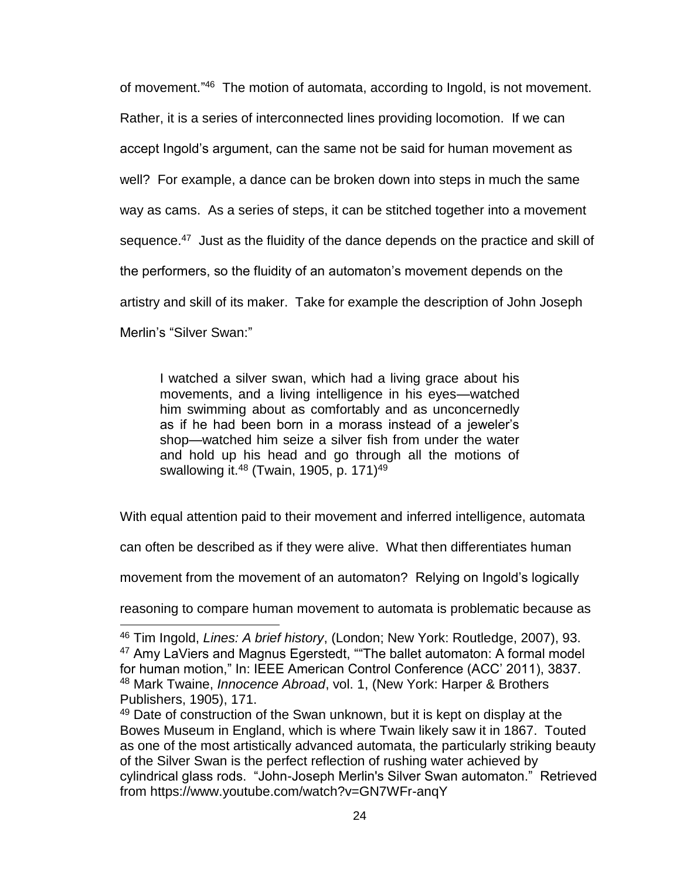of movement."<sup>46</sup> The motion of automata, according to Ingold, is not movement. Rather, it is a series of interconnected lines providing locomotion. If we can accept Ingold's argument, can the same not be said for human movement as well? For example, a dance can be broken down into steps in much the same way as cams. As a series of steps, it can be stitched together into a movement sequence.<sup>47</sup> Just as the fluidity of the dance depends on the practice and skill of the performers, so the fluidity of an automaton's movement depends on the artistry and skill of its maker. Take for example the description of John Joseph Merlin's "Silver Swan:"

I watched a silver swan, which had a living grace about his movements, and a living intelligence in his eyes—watched him swimming about as comfortably and as unconcernedly as if he had been born in a morass instead of a jeweler's shop—watched him seize a silver fish from under the water and hold up his head and go through all the motions of swallowing it.<sup>48</sup> (Twain, 1905, p. 171)<sup>49</sup>

With equal attention paid to their movement and inferred intelligence, automata

can often be described as if they were alive. What then differentiates human

movement from the movement of an automaton? Relying on Ingold's logically

reasoning to compare human movement to automata is problematic because as

<sup>46</sup> Tim Ingold, *Lines: A brief history*, (London; New York: Routledge, 2007), 93. <sup>47</sup> Amy LaViers and Magnus Egerstedt, ""The ballet automaton: A formal model for human motion," In: IEEE American Control Conference (ACC' 2011), 3837. <sup>48</sup> Mark Twaine, *Innocence Abroad*, vol. 1, (New York: Harper & Brothers Publishers, 1905), 171.

<sup>&</sup>lt;sup>49</sup> Date of construction of the Swan unknown, but it is kept on display at the Bowes Museum in England, which is where Twain likely saw it in 1867. Touted as one of the most artistically advanced automata, the particularly striking beauty of the Silver Swan is the perfect reflection of rushing water achieved by cylindrical glass rods. "John-Joseph Merlin's Silver Swan automaton." Retrieved from https://www.youtube.com/watch?v=GN7WFr-anqY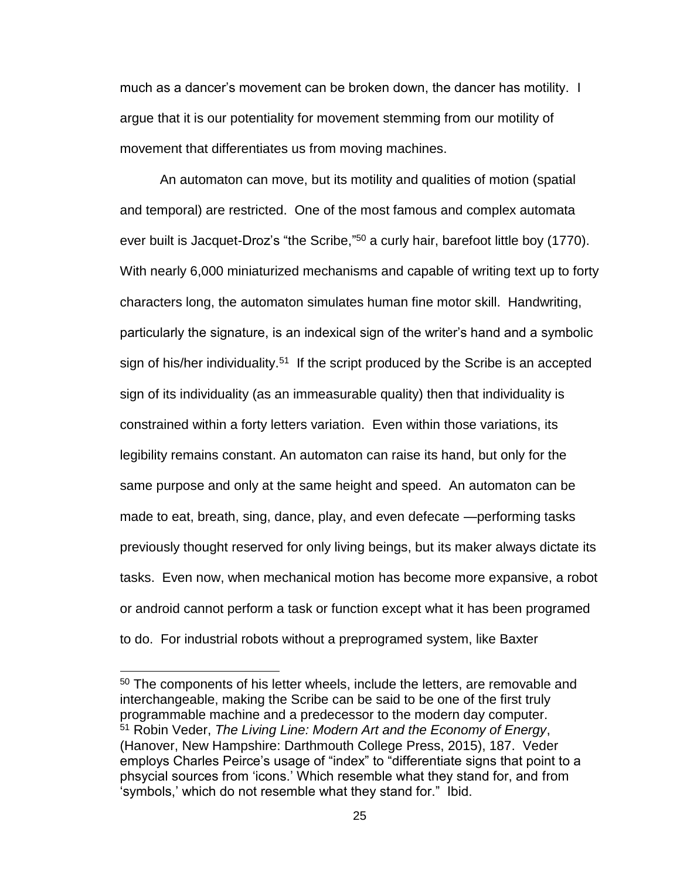much as a dancer's movement can be broken down, the dancer has motility. I argue that it is our potentiality for movement stemming from our motility of movement that differentiates us from moving machines.

An automaton can move, but its motility and qualities of motion (spatial and temporal) are restricted. One of the most famous and complex automata ever built is Jacquet-Droz's "the Scribe,"<sup>50</sup> a curly hair, barefoot little boy (1770). With nearly 6,000 miniaturized mechanisms and capable of writing text up to forty characters long, the automaton simulates human fine motor skill. Handwriting, particularly the signature, is an indexical sign of the writer's hand and a symbolic sign of his/her individuality.<sup>51</sup> If the script produced by the Scribe is an accepted sign of its individuality (as an immeasurable quality) then that individuality is constrained within a forty letters variation. Even within those variations, its legibility remains constant. An automaton can raise its hand, but only for the same purpose and only at the same height and speed. An automaton can be made to eat, breath, sing, dance, play, and even defecate —performing tasks previously thought reserved for only living beings, but its maker always dictate its tasks. Even now, when mechanical motion has become more expansive, a robot or android cannot perform a task or function except what it has been programed to do. For industrial robots without a preprogramed system, like Baxter

<sup>50</sup> The components of his letter wheels, include the letters, are removable and interchangeable, making the Scribe can be said to be one of the first truly programmable machine and a predecessor to the modern day computer. <sup>51</sup> Robin Veder, *The Living Line: Modern Art and the Economy of Energy*, (Hanover, New Hampshire: Darthmouth College Press, 2015), 187. Veder employs Charles Peirce's usage of "index" to "differentiate signs that point to a phsycial sources from 'icons.' Which resemble what they stand for, and from 'symbols,' which do not resemble what they stand for." Ibid.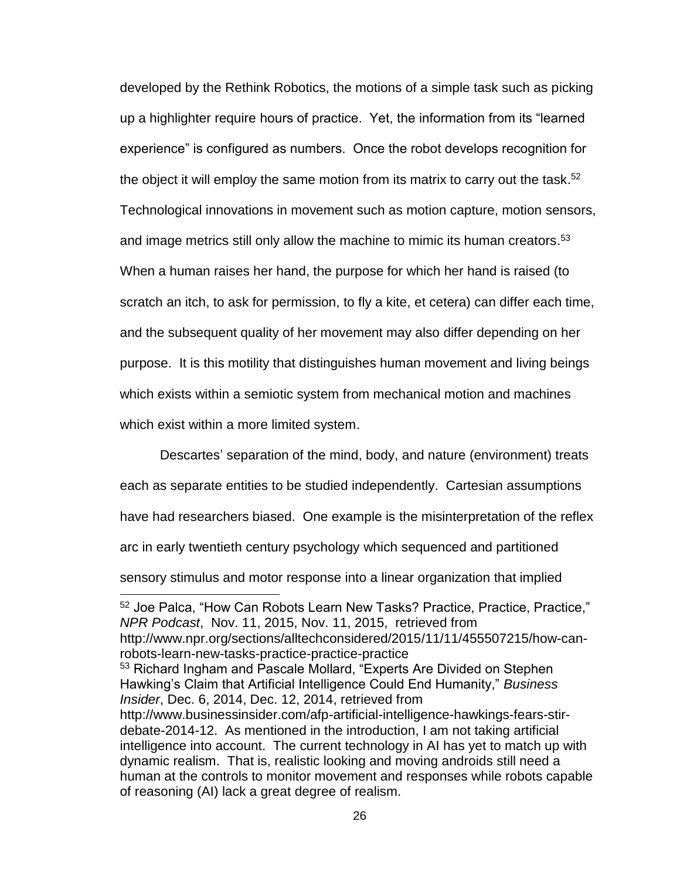developed by the Rethink Robotics, the motions of a simple task such as picking up a highlighter require hours of practice. Yet, the information from its "learned experience" is configured as numbers. Once the robot develops recognition for the object it will employ the same motion from its matrix to carry out the task.<sup>52</sup> Technological innovations in movement such as motion capture, motion sensors, and image metrics still only allow the machine to mimic its human creators. 53 When a human raises her hand, the purpose for which her hand is raised (to scratch an itch, to ask for permission, to fly a kite, et cetera) can differ each time, and the subsequent quality of her movement may also differ depending on her purpose. It is this motility that distinguishes human movement and living beings which exists within a semiotic system from mechanical motion and machines which exist within a more limited system.

Descartes' separation of the mind, body, and nature (environment) treats each as separate entities to be studied independently. Cartesian assumptions have had researchers biased. One example is the misinterpretation of the reflex arc in early twentieth century psychology which sequenced and partitioned sensory stimulus and motor response into a linear organization that implied 

<sup>52</sup> Joe Palca, "How Can Robots Learn New Tasks? Practice, Practice, Practice," *NPR Podcast*, Nov. 11, 2015, Nov. 11, 2015, retrieved from http://www.npr.org/sections/alltechconsidered/2015/11/11/455507215/how-canrobots-learn-new-tasks-practice-practice-practice <sup>53</sup> Richard Ingham and Pascale Mollard, "Experts Are Divided on Stephen Hawking's Claim that Artificial Intelligence Could End Humanity," *Business Insider*, Dec. 6, 2014, Dec. 12, 2014, retrieved from http://www.businessinsider.com/afp-artificial-intelligence-hawkings-fears-stirdebate-2014-12. As mentioned in the introduction, I am not taking artificial intelligence into account. The current technology in AI has yet to match up with dynamic realism. That is, realistic looking and moving androids still need a human at the controls to monitor movement and responses while robots capable of reasoning (AI) lack a great degree of realism.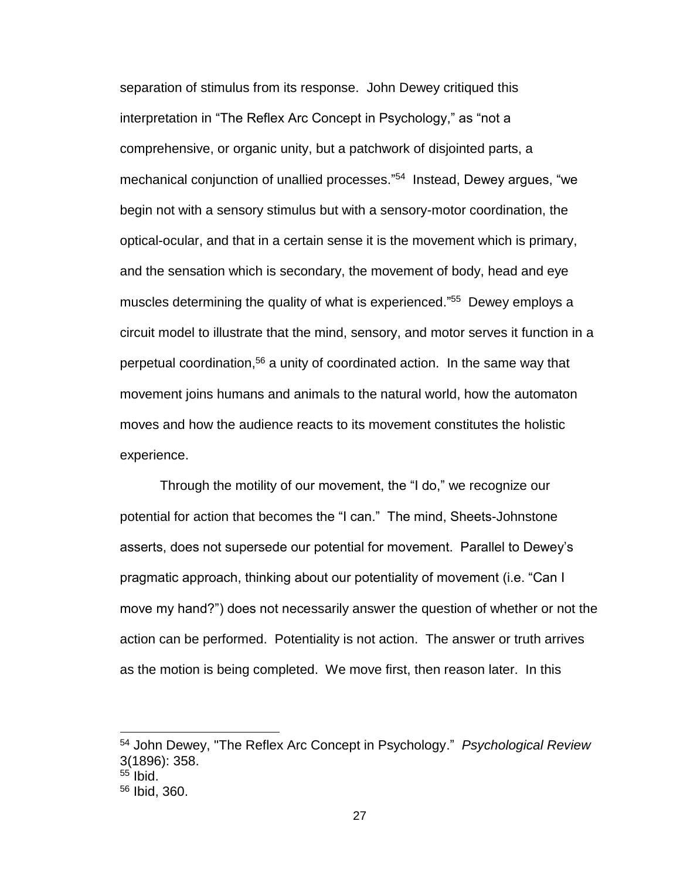separation of stimulus from its response. John Dewey critiqued this interpretation in "The Reflex Arc Concept in Psychology," as "not a comprehensive, or organic unity, but a patchwork of disjointed parts, a mechanical conjunction of unallied processes." 54 Instead, Dewey argues, "we begin not with a sensory stimulus but with a sensory-motor coordination, the optical-ocular, and that in a certain sense it is the movement which is primary, and the sensation which is secondary, the movement of body, head and eye muscles determining the quality of what is experienced." 55 Dewey employs a circuit model to illustrate that the mind, sensory, and motor serves it function in a perpetual coordination,<sup>56</sup> a unity of coordinated action. In the same way that movement joins humans and animals to the natural world, how the automaton moves and how the audience reacts to its movement constitutes the holistic experience.

Through the motility of our movement, the "I do," we recognize our potential for action that becomes the "I can." The mind, Sheets-Johnstone asserts, does not supersede our potential for movement. Parallel to Dewey's pragmatic approach, thinking about our potentiality of movement (i.e. "Can I move my hand?") does not necessarily answer the question of whether or not the action can be performed. Potentiality is not action. The answer or truth arrives as the motion is being completed. We move first, then reason later. In this

<sup>54</sup> John Dewey, "The Reflex Arc Concept in Psychology." *Psychological Review* 3(1896): 358.

 $55$  Ibid.

<sup>56</sup> Ibid, 360.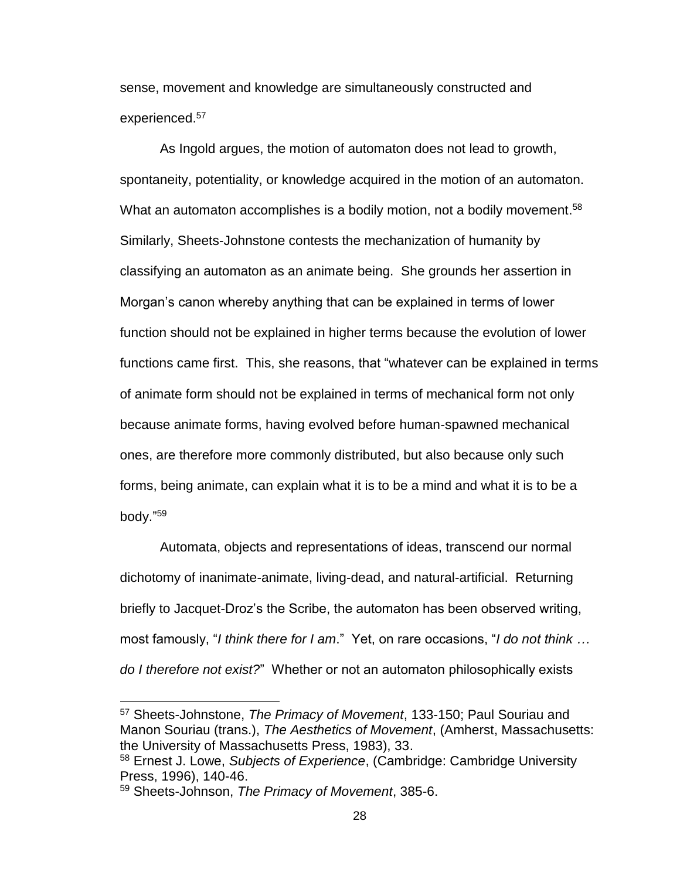sense, movement and knowledge are simultaneously constructed and experienced.<sup>57</sup>

As Ingold argues, the motion of automaton does not lead to growth, spontaneity, potentiality, or knowledge acquired in the motion of an automaton. What an automaton accomplishes is a bodily motion, not a bodily movement.<sup>58</sup> Similarly, Sheets-Johnstone contests the mechanization of humanity by classifying an automaton as an animate being. She grounds her assertion in Morgan's canon whereby anything that can be explained in terms of lower function should not be explained in higher terms because the evolution of lower functions came first. This, she reasons, that "whatever can be explained in terms of animate form should not be explained in terms of mechanical form not only because animate forms, having evolved before human-spawned mechanical ones, are therefore more commonly distributed, but also because only such forms, being animate, can explain what it is to be a mind and what it is to be a body." 59

Automata, objects and representations of ideas, transcend our normal dichotomy of inanimate-animate, living-dead, and natural-artificial. Returning briefly to Jacquet-Droz's the Scribe, the automaton has been observed writing, most famously, "*I think there for I am*." Yet, on rare occasions, "*I do not think … do I therefore not exist?*" Whether or not an automaton philosophically exists

<sup>57</sup> Sheets-Johnstone, *The Primacy of Movement*, 133-150; Paul Souriau and Manon Souriau (trans.), *The Aesthetics of Movement*, (Amherst, Massachusetts: the University of Massachusetts Press, 1983), 33.

<sup>58</sup> Ernest J. Lowe, *Subjects of Experience*, (Cambridge: Cambridge University Press, 1996), 140-46.

<sup>59</sup> Sheets-Johnson, *The Primacy of Movement*, 385-6.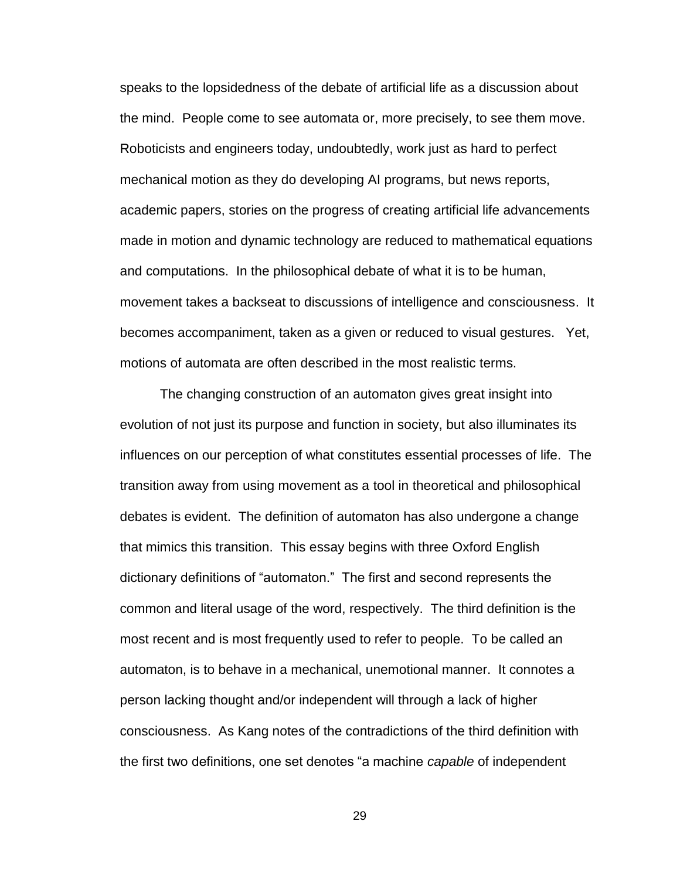speaks to the lopsidedness of the debate of artificial life as a discussion about the mind. People come to see automata or, more precisely, to see them move. Roboticists and engineers today, undoubtedly, work just as hard to perfect mechanical motion as they do developing AI programs, but news reports, academic papers, stories on the progress of creating artificial life advancements made in motion and dynamic technology are reduced to mathematical equations and computations. In the philosophical debate of what it is to be human, movement takes a backseat to discussions of intelligence and consciousness. It becomes accompaniment, taken as a given or reduced to visual gestures. Yet, motions of automata are often described in the most realistic terms.

The changing construction of an automaton gives great insight into evolution of not just its purpose and function in society, but also illuminates its influences on our perception of what constitutes essential processes of life. The transition away from using movement as a tool in theoretical and philosophical debates is evident. The definition of automaton has also undergone a change that mimics this transition. This essay begins with three Oxford English dictionary definitions of "automaton." The first and second represents the common and literal usage of the word, respectively. The third definition is the most recent and is most frequently used to refer to people. To be called an automaton, is to behave in a mechanical, unemotional manner. It connotes a person lacking thought and/or independent will through a lack of higher consciousness. As Kang notes of the contradictions of the third definition with the first two definitions, one set denotes "a machine *capable* of independent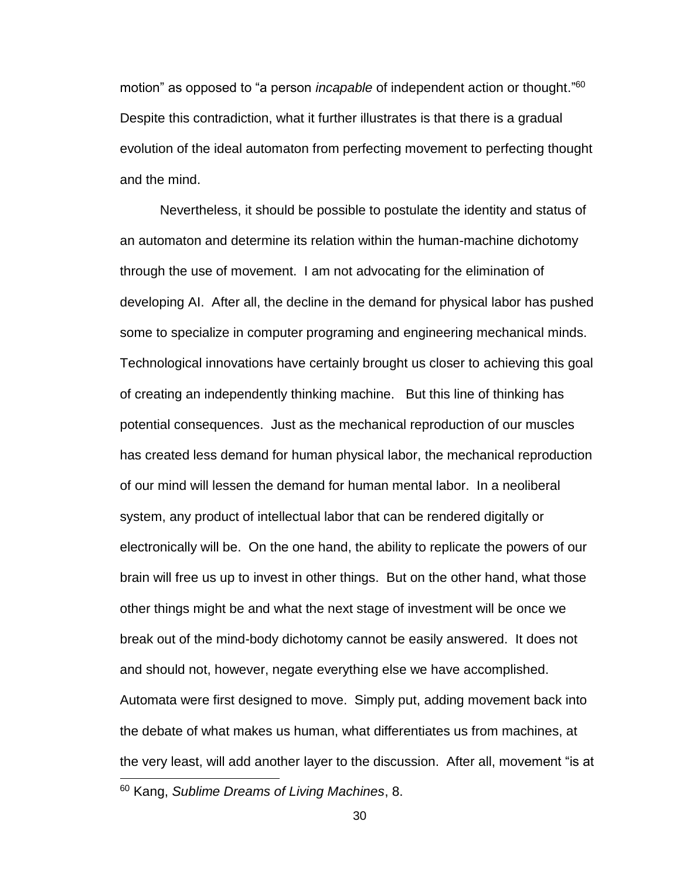motion" as opposed to "a person *incapable* of independent action or thought." 60 Despite this contradiction, what it further illustrates is that there is a gradual evolution of the ideal automaton from perfecting movement to perfecting thought and the mind.

Nevertheless, it should be possible to postulate the identity and status of an automaton and determine its relation within the human-machine dichotomy through the use of movement. I am not advocating for the elimination of developing AI. After all, the decline in the demand for physical labor has pushed some to specialize in computer programing and engineering mechanical minds. Technological innovations have certainly brought us closer to achieving this goal of creating an independently thinking machine. But this line of thinking has potential consequences. Just as the mechanical reproduction of our muscles has created less demand for human physical labor, the mechanical reproduction of our mind will lessen the demand for human mental labor. In a neoliberal system, any product of intellectual labor that can be rendered digitally or electronically will be. On the one hand, the ability to replicate the powers of our brain will free us up to invest in other things. But on the other hand, what those other things might be and what the next stage of investment will be once we break out of the mind-body dichotomy cannot be easily answered. It does not and should not, however, negate everything else we have accomplished. Automata were first designed to move. Simply put, adding movement back into the debate of what makes us human, what differentiates us from machines, at the very least, will add another layer to the discussion. After all, movement "is at 

<sup>60</sup> Kang, *Sublime Dreams of Living Machines*, 8.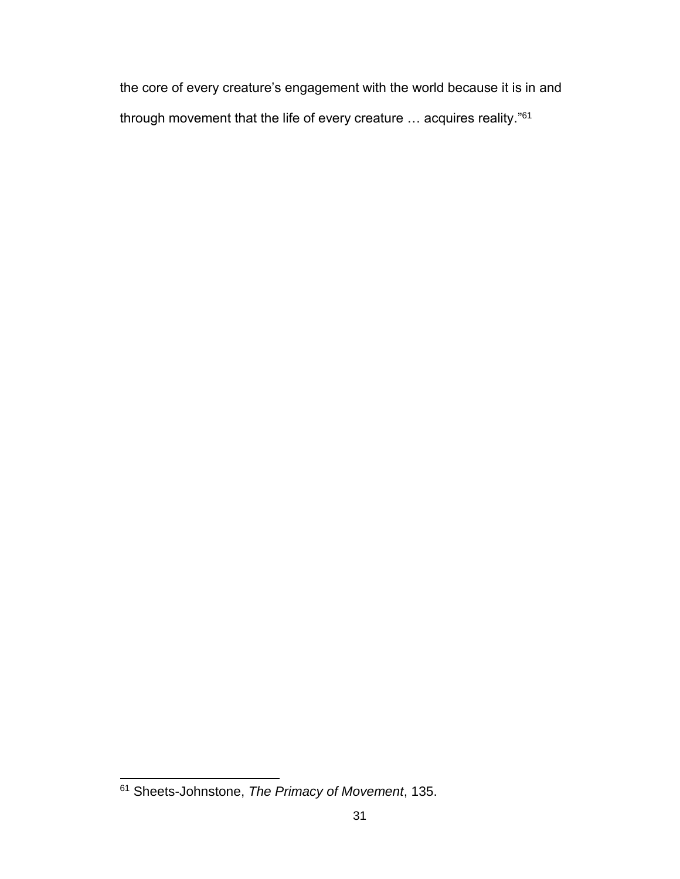the core of every creature's engagement with the world because it is in and through movement that the life of every creature ... acquires reality."<sup>61</sup>

 <sup>61</sup> Sheets-Johnstone, *The Primacy of Movement*, 135.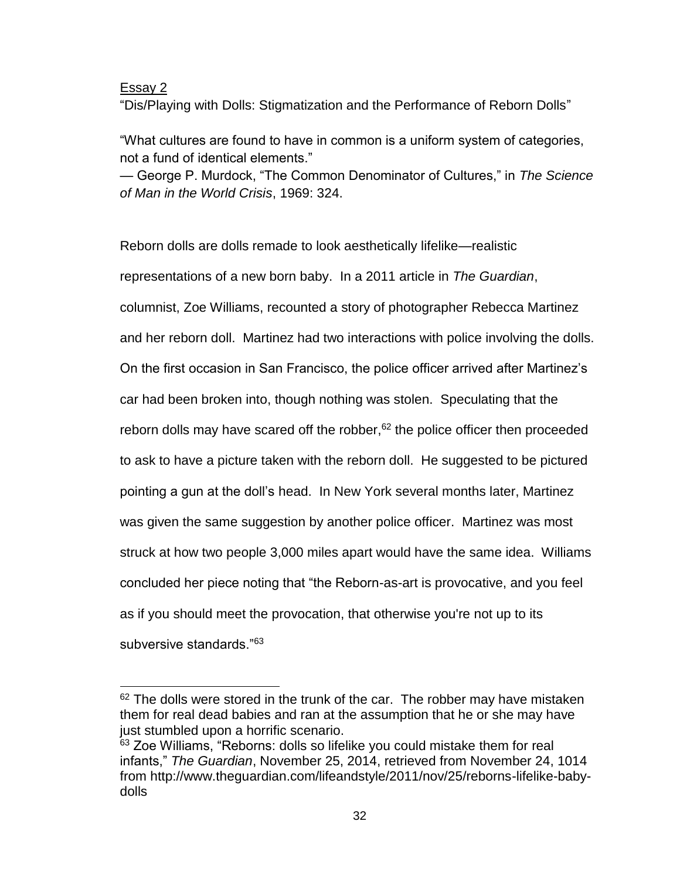## Essay 2

"Dis/Playing with Dolls: Stigmatization and the Performance of Reborn Dolls"

"What cultures are found to have in common is a uniform system of categories, not a fund of identical elements."

— George P. Murdock, "The Common Denominator of Cultures," in *The Science of Man in the World Crisis*, 1969: 324.

Reborn dolls are dolls remade to look aesthetically lifelike—realistic representations of a new born baby. In a 2011 article in *The Guardian*, columnist, Zoe Williams, recounted a story of photographer Rebecca Martinez and her reborn doll. Martinez had two interactions with police involving the dolls. On the first occasion in San Francisco, the police officer arrived after Martinez's car had been broken into, though nothing was stolen. Speculating that the reborn dolls may have scared off the robber,  $62$  the police officer then proceeded to ask to have a picture taken with the reborn doll. He suggested to be pictured pointing a gun at the doll's head. In New York several months later, Martinez was given the same suggestion by another police officer. Martinez was most struck at how two people 3,000 miles apart would have the same idea. Williams concluded her piece noting that "the Reborn-as-art is provocative, and you feel as if you should meet the provocation, that otherwise you're not up to its subversive standards."<sup>63</sup>

 $62$  The dolls were stored in the trunk of the car. The robber may have mistaken them for real dead babies and ran at the assumption that he or she may have just stumbled upon a horrific scenario.

<sup>&</sup>lt;sup>63</sup> Zoe Williams, "Reborns: dolls so lifelike you could mistake them for real infants," *The Guardian*, November 25, 2014, retrieved from November 24, 1014 from http://www.theguardian.com/lifeandstyle/2011/nov/25/reborns-lifelike-babydolls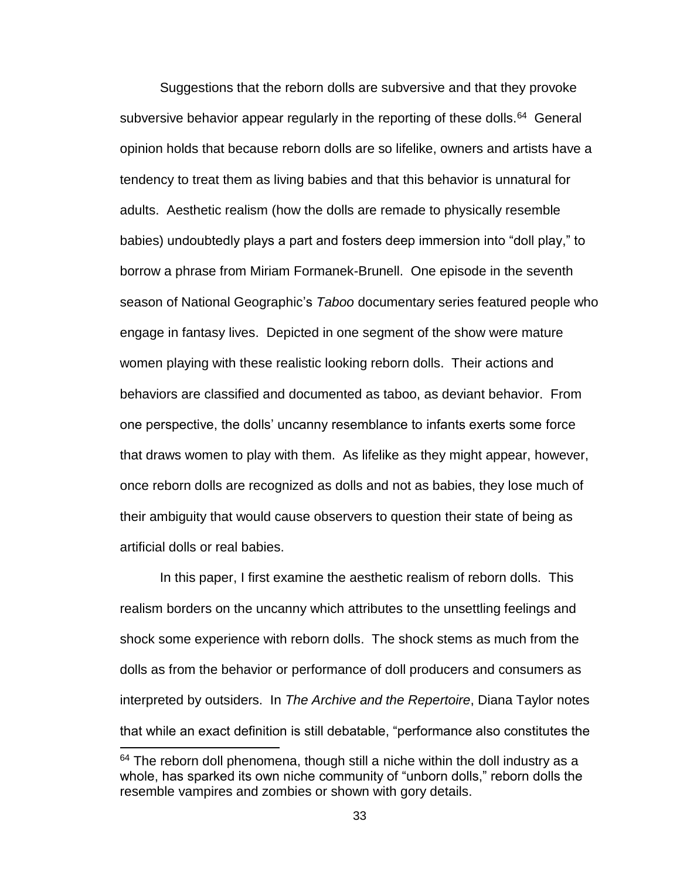Suggestions that the reborn dolls are subversive and that they provoke subversive behavior appear regularly in the reporting of these dolls.<sup>64</sup> General opinion holds that because reborn dolls are so lifelike, owners and artists have a tendency to treat them as living babies and that this behavior is unnatural for adults. Aesthetic realism (how the dolls are remade to physically resemble babies) undoubtedly plays a part and fosters deep immersion into "doll play," to borrow a phrase from Miriam Formanek-Brunell. One episode in the seventh season of National Geographic's *Taboo* documentary series featured people who engage in fantasy lives. Depicted in one segment of the show were mature women playing with these realistic looking reborn dolls. Their actions and behaviors are classified and documented as taboo, as deviant behavior. From one perspective, the dolls' uncanny resemblance to infants exerts some force that draws women to play with them. As lifelike as they might appear, however, once reborn dolls are recognized as dolls and not as babies, they lose much of their ambiguity that would cause observers to question their state of being as artificial dolls or real babies.

In this paper, I first examine the aesthetic realism of reborn dolls. This realism borders on the uncanny which attributes to the unsettling feelings and shock some experience with reborn dolls. The shock stems as much from the dolls as from the behavior or performance of doll producers and consumers as interpreted by outsiders. In *The Archive and the Repertoire*, Diana Taylor notes that while an exact definition is still debatable, "performance also constitutes the

 $64$  The reborn doll phenomena, though still a niche within the doll industry as a whole, has sparked its own niche community of "unborn dolls," reborn dolls the resemble vampires and zombies or shown with gory details.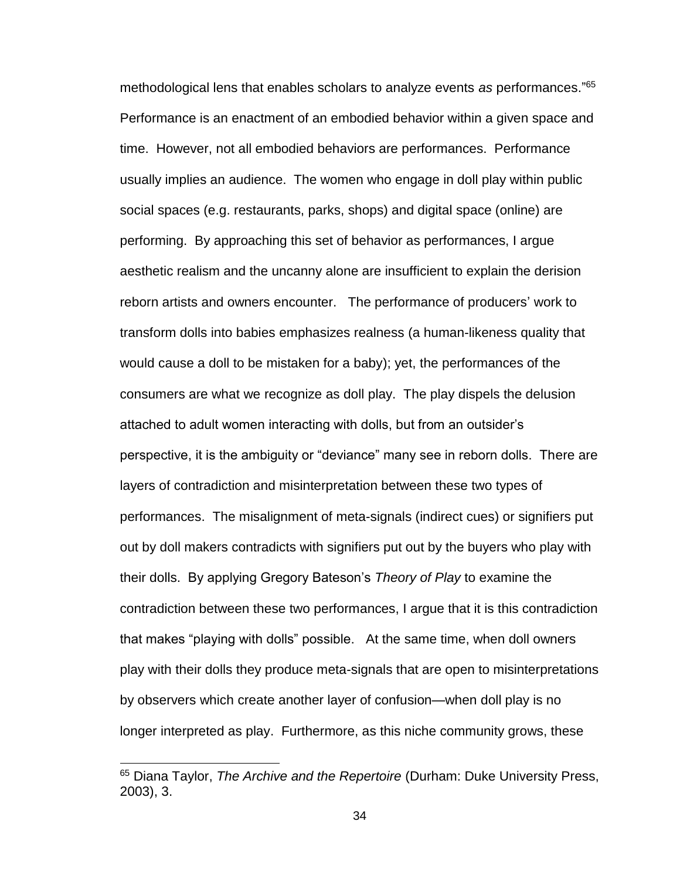methodological lens that enables scholars to analyze events *as* performances." 65 Performance is an enactment of an embodied behavior within a given space and time. However, not all embodied behaviors are performances. Performance usually implies an audience. The women who engage in doll play within public social spaces (e.g. restaurants, parks, shops) and digital space (online) are performing. By approaching this set of behavior as performances, I argue aesthetic realism and the uncanny alone are insufficient to explain the derision reborn artists and owners encounter. The performance of producers' work to transform dolls into babies emphasizes realness (a human-likeness quality that would cause a doll to be mistaken for a baby); yet, the performances of the consumers are what we recognize as doll play. The play dispels the delusion attached to adult women interacting with dolls, but from an outsider's perspective, it is the ambiguity or "deviance" many see in reborn dolls. There are layers of contradiction and misinterpretation between these two types of performances. The misalignment of meta-signals (indirect cues) or signifiers put out by doll makers contradicts with signifiers put out by the buyers who play with their dolls. By applying Gregory Bateson's *Theory of Play* to examine the contradiction between these two performances, I argue that it is this contradiction that makes "playing with dolls" possible. At the same time, when doll owners play with their dolls they produce meta-signals that are open to misinterpretations by observers which create another layer of confusion—when doll play is no longer interpreted as play. Furthermore, as this niche community grows, these

<sup>65</sup> Diana Taylor, *The Archive and the Repertoire* (Durham: Duke University Press, 2003), 3.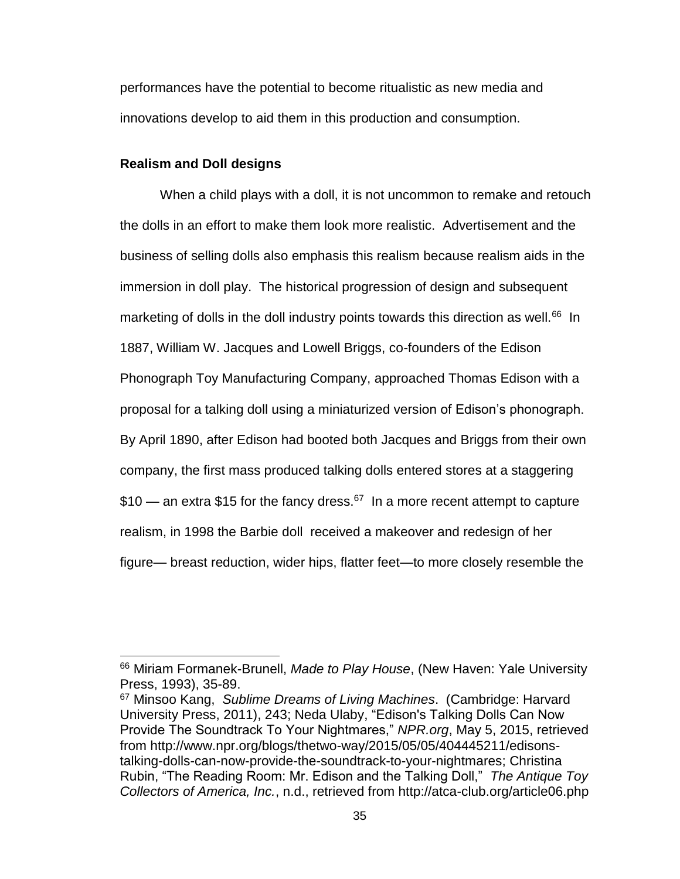performances have the potential to become ritualistic as new media and innovations develop to aid them in this production and consumption.

#### **Realism and Doll designs**

 $\overline{a}$ 

When a child plays with a doll, it is not uncommon to remake and retouch the dolls in an effort to make them look more realistic. Advertisement and the business of selling dolls also emphasis this realism because realism aids in the immersion in doll play. The historical progression of design and subsequent marketing of dolls in the doll industry points towards this direction as well.<sup>66</sup> In 1887, William W. Jacques and Lowell Briggs, co-founders of the Edison Phonograph Toy Manufacturing Company, approached Thomas Edison with a proposal for a talking doll using a miniaturized version of Edison's phonograph. By April 1890, after Edison had booted both Jacques and Briggs from their own company, the first mass produced talking dolls entered stores at a staggering \$10 — an extra \$15 for the fancy dress.<sup>67</sup> In a more recent attempt to capture realism, in 1998 the Barbie doll received a makeover and redesign of her figure— breast reduction, wider hips, flatter feet—to more closely resemble the

<sup>66</sup> Miriam Formanek-Brunell, *Made to Play House*, (New Haven: Yale University Press, 1993), 35-89.

<sup>67</sup> Minsoo Kang, *Sublime Dreams of Living Machines*. (Cambridge: Harvard University Press, 2011), 243; Neda Ulaby, "Edison's Talking Dolls Can Now Provide The Soundtrack To Your Nightmares," *NPR.org*, May 5, 2015, retrieved from http://www.npr.org/blogs/thetwo-way/2015/05/05/404445211/edisonstalking-dolls-can-now-provide-the-soundtrack-to-your-nightmares; Christina Rubin, "The Reading Room: Mr. Edison and the Talking Doll," *The Antique Toy Collectors of America, Inc.*, n.d., retrieved from http://atca-club.org/article06.php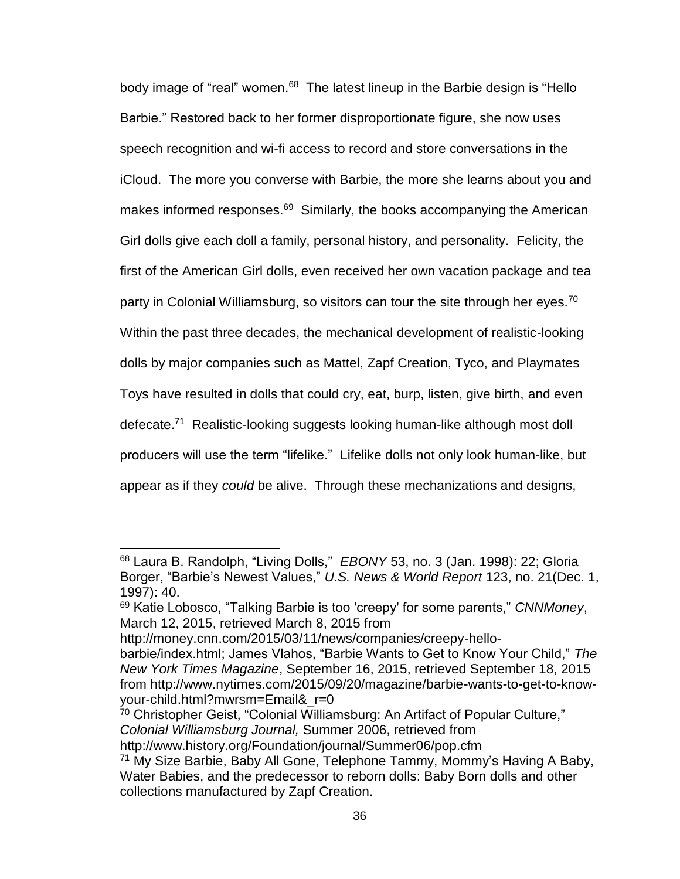body image of "real" women.<sup>68</sup> The latest lineup in the Barbie design is "Hello Barbie." Restored back to her former disproportionate figure, she now uses speech recognition and wi-fi access to record and store conversations in the iCloud. The more you converse with Barbie, the more she learns about you and makes informed responses.<sup>69</sup> Similarly, the books accompanying the American Girl dolls give each doll a family, personal history, and personality. Felicity, the first of the American Girl dolls, even received her own vacation package and tea party in Colonial Williamsburg, so visitors can tour the site through her eyes.<sup>70</sup> Within the past three decades, the mechanical development of realistic-looking dolls by major companies such as Mattel, Zapf Creation, Tyco, and Playmates Toys have resulted in dolls that could cry, eat, burp, listen, give birth, and even defecate.<sup>71</sup> Realistic-looking suggests looking human-like although most doll producers will use the term "lifelike." Lifelike dolls not only look human-like, but appear as if they *could* be alive. Through these mechanizations and designs,

http://money.cnn.com/2015/03/11/news/companies/creepy-hello-

<sup>68</sup> Laura B. Randolph, "Living Dolls," *EBONY* 53, no. 3 (Jan. 1998): 22; Gloria Borger, "Barbie's Newest Values," *U.S. News & World Report* 123, no. 21(Dec. 1, 1997): 40.

<sup>69</sup> Katie Lobosco, "Talking Barbie is too 'creepy' for some parents," *CNNMoney*, March 12, 2015, retrieved March 8, 2015 from

barbie/index.html; James Vlahos, "Barbie Wants to Get to Know Your Child," *The New York Times Magazine*, September 16, 2015, retrieved September 18, 2015 from http://www.nytimes.com/2015/09/20/magazine/barbie-wants-to-get-to-knowyour-child.html?mwrsm=Email&\_r=0

<sup>70</sup> Christopher Geist, "Colonial Williamsburg: An Artifact of Popular Culture," *Colonial Williamsburg Journal,* Summer 2006, retrieved from

http://www.history.org/Foundation/journal/Summer06/pop.cfm

<sup>71</sup> My Size Barbie, Baby All Gone, Telephone Tammy, Mommy's Having A Baby, Water Babies, and the predecessor to reborn dolls: Baby Born dolls and other collections manufactured by Zapf Creation.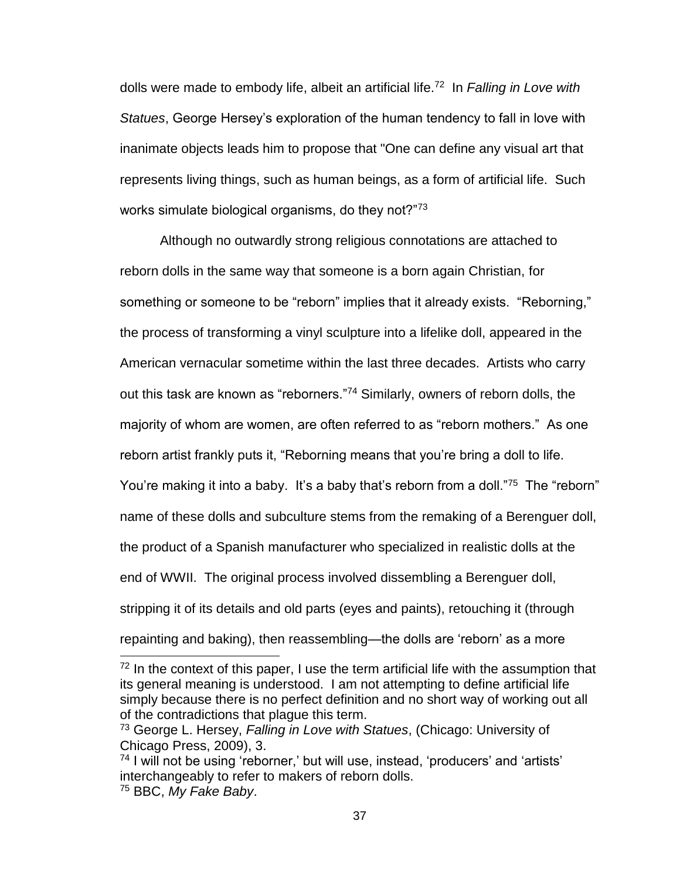dolls were made to embody life, albeit an artificial life.<sup>72</sup> In *Falling in Love with Statues*, George Hersey's exploration of the human tendency to fall in love with inanimate objects leads him to propose that "One can define any visual art that represents living things, such as human beings, as a form of artificial life. Such works simulate biological organisms, do they not?"<sup>73</sup>

Although no outwardly strong religious connotations are attached to reborn dolls in the same way that someone is a born again Christian, for something or someone to be "reborn" implies that it already exists. "Reborning," the process of transforming a vinyl sculpture into a lifelike doll, appeared in the American vernacular sometime within the last three decades. Artists who carry out this task are known as "reborners."<sup>74</sup> Similarly, owners of reborn dolls, the majority of whom are women, are often referred to as "reborn mothers." As one reborn artist frankly puts it, "Reborning means that you're bring a doll to life. You're making it into a baby. It's a baby that's reborn from a doll."<sup>75</sup> The "reborn" name of these dolls and subculture stems from the remaking of a Berenguer doll, the product of a Spanish manufacturer who specialized in realistic dolls at the end of WWII. The original process involved dissembling a Berenguer doll, stripping it of its details and old parts (eyes and paints), retouching it (through repainting and baking), then reassembling—the dolls are 'reborn' as a more

 $72$  In the context of this paper, I use the term artificial life with the assumption that its general meaning is understood. I am not attempting to define artificial life simply because there is no perfect definition and no short way of working out all of the contradictions that plague this term.

<sup>73</sup> George L. Hersey, *Falling in Love with Statues*, (Chicago: University of Chicago Press, 2009), 3.

<sup>74</sup> I will not be using 'reborner,' but will use, instead, 'producers' and 'artists' interchangeably to refer to makers of reborn dolls. <sup>75</sup> BBC, *My Fake Baby*.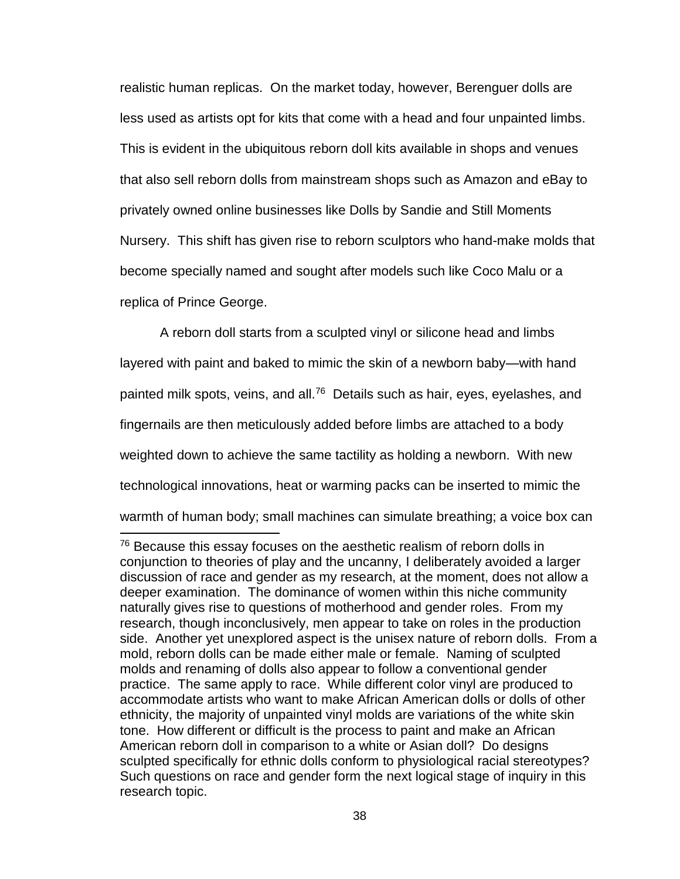realistic human replicas. On the market today, however, Berenguer dolls are less used as artists opt for kits that come with a head and four unpainted limbs. This is evident in the ubiquitous reborn doll kits available in shops and venues that also sell reborn dolls from mainstream shops such as Amazon and eBay to privately owned online businesses like Dolls by Sandie and Still Moments Nursery. This shift has given rise to reborn sculptors who hand-make molds that become specially named and sought after models such like Coco Malu or a replica of Prince George.

A reborn doll starts from a sculpted vinyl or silicone head and limbs layered with paint and baked to mimic the skin of a newborn baby—with hand painted milk spots, veins, and all.<sup>76</sup> Details such as hair, eyes, eyelashes, and fingernails are then meticulously added before limbs are attached to a body weighted down to achieve the same tactility as holding a newborn. With new technological innovations, heat or warming packs can be inserted to mimic the

warmth of human body; small machines can simulate breathing; a voice box can 

 $76$  Because this essay focuses on the aesthetic realism of reborn dolls in conjunction to theories of play and the uncanny, I deliberately avoided a larger discussion of race and gender as my research, at the moment, does not allow a deeper examination. The dominance of women within this niche community naturally gives rise to questions of motherhood and gender roles. From my research, though inconclusively, men appear to take on roles in the production side. Another yet unexplored aspect is the unisex nature of reborn dolls. From a mold, reborn dolls can be made either male or female. Naming of sculpted molds and renaming of dolls also appear to follow a conventional gender practice. The same apply to race. While different color vinyl are produced to accommodate artists who want to make African American dolls or dolls of other ethnicity, the majority of unpainted vinyl molds are variations of the white skin tone. How different or difficult is the process to paint and make an African American reborn doll in comparison to a white or Asian doll? Do designs sculpted specifically for ethnic dolls conform to physiological racial stereotypes? Such questions on race and gender form the next logical stage of inquiry in this research topic.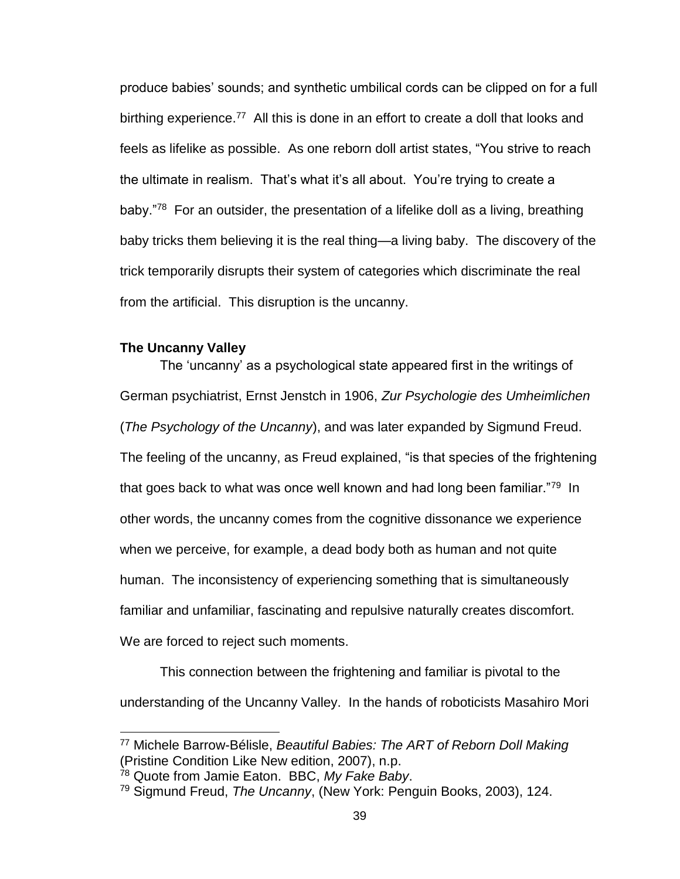produce babies' sounds; and synthetic umbilical cords can be clipped on for a full birthing experience.<sup>77</sup> All this is done in an effort to create a doll that looks and feels as lifelike as possible. As one reborn doll artist states, "You strive to reach the ultimate in realism. That's what it's all about. You're trying to create a baby."<sup>78</sup> For an outsider, the presentation of a lifelike doll as a living, breathing baby tricks them believing it is the real thing—a living baby. The discovery of the trick temporarily disrupts their system of categories which discriminate the real from the artificial. This disruption is the uncanny.

#### **The Uncanny Valley**

 $\overline{a}$ 

The 'uncanny' as a psychological state appeared first in the writings of German psychiatrist, Ernst Jenstch in 1906, *Zur Psychologie des Umheimlichen* (*The Psychology of the Uncanny*), and was later expanded by Sigmund Freud. The feeling of the uncanny, as Freud explained, "is that species of the frightening that goes back to what was once well known and had long been familiar."<sup>79</sup> In other words, the uncanny comes from the cognitive dissonance we experience when we perceive, for example, a dead body both as human and not quite human. The inconsistency of experiencing something that is simultaneously familiar and unfamiliar, fascinating and repulsive naturally creates discomfort. We are forced to reject such moments.

This connection between the frightening and familiar is pivotal to the understanding of the Uncanny Valley. In the hands of roboticists Masahiro Mori

<sup>77</sup> Michele Barrow-Bélisle, *Beautiful Babies: The ART of Reborn Doll Making* (Pristine Condition Like New edition, 2007), n.p.

<sup>78</sup> Quote from Jamie Eaton. BBC, *My Fake Baby*.

<sup>79</sup> Sigmund Freud, *The Uncanny*, (New York: Penguin Books, 2003), 124.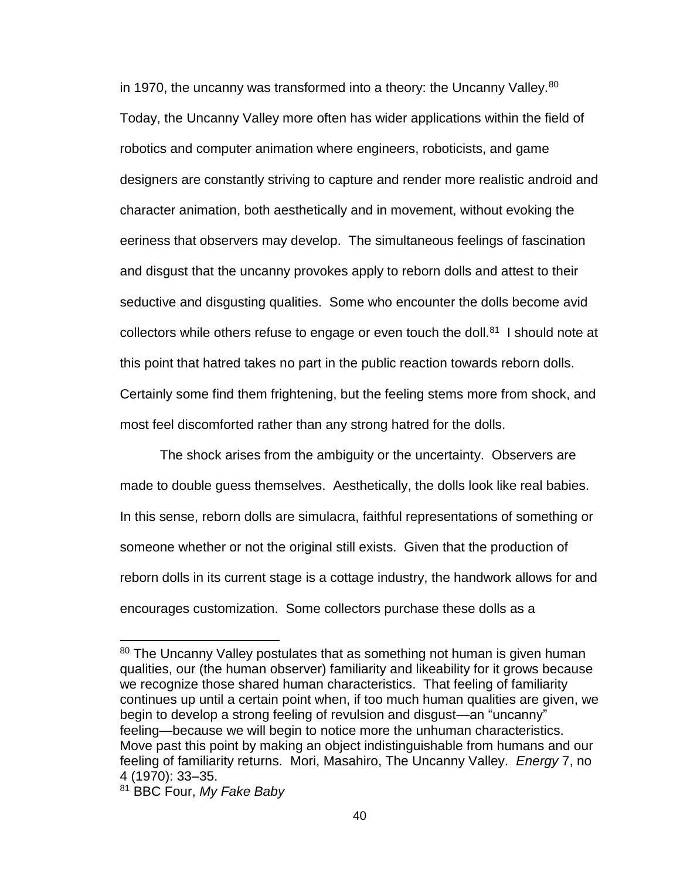in 1970, the uncanny was transformed into a theory: the Uncanny Valley.<sup>80</sup> Today, the Uncanny Valley more often has wider applications within the field of robotics and computer animation where engineers, roboticists, and game designers are constantly striving to capture and render more realistic android and character animation, both aesthetically and in movement, without evoking the eeriness that observers may develop. The simultaneous feelings of fascination and disgust that the uncanny provokes apply to reborn dolls and attest to their seductive and disgusting qualities. Some who encounter the dolls become avid collectors while others refuse to engage or even touch the doll. $81$  I should note at this point that hatred takes no part in the public reaction towards reborn dolls. Certainly some find them frightening, but the feeling stems more from shock, and most feel discomforted rather than any strong hatred for the dolls.

The shock arises from the ambiguity or the uncertainty. Observers are made to double guess themselves. Aesthetically, the dolls look like real babies. In this sense, reborn dolls are simulacra, faithful representations of something or someone whether or not the original still exists. Given that the production of reborn dolls in its current stage is a cottage industry, the handwork allows for and encourages customization. Some collectors purchase these dolls as a

<sup>&</sup>lt;sup>80</sup> The Uncanny Valley postulates that as something not human is given human qualities, our (the human observer) familiarity and likeability for it grows because we recognize those shared human characteristics. That feeling of familiarity continues up until a certain point when, if too much human qualities are given, we begin to develop a strong feeling of revulsion and disgust—an "uncanny" feeling—because we will begin to notice more the unhuman characteristics. Move past this point by making an object indistinguishable from humans and our feeling of familiarity returns. Mori, Masahiro, The Uncanny Valley. *Energy* 7, no 4 (1970): 33–35.

<sup>81</sup> BBC Four, *My Fake Baby*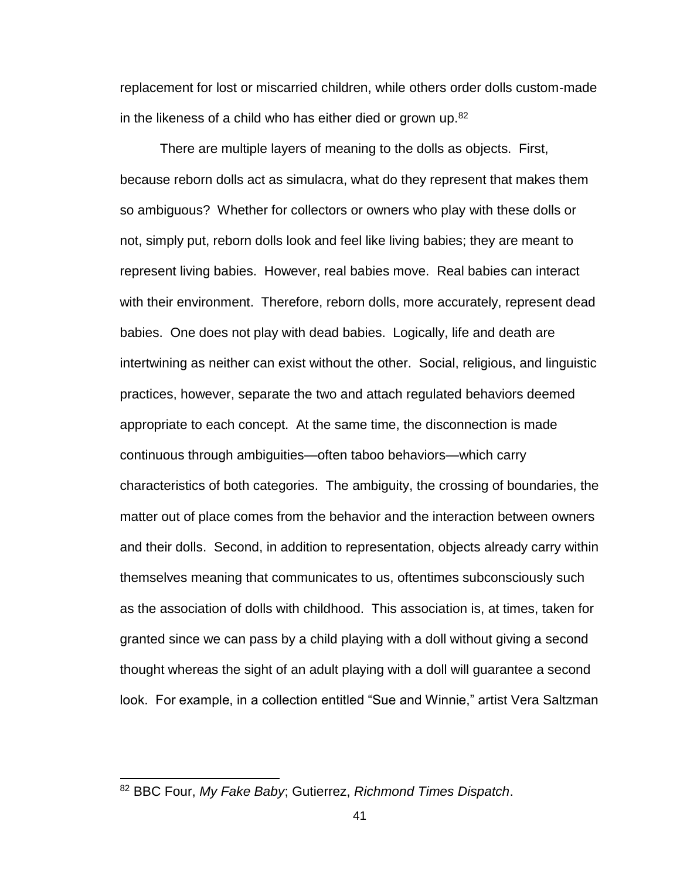replacement for lost or miscarried children, while others order dolls custom-made in the likeness of a child who has either died or grown up. $82$ 

There are multiple layers of meaning to the dolls as objects. First, because reborn dolls act as simulacra, what do they represent that makes them so ambiguous? Whether for collectors or owners who play with these dolls or not, simply put, reborn dolls look and feel like living babies; they are meant to represent living babies. However, real babies move. Real babies can interact with their environment. Therefore, reborn dolls, more accurately, represent dead babies. One does not play with dead babies. Logically, life and death are intertwining as neither can exist without the other. Social, religious, and linguistic practices, however, separate the two and attach regulated behaviors deemed appropriate to each concept. At the same time, the disconnection is made continuous through ambiguities—often taboo behaviors—which carry characteristics of both categories. The ambiguity, the crossing of boundaries, the matter out of place comes from the behavior and the interaction between owners and their dolls. Second, in addition to representation, objects already carry within themselves meaning that communicates to us, oftentimes subconsciously such as the association of dolls with childhood. This association is, at times, taken for granted since we can pass by a child playing with a doll without giving a second thought whereas the sight of an adult playing with a doll will guarantee a second look. For example, in a collection entitled "Sue and Winnie," artist Vera Saltzman

<sup>82</sup> BBC Four, *My Fake Baby*; Gutierrez, *Richmond Times Dispatch*.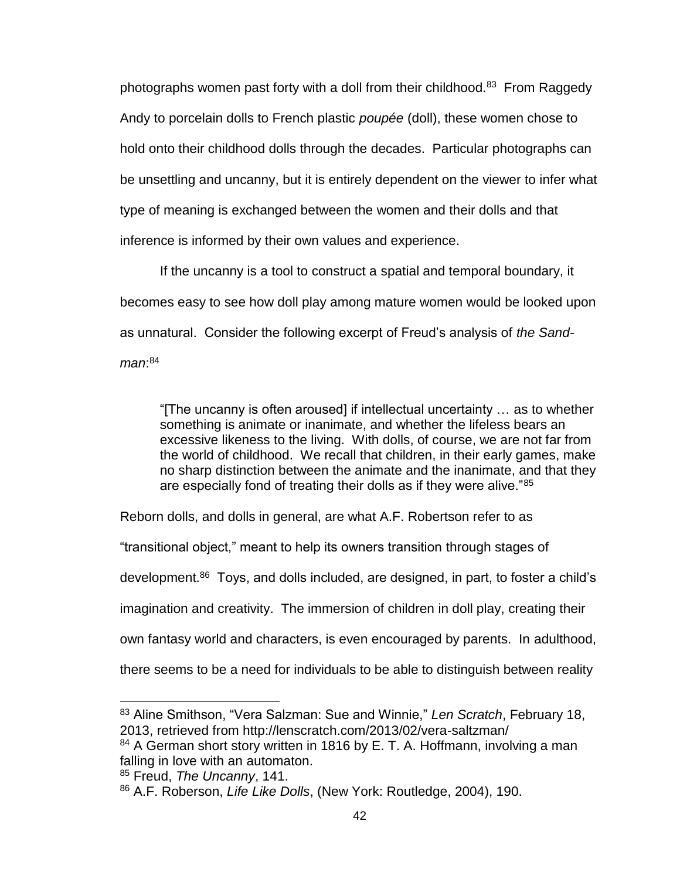photographs women past forty with a doll from their childhood.<sup>83</sup> From Raggedy Andy to porcelain dolls to French plastic *poupée* (doll), these women chose to hold onto their childhood dolls through the decades. Particular photographs can be unsettling and uncanny, but it is entirely dependent on the viewer to infer what type of meaning is exchanged between the women and their dolls and that inference is informed by their own values and experience.

If the uncanny is a tool to construct a spatial and temporal boundary, it becomes easy to see how doll play among mature women would be looked upon as unnatural. Consider the following excerpt of Freud's analysis of *the Sandman*: 84

"[The uncanny is often aroused] if intellectual uncertainty … as to whether something is animate or inanimate, and whether the lifeless bears an excessive likeness to the living. With dolls, of course, we are not far from the world of childhood. We recall that children, in their early games, make no sharp distinction between the animate and the inanimate, and that they are especially fond of treating their dolls as if they were alive."85

Reborn dolls, and dolls in general, are what A.F. Robertson refer to as

"transitional object," meant to help its owners transition through stages of

development.<sup>86</sup> Toys, and dolls included, are designed, in part, to foster a child's

imagination and creativity. The immersion of children in doll play, creating their

own fantasy world and characters, is even encouraged by parents. In adulthood,

there seems to be a need for individuals to be able to distinguish between reality

 <sup>83</sup> Aline Smithson, "Vera Salzman: Sue and Winnie," *Len Scratch*, February 18, 2013, retrieved from http://lenscratch.com/2013/02/vera-saltzman/

<sup>&</sup>lt;sup>84</sup> A German short story written in 1816 by E. T. A. Hoffmann, involving a man falling in love with an automaton.

<sup>85</sup> Freud, *The Uncanny*, 141.

<sup>86</sup> A.F. Roberson, *Life Like Dolls*, (New York: Routledge, 2004), 190.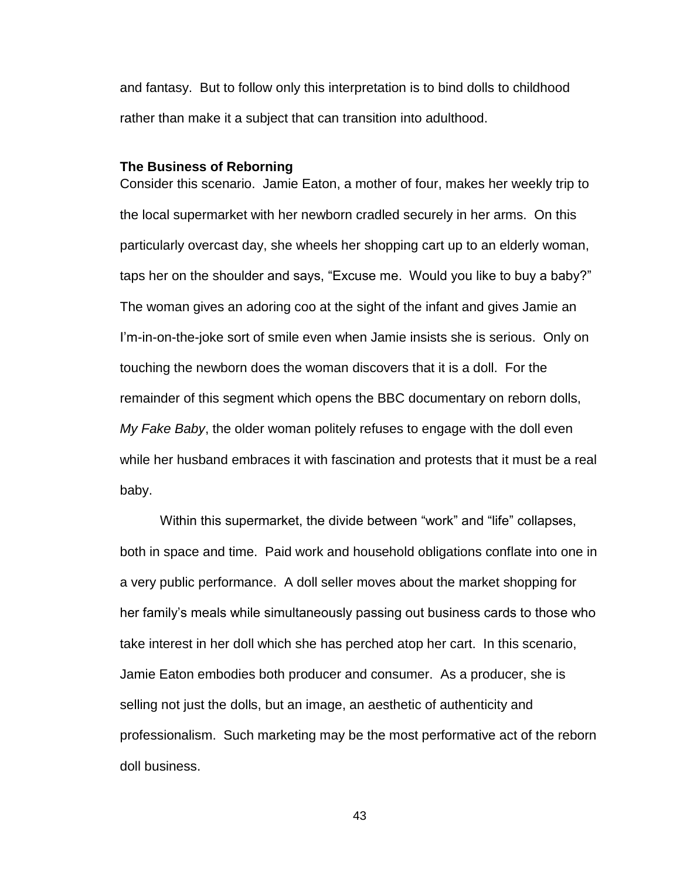and fantasy. But to follow only this interpretation is to bind dolls to childhood rather than make it a subject that can transition into adulthood.

### **The Business of Reborning**

Consider this scenario. Jamie Eaton, a mother of four, makes her weekly trip to the local supermarket with her newborn cradled securely in her arms. On this particularly overcast day, she wheels her shopping cart up to an elderly woman, taps her on the shoulder and says, "Excuse me. Would you like to buy a baby?" The woman gives an adoring coo at the sight of the infant and gives Jamie an I'm-in-on-the-joke sort of smile even when Jamie insists she is serious. Only on touching the newborn does the woman discovers that it is a doll. For the remainder of this segment which opens the BBC documentary on reborn dolls, *My Fake Baby*, the older woman politely refuses to engage with the doll even while her husband embraces it with fascination and protests that it must be a real baby.

Within this supermarket, the divide between "work" and "life" collapses, both in space and time. Paid work and household obligations conflate into one in a very public performance. A doll seller moves about the market shopping for her family's meals while simultaneously passing out business cards to those who take interest in her doll which she has perched atop her cart. In this scenario, Jamie Eaton embodies both producer and consumer. As a producer, she is selling not just the dolls, but an image, an aesthetic of authenticity and professionalism. Such marketing may be the most performative act of the reborn doll business.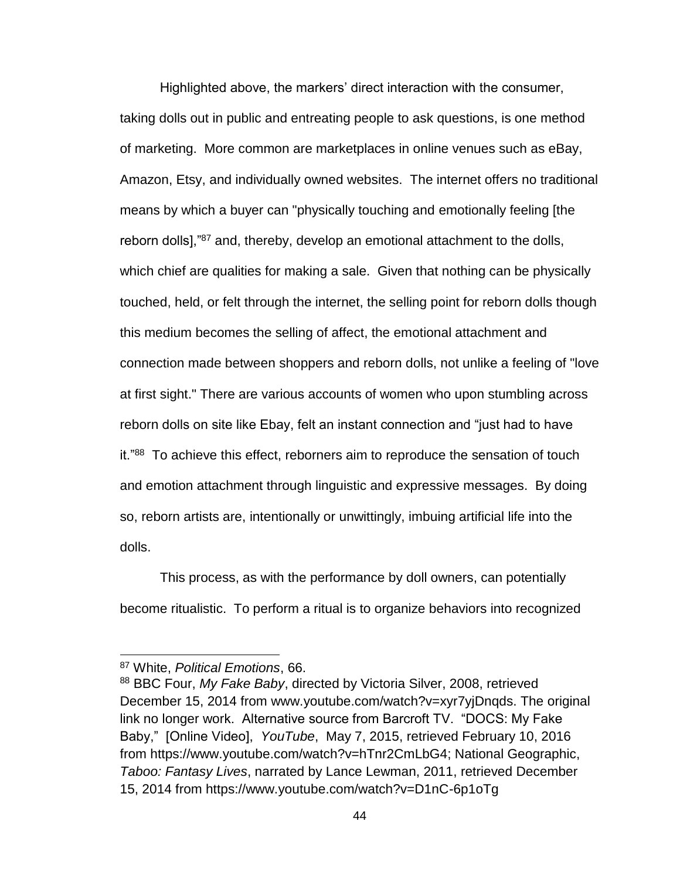Highlighted above, the markers' direct interaction with the consumer, taking dolls out in public and entreating people to ask questions, is one method of marketing. More common are marketplaces in online venues such as eBay, Amazon, Etsy, and individually owned websites. The internet offers no traditional means by which a buyer can "physically touching and emotionally feeling [the reborn dolls],"<sup>87</sup> and, thereby, develop an emotional attachment to the dolls, which chief are qualities for making a sale. Given that nothing can be physically touched, held, or felt through the internet, the selling point for reborn dolls though this medium becomes the selling of affect, the emotional attachment and connection made between shoppers and reborn dolls, not unlike a feeling of "love at first sight." There are various accounts of women who upon stumbling across reborn dolls on site like Ebay, felt an instant connection and "just had to have it."<sup>88</sup> To achieve this effect, reborners aim to reproduce the sensation of touch and emotion attachment through linguistic and expressive messages. By doing so, reborn artists are, intentionally or unwittingly, imbuing artificial life into the dolls.

This process, as with the performance by doll owners, can potentially become ritualistic. To perform a ritual is to organize behaviors into recognized

<sup>87</sup> White, *Political Emotions*, 66.

<sup>88</sup> BBC Four, *My Fake Baby*, directed by Victoria Silver, 2008, retrieved December 15, 2014 from www.youtube.com/watch?v=xyr7yjDnqds. The original link no longer work. Alternative source from Barcroft TV. "DOCS: My Fake Baby," [Online Video], *YouTube*, May 7, 2015, retrieved February 10, 2016 from https://www.youtube.com/watch?v=hTnr2CmLbG4; National Geographic, *Taboo: Fantasy Lives*, narrated by Lance Lewman, 2011, retrieved December 15, 2014 from https://www.youtube.com/watch?v=D1nC-6p1oTg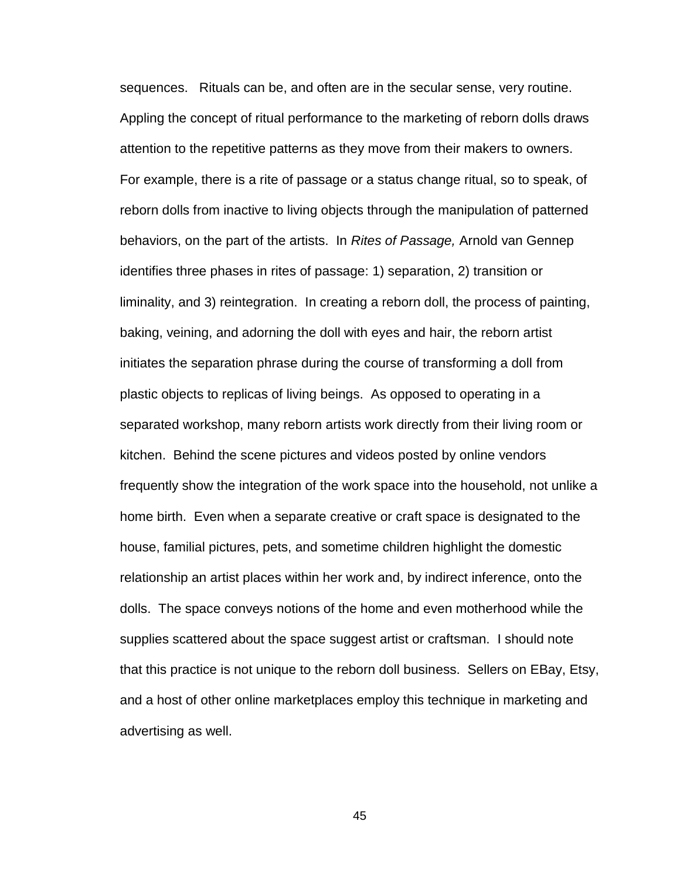sequences. Rituals can be, and often are in the secular sense, very routine. Appling the concept of ritual performance to the marketing of reborn dolls draws attention to the repetitive patterns as they move from their makers to owners. For example, there is a rite of passage or a status change ritual, so to speak, of reborn dolls from inactive to living objects through the manipulation of patterned behaviors, on the part of the artists. In *Rites of Passage,* Arnold van Gennep identifies three phases in rites of passage: 1) separation, 2) transition or liminality, and 3) reintegration. In creating a reborn doll, the process of painting, baking, veining, and adorning the doll with eyes and hair, the reborn artist initiates the separation phrase during the course of transforming a doll from plastic objects to replicas of living beings. As opposed to operating in a separated workshop, many reborn artists work directly from their living room or kitchen. Behind the scene pictures and videos posted by online vendors frequently show the integration of the work space into the household, not unlike a home birth. Even when a separate creative or craft space is designated to the house, familial pictures, pets, and sometime children highlight the domestic relationship an artist places within her work and, by indirect inference, onto the dolls. The space conveys notions of the home and even motherhood while the supplies scattered about the space suggest artist or craftsman. I should note that this practice is not unique to the reborn doll business. Sellers on EBay, Etsy, and a host of other online marketplaces employ this technique in marketing and advertising as well.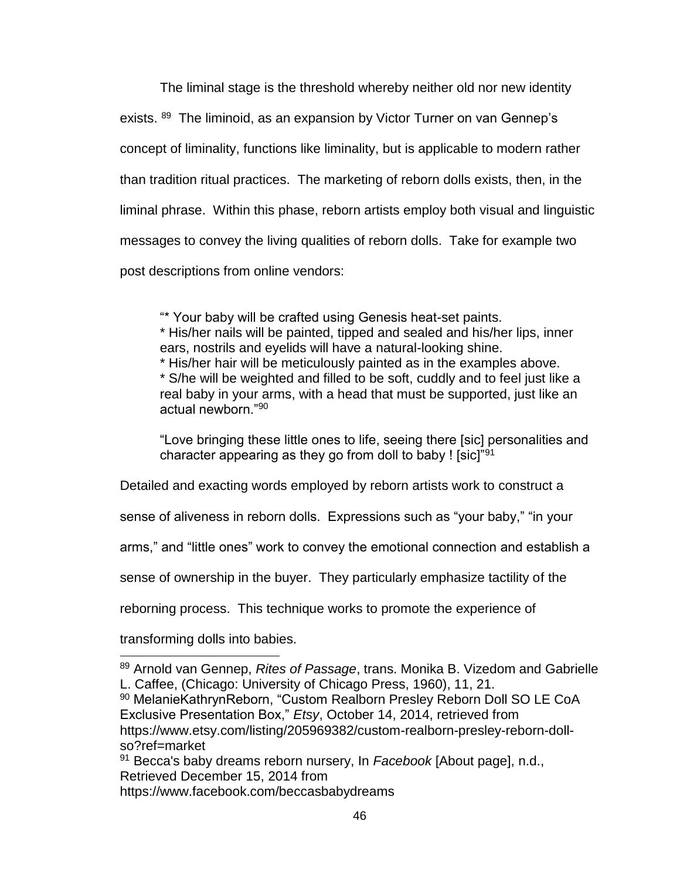The liminal stage is the threshold whereby neither old nor new identity exists. <sup>89</sup> The liminoid, as an expansion by Victor Turner on van Gennep's concept of liminality, functions like liminality, but is applicable to modern rather than tradition ritual practices. The marketing of reborn dolls exists, then, in the liminal phrase. Within this phase, reborn artists employ both visual and linguistic messages to convey the living qualities of reborn dolls. Take for example two post descriptions from online vendors:

"\* Your baby will be crafted using Genesis heat-set paints.

\* His/her nails will be painted, tipped and sealed and his/her lips, inner ears, nostrils and eyelids will have a natural-looking shine.

\* His/her hair will be meticulously painted as in the examples above. \* S/he will be weighted and filled to be soft, cuddly and to feel just like a real baby in your arms, with a head that must be supported, just like an actual newborn."<sup>90</sup>

"Love bringing these little ones to life, seeing there [sic] personalities and character appearing as they go from doll to baby ! [sic]"<sup>91</sup>

Detailed and exacting words employed by reborn artists work to construct a

sense of aliveness in reborn dolls. Expressions such as "your baby," "in your

arms," and "little ones" work to convey the emotional connection and establish a

sense of ownership in the buyer. They particularly emphasize tactility of the

reborning process. This technique works to promote the experience of

transforming dolls into babies.

 $\overline{a}$ 

<sup>90</sup> MelanieKathrynReborn, "Custom Realborn Presley Reborn Doll SO LE CoA Exclusive Presentation Box," *Etsy*, October 14, 2014, retrieved from https://www.etsy.com/listing/205969382/custom-realborn-presley-reborn-dollso?ref=market

<sup>91</sup> Becca's baby dreams reborn nursery, In *Facebook* [About page], n.d., Retrieved December 15, 2014 from https://www.facebook.com/beccasbabydreams

<sup>89</sup> Arnold van Gennep, *Rites of Passage*, trans. Monika B. Vizedom and Gabrielle L. Caffee, (Chicago: University of Chicago Press, 1960), 11, 21.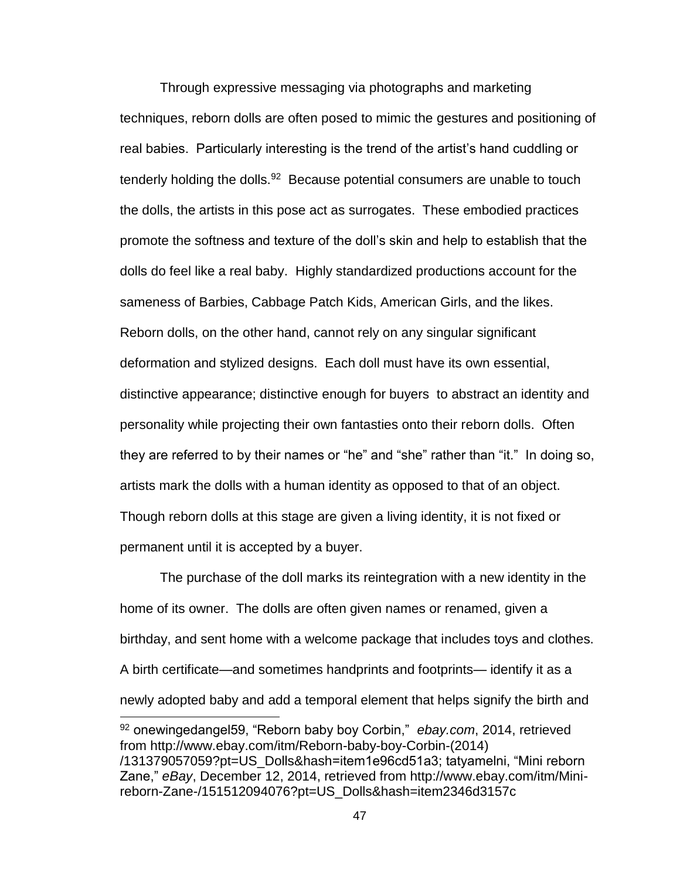Through expressive messaging via photographs and marketing techniques, reborn dolls are often posed to mimic the gestures and positioning of real babies. Particularly interesting is the trend of the artist's hand cuddling or tenderly holding the dolls.<sup>92</sup> Because potential consumers are unable to touch the dolls, the artists in this pose act as surrogates. These embodied practices promote the softness and texture of the doll's skin and help to establish that the dolls do feel like a real baby. Highly standardized productions account for the sameness of Barbies, Cabbage Patch Kids, American Girls, and the likes. Reborn dolls, on the other hand, cannot rely on any singular significant deformation and stylized designs. Each doll must have its own essential, distinctive appearance; distinctive enough for buyers to abstract an identity and personality while projecting their own fantasties onto their reborn dolls. Often they are referred to by their names or "he" and "she" rather than "it." In doing so, artists mark the dolls with a human identity as opposed to that of an object. Though reborn dolls at this stage are given a living identity, it is not fixed or permanent until it is accepted by a buyer.

The purchase of the doll marks its reintegration with a new identity in the home of its owner. The dolls are often given names or renamed, given a birthday, and sent home with a welcome package that includes toys and clothes. A birth certificate—and sometimes handprints and footprints— identify it as a newly adopted baby and add a temporal element that helps signify the birth and  $\overline{a}$ 

<sup>92</sup> onewingedangel59, "Reborn baby boy Corbin," *ebay.com*, 2014, retrieved from http://www.ebay.com/itm/Reborn-baby-boy-Corbin-(2014) /131379057059?pt=US\_Dolls&hash=item1e96cd51a3; tatyamelni, "Mini reborn Zane," *eBay*, December 12, 2014, retrieved from http://www.ebay.com/itm/Minireborn-Zane-/151512094076?pt=US\_Dolls&hash=item2346d3157c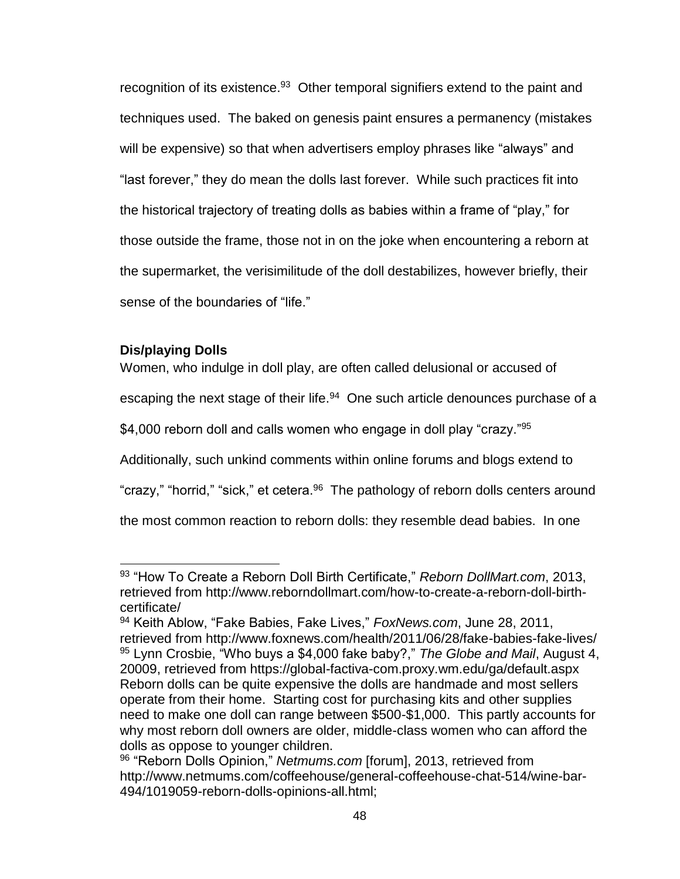recognition of its existence.<sup>93</sup> Other temporal signifiers extend to the paint and techniques used. The baked on genesis paint ensures a permanency (mistakes will be expensive) so that when advertisers employ phrases like "always" and "last forever," they do mean the dolls last forever. While such practices fit into the historical trajectory of treating dolls as babies within a frame of "play," for those outside the frame, those not in on the joke when encountering a reborn at the supermarket, the verisimilitude of the doll destabilizes, however briefly, their sense of the boundaries of "life."

# **Dis/playing Dolls**

 $\overline{a}$ 

Women, who indulge in doll play, are often called delusional or accused of escaping the next stage of their life.<sup>94</sup> One such article denounces purchase of a \$4,000 reborn doll and calls women who engage in doll play "crazy."<sup>95</sup> Additionally, such unkind comments within online forums and blogs extend to "crazy," "horrid," "sick," et cetera.<sup>96</sup> The pathology of reborn dolls centers around

the most common reaction to reborn dolls: they resemble dead babies. In one

<sup>93</sup> "How To Create a Reborn Doll Birth Certificate," *Reborn DollMart.com*, 2013, retrieved from http://www.reborndollmart.com/how-to-create-a-reborn-doll-birthcertificate/

<sup>94</sup> Keith Ablow, "Fake Babies, Fake Lives," *FoxNews.com*, June 28, 2011, retrieved from http://www.foxnews.com/health/2011/06/28/fake-babies-fake-lives/ <sup>95</sup> Lynn Crosbie, "Who buys a \$4,000 fake baby?," *The Globe and Mail*, August 4, 20009, retrieved from https://global-factiva-com.proxy.wm.edu/ga/default.aspx Reborn dolls can be quite expensive the dolls are handmade and most sellers operate from their home. Starting cost for purchasing kits and other supplies need to make one doll can range between \$500-\$1,000. This partly accounts for why most reborn doll owners are older, middle-class women who can afford the dolls as oppose to younger children.

<sup>96</sup> "Reborn Dolls Opinion," *Netmums.com* [forum], 2013, retrieved from http://www.netmums.com/coffeehouse/general-coffeehouse-chat-514/wine-bar-494/1019059-reborn-dolls-opinions-all.html;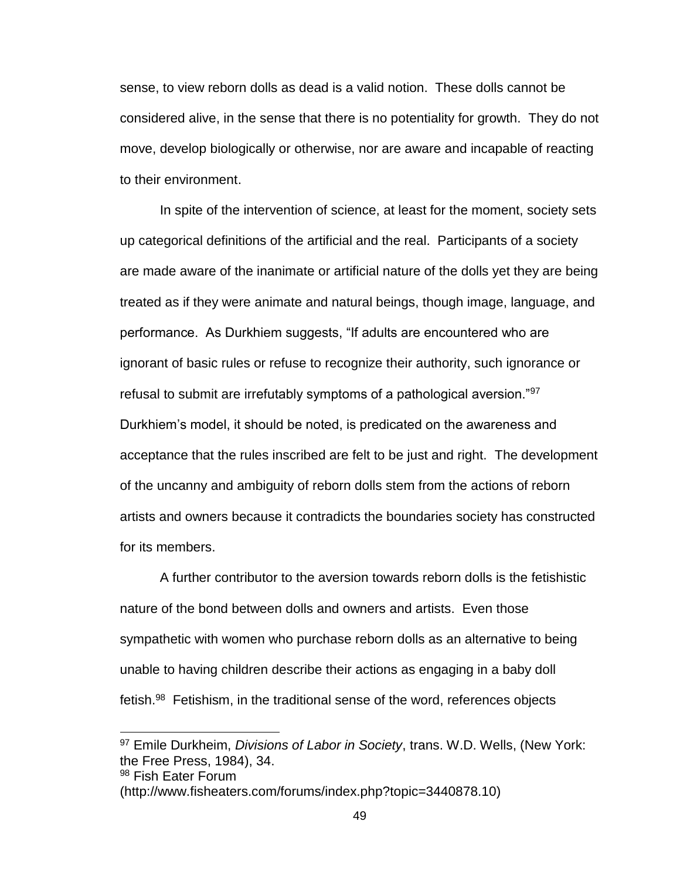sense, to view reborn dolls as dead is a valid notion. These dolls cannot be considered alive, in the sense that there is no potentiality for growth. They do not move, develop biologically or otherwise, nor are aware and incapable of reacting to their environment.

In spite of the intervention of science, at least for the moment, society sets up categorical definitions of the artificial and the real. Participants of a society are made aware of the inanimate or artificial nature of the dolls yet they are being treated as if they were animate and natural beings, though image, language, and performance. As Durkhiem suggests, "If adults are encountered who are ignorant of basic rules or refuse to recognize their authority, such ignorance or refusal to submit are irrefutably symptoms of a pathological aversion."<sup>97</sup> Durkhiem's model, it should be noted, is predicated on the awareness and acceptance that the rules inscribed are felt to be just and right. The development of the uncanny and ambiguity of reborn dolls stem from the actions of reborn artists and owners because it contradicts the boundaries society has constructed for its members.

A further contributor to the aversion towards reborn dolls is the fetishistic nature of the bond between dolls and owners and artists. Even those sympathetic with women who purchase reborn dolls as an alternative to being unable to having children describe their actions as engaging in a baby doll fetish.<sup>98</sup> Fetishism, in the traditional sense of the word, references objects

<sup>97</sup> Emile Durkheim, *Divisions of Labor in Society*, trans. W.D. Wells, (New York: the Free Press, 1984), 34.

<sup>98</sup> Fish Eater Forum

<sup>(</sup>http://www.fisheaters.com/forums/index.php?topic=3440878.10)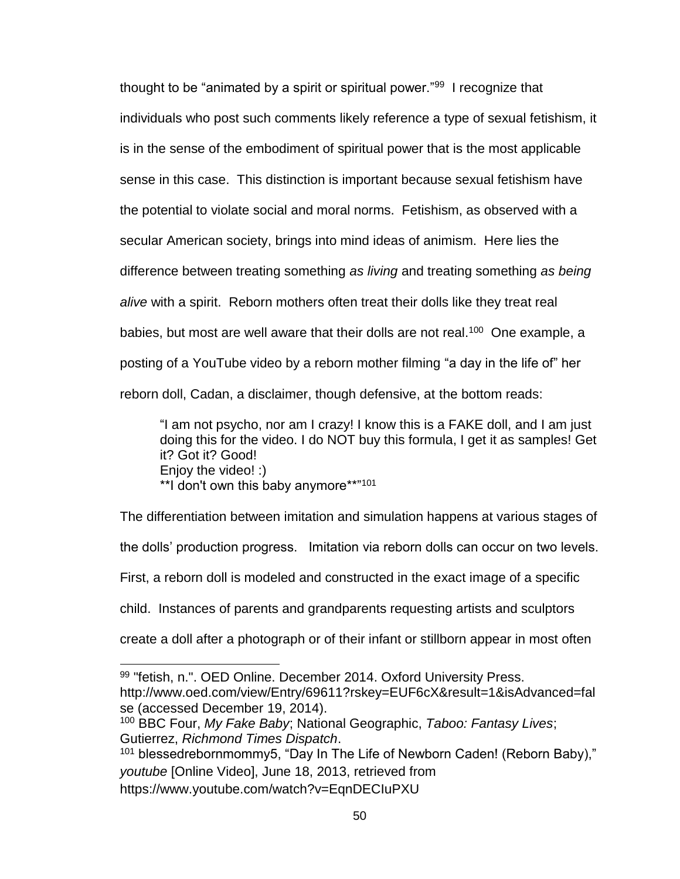thought to be "animated by a spirit or spiritual power."<sup>99</sup> I recognize that individuals who post such comments likely reference a type of sexual fetishism, it is in the sense of the embodiment of spiritual power that is the most applicable sense in this case. This distinction is important because sexual fetishism have the potential to violate social and moral norms. Fetishism, as observed with a secular American society, brings into mind ideas of animism. Here lies the difference between treating something *as living* and treating something *as being alive* with a spirit. Reborn mothers often treat their dolls like they treat real babies, but most are well aware that their dolls are not real.<sup>100</sup> One example, a posting of a YouTube video by a reborn mother filming "a day in the life of" her reborn doll, Cadan, a disclaimer, though defensive, at the bottom reads:

"I am not psycho, nor am I crazy! I know this is a FAKE doll, and I am just doing this for the video. I do NOT buy this formula, I get it as samples! Get it? Got it? Good! Enjoy the video! :) \*\*I don't own this baby anymore\*\*"<sup>101</sup>

The differentiation between imitation and simulation happens at various stages of the dolls' production progress. Imitation via reborn dolls can occur on two levels. First, a reborn doll is modeled and constructed in the exact image of a specific child. Instances of parents and grandparents requesting artists and sculptors create a doll after a photograph or of their infant or stillborn appear in most often  $\overline{a}$ 

 $101$  blessedrebornmommy5, "Day In The Life of Newborn Caden! (Reborn Baby)," *youtube* [Online Video], June 18, 2013, retrieved from https://www.youtube.com/watch?v=EqnDECIuPXU

<sup>99 &</sup>quot;fetish, n.". OED Online. December 2014. Oxford University Press. http://www.oed.com/view/Entry/69611?rskey=EUF6cX&result=1&isAdvanced=fal se (accessed December 19, 2014).

<sup>100</sup> BBC Four, *My Fake Baby*; National Geographic, *Taboo: Fantasy Lives*; Gutierrez, *Richmond Times Dispatch*.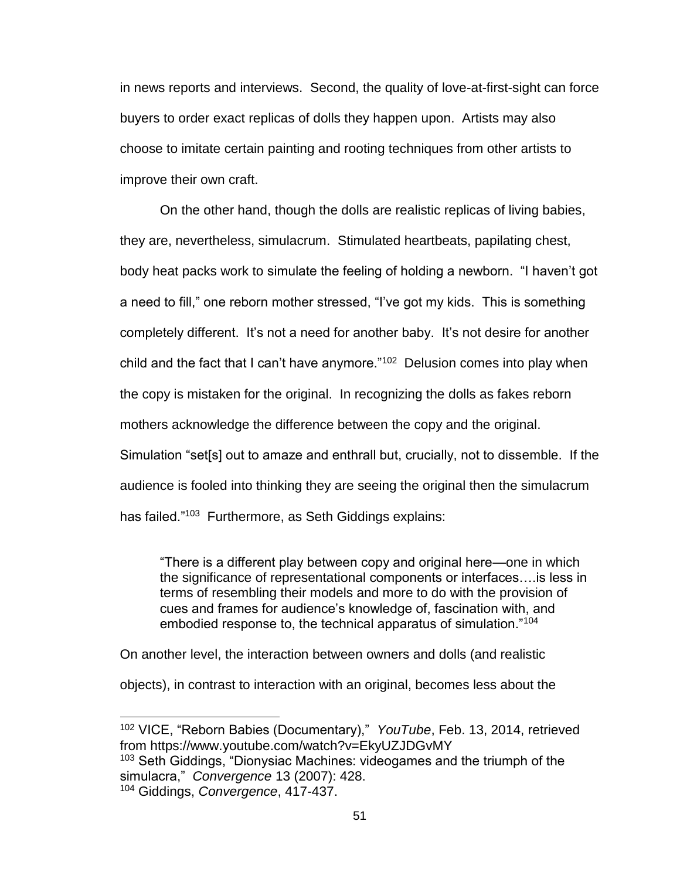in news reports and interviews. Second, the quality of love-at-first-sight can force buyers to order exact replicas of dolls they happen upon. Artists may also choose to imitate certain painting and rooting techniques from other artists to improve their own craft.

On the other hand, though the dolls are realistic replicas of living babies, they are, nevertheless, simulacrum. Stimulated heartbeats, papilating chest, body heat packs work to simulate the feeling of holding a newborn. "I haven't got a need to fill," one reborn mother stressed, "I've got my kids. This is something completely different. It's not a need for another baby. It's not desire for another child and the fact that I can't have anymore."<sup>102</sup> Delusion comes into play when the copy is mistaken for the original. In recognizing the dolls as fakes reborn mothers acknowledge the difference between the copy and the original. Simulation "set[s] out to amaze and enthrall but, crucially, not to dissemble. If the audience is fooled into thinking they are seeing the original then the simulacrum has failed."<sup>103</sup> Furthermore, as Seth Giddings explains:

"There is a different play between copy and original here—one in which the significance of representational components or interfaces….is less in terms of resembling their models and more to do with the provision of cues and frames for audience's knowledge of, fascination with, and embodied response to, the technical apparatus of simulation."<sup>104</sup>

On another level, the interaction between owners and dolls (and realistic

objects), in contrast to interaction with an original, becomes less about the

<sup>103</sup> Seth Giddings, "Dionysiac Machines: videogames and the triumph of the simulacra," *Convergence* 13 (2007): 428.

<sup>102</sup> VICE, "Reborn Babies (Documentary)," *YouTube*, Feb. 13, 2014, retrieved from https://www.youtube.com/watch?v=EkyUZJDGvMY

<sup>104</sup> Giddings, *Convergence*, 417-437.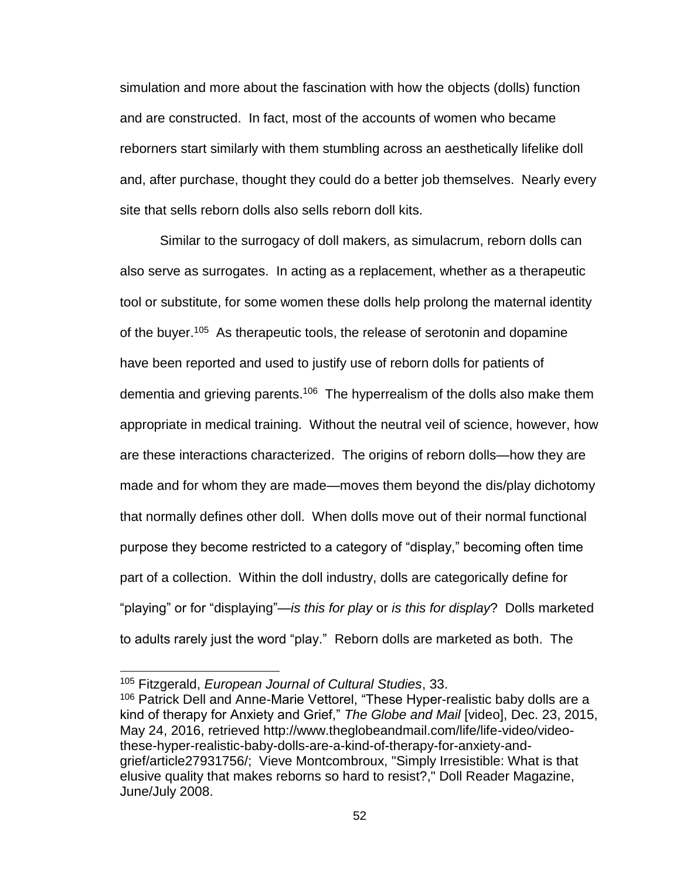simulation and more about the fascination with how the objects (dolls) function and are constructed. In fact, most of the accounts of women who became reborners start similarly with them stumbling across an aesthetically lifelike doll and, after purchase, thought they could do a better job themselves. Nearly every site that sells reborn dolls also sells reborn doll kits.

Similar to the surrogacy of doll makers, as simulacrum, reborn dolls can also serve as surrogates. In acting as a replacement, whether as a therapeutic tool or substitute, for some women these dolls help prolong the maternal identity of the buyer.<sup>105</sup> As therapeutic tools, the release of serotonin and dopamine have been reported and used to justify use of reborn dolls for patients of dementia and grieving parents.<sup>106</sup> The hyperrealism of the dolls also make them appropriate in medical training. Without the neutral veil of science, however, how are these interactions characterized. The origins of reborn dolls—how they are made and for whom they are made—moves them beyond the dis/play dichotomy that normally defines other doll. When dolls move out of their normal functional purpose they become restricted to a category of "display," becoming often time part of a collection. Within the doll industry, dolls are categorically define for "playing" or for "displaying"—*is this for play* or *is this for display*? Dolls marketed to adults rarely just the word "play." Reborn dolls are marketed as both. The

<sup>105</sup> Fitzgerald, *European Journal of Cultural Studies*, 33.

<sup>106</sup> Patrick Dell and Anne-Marie Vettorel, "These Hyper-realistic baby dolls are a kind of therapy for Anxiety and Grief," *The Globe and Mail* [video], Dec. 23, 2015, May 24, 2016, retrieved http://www.theglobeandmail.com/life/life-video/videothese-hyper-realistic-baby-dolls-are-a-kind-of-therapy-for-anxiety-andgrief/article27931756/; Vieve Montcombroux, "Simply Irresistible: What is that elusive quality that makes reborns so hard to resist?," Doll Reader Magazine, June/July 2008.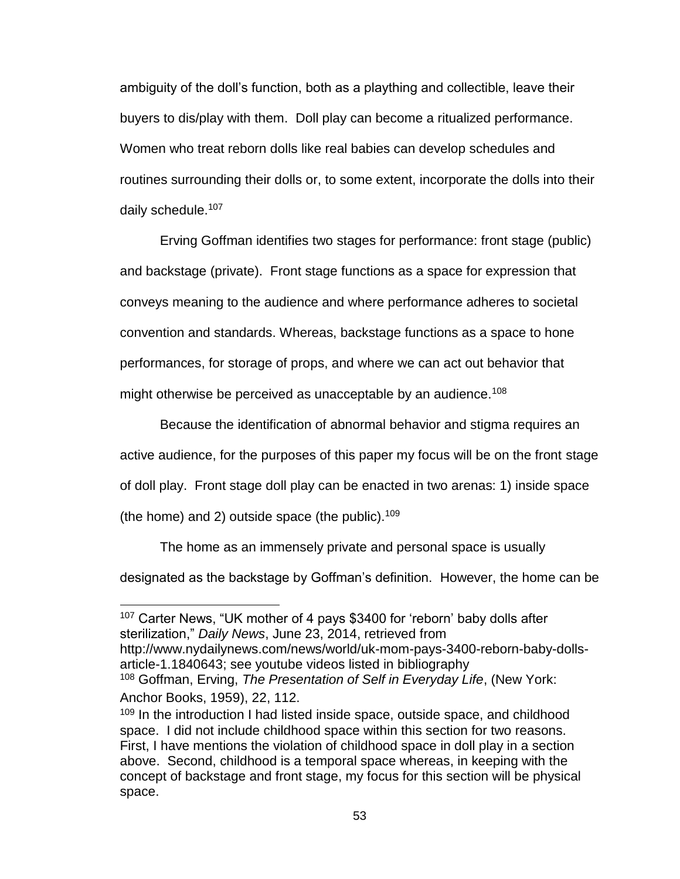ambiguity of the doll's function, both as a plaything and collectible, leave their buyers to dis/play with them. Doll play can become a ritualized performance. Women who treat reborn dolls like real babies can develop schedules and routines surrounding their dolls or, to some extent, incorporate the dolls into their daily schedule.<sup>107</sup>

Erving Goffman identifies two stages for performance: front stage (public) and backstage (private). Front stage functions as a space for expression that conveys meaning to the audience and where performance adheres to societal convention and standards. Whereas, backstage functions as a space to hone performances, for storage of props, and where we can act out behavior that might otherwise be perceived as unacceptable by an audience.<sup>108</sup>

Because the identification of abnormal behavior and stigma requires an active audience, for the purposes of this paper my focus will be on the front stage of doll play. Front stage doll play can be enacted in two arenas: 1) inside space (the home) and 2) outside space (the public).<sup>109</sup>

The home as an immensely private and personal space is usually

designated as the backstage by Goffman's definition. However, the home can be

http://www.nydailynews.com/news/world/uk-mom-pays-3400-reborn-baby-dollsarticle-1.1840643; see youtube videos listed in bibliography

<sup>107</sup> Carter News, "UK mother of 4 pays \$3400 for 'reborn' baby dolls after sterilization," *Daily News*, June 23, 2014, retrieved from

<sup>108</sup> Goffman, Erving, *The Presentation of Self in Everyday Life*, (New York: Anchor Books, 1959), 22, 112.

<sup>&</sup>lt;sup>109</sup> In the introduction I had listed inside space, outside space, and childhood space. I did not include childhood space within this section for two reasons. First, I have mentions the violation of childhood space in doll play in a section above. Second, childhood is a temporal space whereas, in keeping with the concept of backstage and front stage, my focus for this section will be physical space.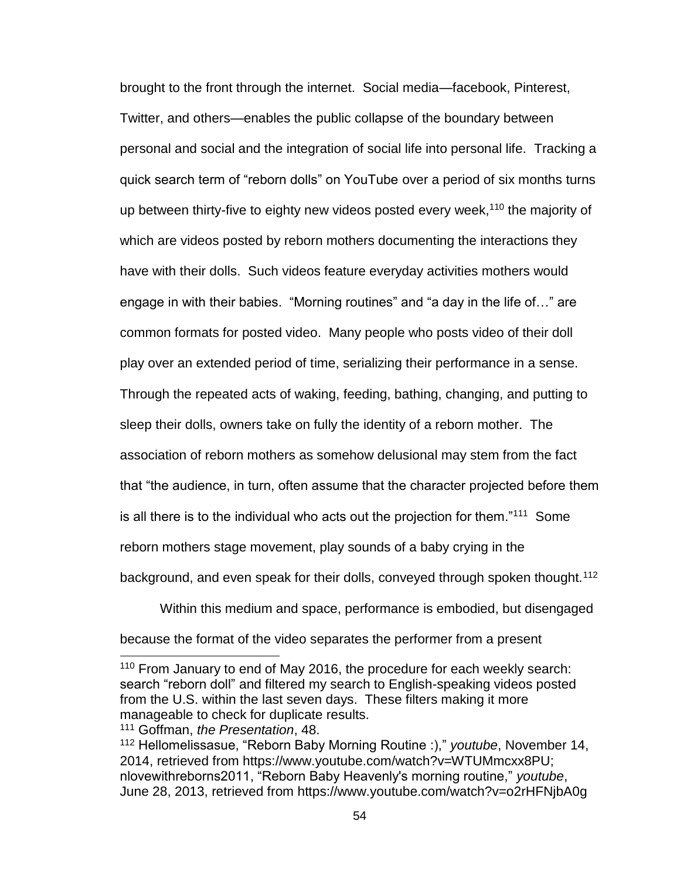brought to the front through the internet. Social media—facebook, Pinterest, Twitter, and others—enables the public collapse of the boundary between personal and social and the integration of social life into personal life. Tracking a quick search term of "reborn dolls" on YouTube over a period of six months turns up between thirty-five to eighty new videos posted every week,<sup>110</sup> the majority of which are videos posted by reborn mothers documenting the interactions they have with their dolls. Such videos feature everyday activities mothers would engage in with their babies. "Morning routines" and "a day in the life of…" are common formats for posted video. Many people who posts video of their doll play over an extended period of time, serializing their performance in a sense. Through the repeated acts of waking, feeding, bathing, changing, and putting to sleep their dolls, owners take on fully the identity of a reborn mother. The association of reborn mothers as somehow delusional may stem from the fact that "the audience, in turn, often assume that the character projected before them is all there is to the individual who acts out the projection for them." $111$  Some reborn mothers stage movement, play sounds of a baby crying in the background, and even speak for their dolls, conveyed through spoken thought.<sup>112</sup>

Within this medium and space, performance is embodied, but disengaged because the format of the video separates the performer from a present

<sup>111</sup> Goffman, *the Presentation*, 48.

<sup>&</sup>lt;sup>110</sup> From January to end of May 2016, the procedure for each weekly search: search "reborn doll" and filtered my search to English-speaking videos posted from the U.S. within the last seven days. These filters making it more manageable to check for duplicate results.

<sup>112</sup> Hellomelissasue, "Reborn Baby Morning Routine :)," *youtube*, November 14, 2014, retrieved from https://www.youtube.com/watch?v=WTUMmcxx8PU; nlovewithreborns2011, "Reborn Baby Heavenly's morning routine," *youtube*, June 28, 2013, retrieved from https://www.youtube.com/watch?v=o2rHFNjbA0g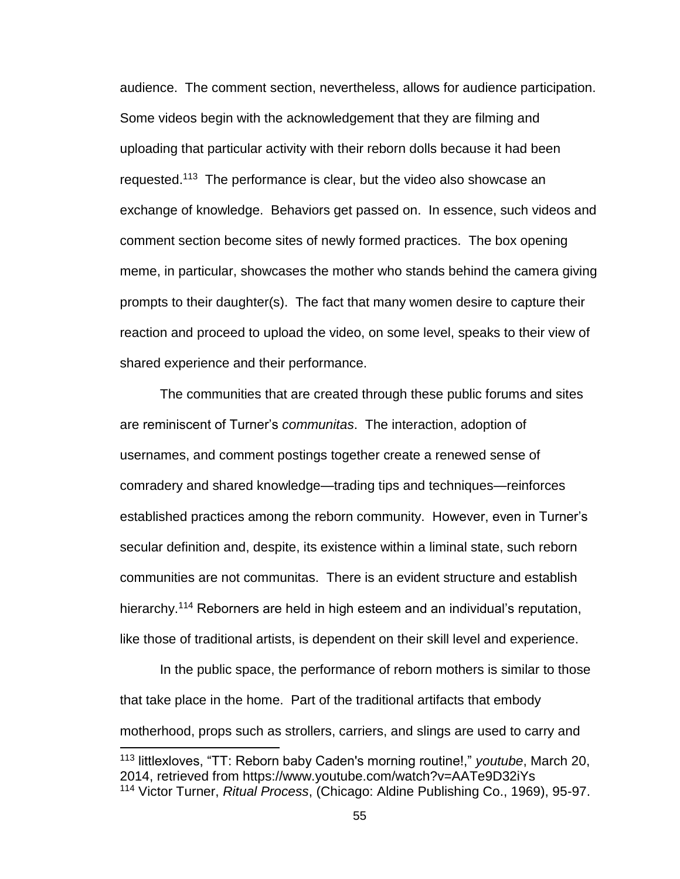audience. The comment section, nevertheless, allows for audience participation. Some videos begin with the acknowledgement that they are filming and uploading that particular activity with their reborn dolls because it had been requested.<sup>113</sup> The performance is clear, but the video also showcase an exchange of knowledge. Behaviors get passed on. In essence, such videos and comment section become sites of newly formed practices. The box opening meme, in particular, showcases the mother who stands behind the camera giving prompts to their daughter(s). The fact that many women desire to capture their reaction and proceed to upload the video, on some level, speaks to their view of shared experience and their performance.

The communities that are created through these public forums and sites are reminiscent of Turner's *communitas*. The interaction, adoption of usernames, and comment postings together create a renewed sense of comradery and shared knowledge—trading tips and techniques—reinforces established practices among the reborn community. However, even in Turner's secular definition and, despite, its existence within a liminal state, such reborn communities are not communitas. There is an evident structure and establish hierarchy.<sup>114</sup> Reborners are held in high esteem and an individual's reputation, like those of traditional artists, is dependent on their skill level and experience.

In the public space, the performance of reborn mothers is similar to those that take place in the home. Part of the traditional artifacts that embody motherhood, props such as strollers, carriers, and slings are used to carry and

<sup>113</sup> littlexloves, "TT: Reborn baby Caden's morning routine!," *youtube*, March 20, 2014, retrieved from https://www.youtube.com/watch?v=AATe9D32iYs <sup>114</sup> Victor Turner, *Ritual Process*, (Chicago: Aldine Publishing Co., 1969), 95-97.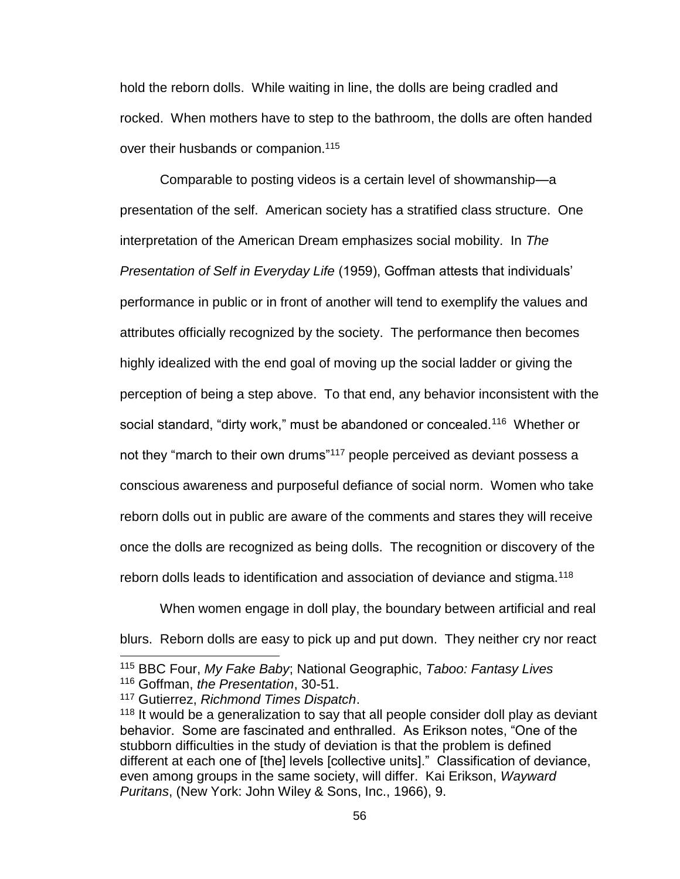hold the reborn dolls. While waiting in line, the dolls are being cradled and rocked. When mothers have to step to the bathroom, the dolls are often handed over their husbands or companion.<sup>115</sup>

Comparable to posting videos is a certain level of showmanship—a presentation of the self. American society has a stratified class structure. One interpretation of the American Dream emphasizes social mobility. In *The Presentation of Self in Everyday Life* (1959), Goffman attests that individuals' performance in public or in front of another will tend to exemplify the values and attributes officially recognized by the society. The performance then becomes highly idealized with the end goal of moving up the social ladder or giving the perception of being a step above. To that end, any behavior inconsistent with the social standard, "dirty work," must be abandoned or concealed.<sup>116</sup> Whether or not they "march to their own drums"<sup>117</sup> people perceived as deviant possess a conscious awareness and purposeful defiance of social norm. Women who take reborn dolls out in public are aware of the comments and stares they will receive once the dolls are recognized as being dolls. The recognition or discovery of the reborn dolls leads to identification and association of deviance and stigma.<sup>118</sup>

When women engage in doll play, the boundary between artificial and real blurs. Reborn dolls are easy to pick up and put down. They neither cry nor react

<sup>115</sup> BBC Four, *My Fake Baby*; National Geographic, *Taboo: Fantasy Lives* <sup>116</sup> Goffman, *the Presentation*, 30-51.

<sup>117</sup> Gutierrez, *Richmond Times Dispatch*.

<sup>&</sup>lt;sup>118</sup> It would be a generalization to say that all people consider doll play as deviant behavior. Some are fascinated and enthralled. As Erikson notes, "One of the stubborn difficulties in the study of deviation is that the problem is defined different at each one of [the] levels [collective units]." Classification of deviance, even among groups in the same society, will differ. Kai Erikson, *Wayward Puritans*, (New York: John Wiley & Sons, Inc., 1966), 9.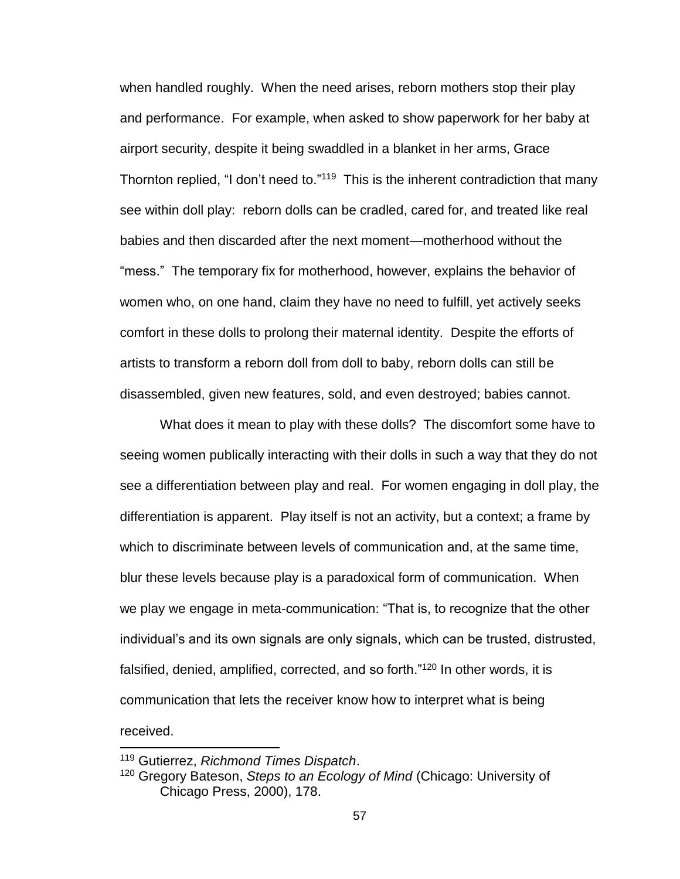when handled roughly. When the need arises, reborn mothers stop their play and performance. For example, when asked to show paperwork for her baby at airport security, despite it being swaddled in a blanket in her arms, Grace Thornton replied, "I don't need to."<sup>119</sup> This is the inherent contradiction that many see within doll play: reborn dolls can be cradled, cared for, and treated like real babies and then discarded after the next moment—motherhood without the "mess." The temporary fix for motherhood, however, explains the behavior of women who, on one hand, claim they have no need to fulfill, yet actively seeks comfort in these dolls to prolong their maternal identity. Despite the efforts of artists to transform a reborn doll from doll to baby, reborn dolls can still be disassembled, given new features, sold, and even destroyed; babies cannot.

What does it mean to play with these dolls? The discomfort some have to seeing women publically interacting with their dolls in such a way that they do not see a differentiation between play and real. For women engaging in doll play, the differentiation is apparent. Play itself is not an activity, but a context; a frame by which to discriminate between levels of communication and, at the same time, blur these levels because play is a paradoxical form of communication. When we play we engage in meta-communication: "That is, to recognize that the other individual's and its own signals are only signals, which can be trusted, distrusted, falsified, denied, amplified, corrected, and so forth."<sup>120</sup> In other words, it is communication that lets the receiver know how to interpret what is being received.

<sup>119</sup> Gutierrez, *Richmond Times Dispatch*.

<sup>120</sup> Gregory Bateson, *Steps to an Ecology of Mind* (Chicago: University of Chicago Press, 2000), 178.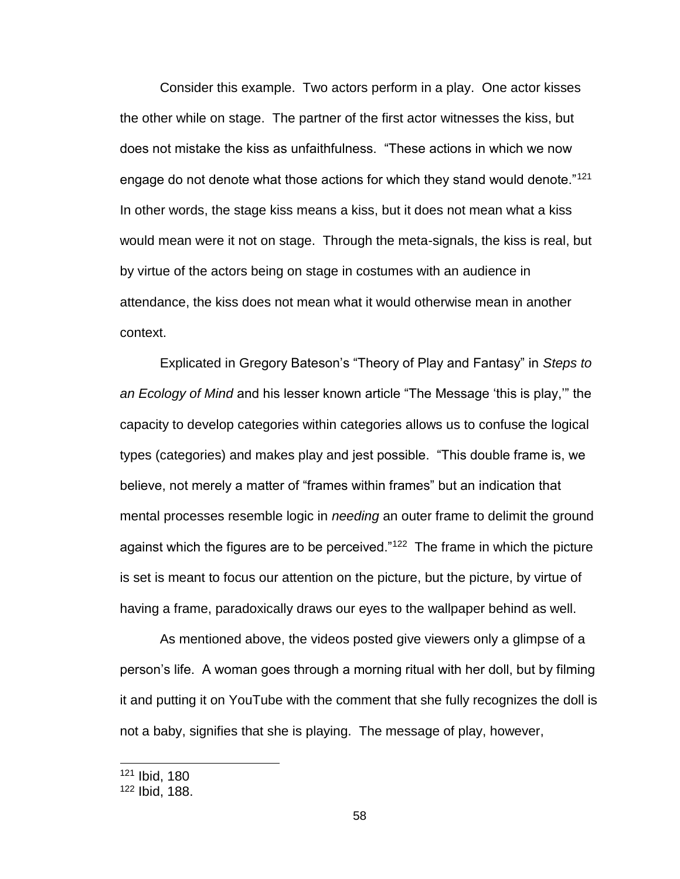Consider this example. Two actors perform in a play. One actor kisses the other while on stage. The partner of the first actor witnesses the kiss, but does not mistake the kiss as unfaithfulness. "These actions in which we now engage do not denote what those actions for which they stand would denote."<sup>121</sup> In other words, the stage kiss means a kiss, but it does not mean what a kiss would mean were it not on stage. Through the meta-signals, the kiss is real, but by virtue of the actors being on stage in costumes with an audience in attendance, the kiss does not mean what it would otherwise mean in another context.

Explicated in Gregory Bateson's "Theory of Play and Fantasy" in *Steps to an Ecology of Mind* and his lesser known article "The Message 'this is play,'" the capacity to develop categories within categories allows us to confuse the logical types (categories) and makes play and jest possible. "This double frame is, we believe, not merely a matter of "frames within frames" but an indication that mental processes resemble logic in *needing* an outer frame to delimit the ground against which the figures are to be perceived."<sup>122</sup> The frame in which the picture is set is meant to focus our attention on the picture, but the picture, by virtue of having a frame, paradoxically draws our eyes to the wallpaper behind as well.

As mentioned above, the videos posted give viewers only a glimpse of a person's life. A woman goes through a morning ritual with her doll, but by filming it and putting it on YouTube with the comment that she fully recognizes the doll is not a baby, signifies that she is playing. The message of play, however,

<sup>121</sup> Ibid, 180

<sup>122</sup> Ibid, 188.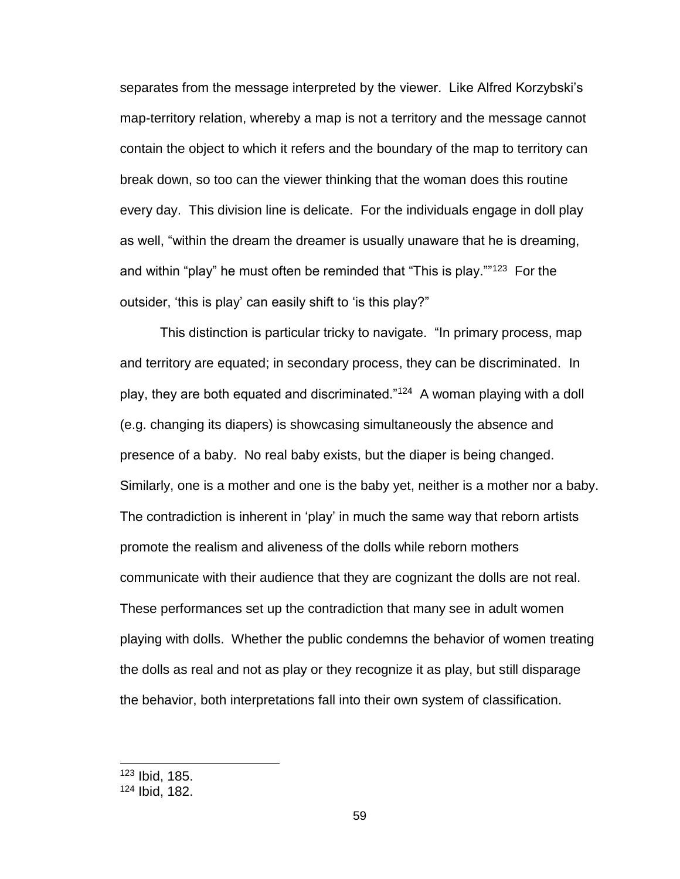separates from the message interpreted by the viewer. Like Alfred Korzybski's map-territory relation, whereby a map is not a territory and the message cannot contain the object to which it refers and the boundary of the map to territory can break down, so too can the viewer thinking that the woman does this routine every day. This division line is delicate. For the individuals engage in doll play as well, "within the dream the dreamer is usually unaware that he is dreaming, and within "play" he must often be reminded that "This is play.""<sup>123</sup> For the outsider, 'this is play' can easily shift to 'is this play?"

This distinction is particular tricky to navigate. "In primary process, map and territory are equated; in secondary process, they can be discriminated. In play, they are both equated and discriminated."<sup>124</sup> A woman playing with a doll (e.g. changing its diapers) is showcasing simultaneously the absence and presence of a baby. No real baby exists, but the diaper is being changed. Similarly, one is a mother and one is the baby yet, neither is a mother nor a baby. The contradiction is inherent in 'play' in much the same way that reborn artists promote the realism and aliveness of the dolls while reborn mothers communicate with their audience that they are cognizant the dolls are not real. These performances set up the contradiction that many see in adult women playing with dolls. Whether the public condemns the behavior of women treating the dolls as real and not as play or they recognize it as play, but still disparage the behavior, both interpretations fall into their own system of classification.

<sup>123</sup> Ibid, 185.

<sup>124</sup> Ibid, 182.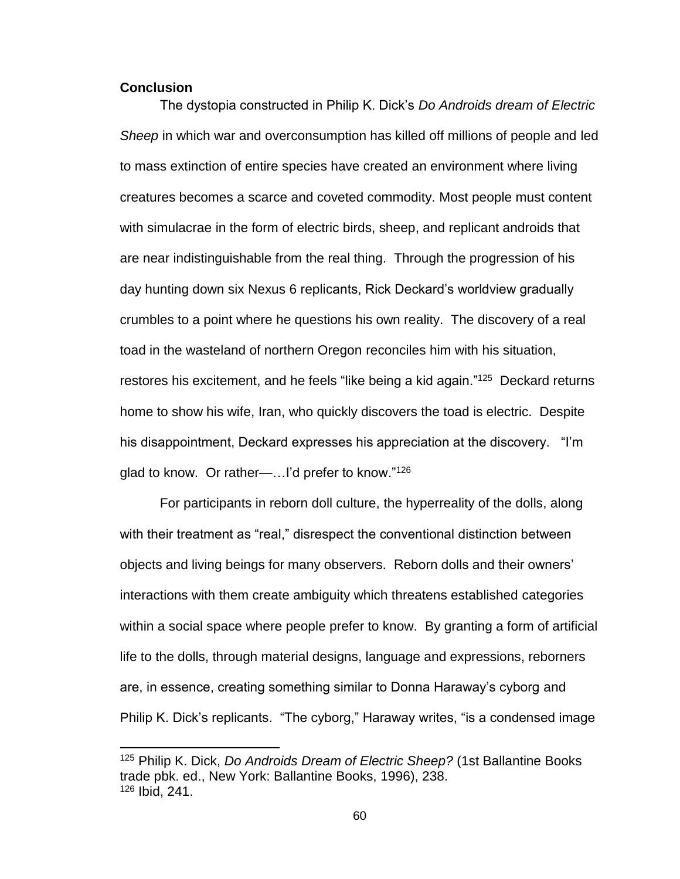### **Conclusion**

 $\overline{a}$ 

The dystopia constructed in Philip K. Dick's *Do Androids dream of Electric Sheep* in which war and overconsumption has killed off millions of people and led to mass extinction of entire species have created an environment where living creatures becomes a scarce and coveted commodity. Most people must content with simulacrae in the form of electric birds, sheep, and replicant androids that are near indistinguishable from the real thing. Through the progression of his day hunting down six Nexus 6 replicants, Rick Deckard's worldview gradually crumbles to a point where he questions his own reality. The discovery of a real toad in the wasteland of northern Oregon reconciles him with his situation, restores his excitement, and he feels "like being a kid again."<sup>125</sup> Deckard returns home to show his wife, Iran, who quickly discovers the toad is electric. Despite his disappointment, Deckard expresses his appreciation at the discovery. "I'm glad to know. Or rather—...I'd prefer to know."<sup>126</sup>

For participants in reborn doll culture, the hyperreality of the dolls, along with their treatment as "real," disrespect the conventional distinction between objects and living beings for many observers. Reborn dolls and their owners' interactions with them create ambiguity which threatens established categories within a social space where people prefer to know. By granting a form of artificial life to the dolls, through material designs, language and expressions, reborners are, in essence, creating something similar to Donna Haraway's cyborg and Philip K. Dick's replicants. "The cyborg," Haraway writes, "is a condensed image

<sup>125</sup> Philip K. Dick, *Do Androids Dream of Electric Sheep?* (1st Ballantine Books trade pbk. ed., New York: Ballantine Books, 1996), 238. <sup>126</sup> Ibid, 241.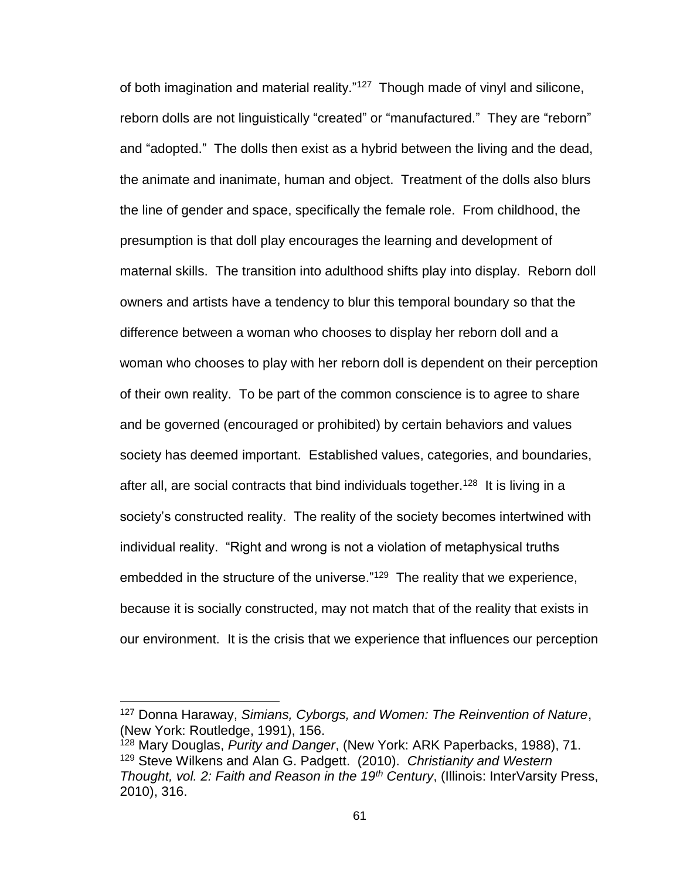of both imagination and material reality."<sup>127</sup> Though made of vinyl and silicone, reborn dolls are not linguistically "created" or "manufactured." They are "reborn" and "adopted." The dolls then exist as a hybrid between the living and the dead, the animate and inanimate, human and object. Treatment of the dolls also blurs the line of gender and space, specifically the female role. From childhood, the presumption is that doll play encourages the learning and development of maternal skills. The transition into adulthood shifts play into display. Reborn doll owners and artists have a tendency to blur this temporal boundary so that the difference between a woman who chooses to display her reborn doll and a woman who chooses to play with her reborn doll is dependent on their perception of their own reality. To be part of the common conscience is to agree to share and be governed (encouraged or prohibited) by certain behaviors and values society has deemed important. Established values, categories, and boundaries, after all, are social contracts that bind individuals together.<sup>128</sup> It is living in a society's constructed reality. The reality of the society becomes intertwined with individual reality. "Right and wrong is not a violation of metaphysical truths embedded in the structure of the universe."<sup>129</sup> The reality that we experience, because it is socially constructed, may not match that of the reality that exists in our environment. It is the crisis that we experience that influences our perception

<sup>127</sup> Donna Haraway, *Simians, Cyborgs, and Women: The Reinvention of Nature*, (New York: Routledge, 1991), 156.

<sup>128</sup> Mary Douglas, *Purity and Danger*, (New York: ARK Paperbacks, 1988), 71. <sup>129</sup> Steve Wilkens and Alan G. Padgett. (2010). *Christianity and Western Thought, vol. 2: Faith and Reason in the 19th Century*, (Illinois: InterVarsity Press, 2010), 316.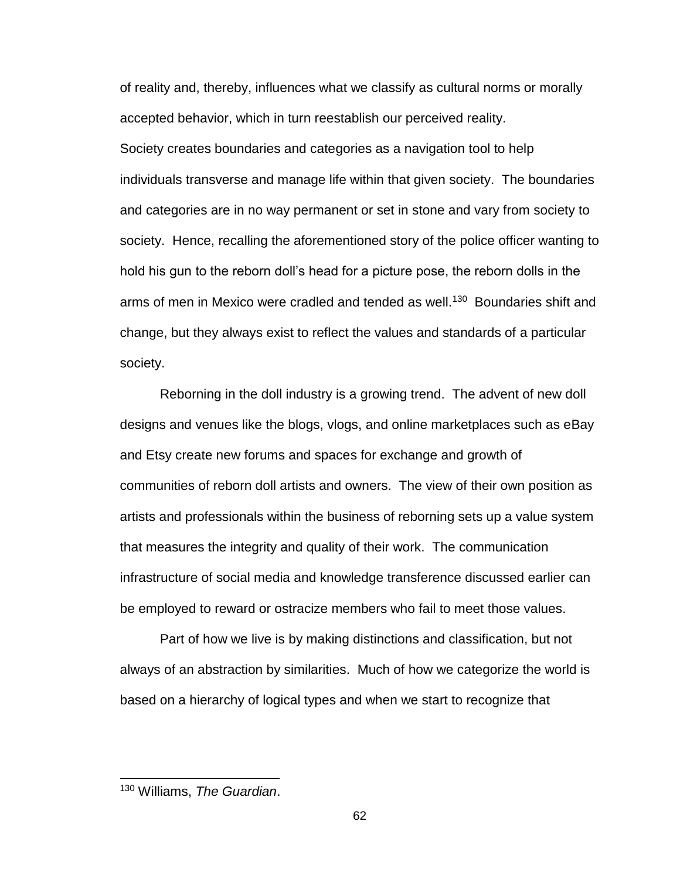of reality and, thereby, influences what we classify as cultural norms or morally accepted behavior, which in turn reestablish our perceived reality. Society creates boundaries and categories as a navigation tool to help individuals transverse and manage life within that given society. The boundaries and categories are in no way permanent or set in stone and vary from society to society. Hence, recalling the aforementioned story of the police officer wanting to hold his gun to the reborn doll's head for a picture pose, the reborn dolls in the arms of men in Mexico were cradled and tended as well.<sup>130</sup> Boundaries shift and change, but they always exist to reflect the values and standards of a particular society.

Reborning in the doll industry is a growing trend. The advent of new doll designs and venues like the blogs, vlogs, and online marketplaces such as eBay and Etsy create new forums and spaces for exchange and growth of communities of reborn doll artists and owners. The view of their own position as artists and professionals within the business of reborning sets up a value system that measures the integrity and quality of their work. The communication infrastructure of social media and knowledge transference discussed earlier can be employed to reward or ostracize members who fail to meet those values.

Part of how we live is by making distinctions and classification, but not always of an abstraction by similarities. Much of how we categorize the world is based on a hierarchy of logical types and when we start to recognize that

<sup>130</sup> Williams, *The Guardian*.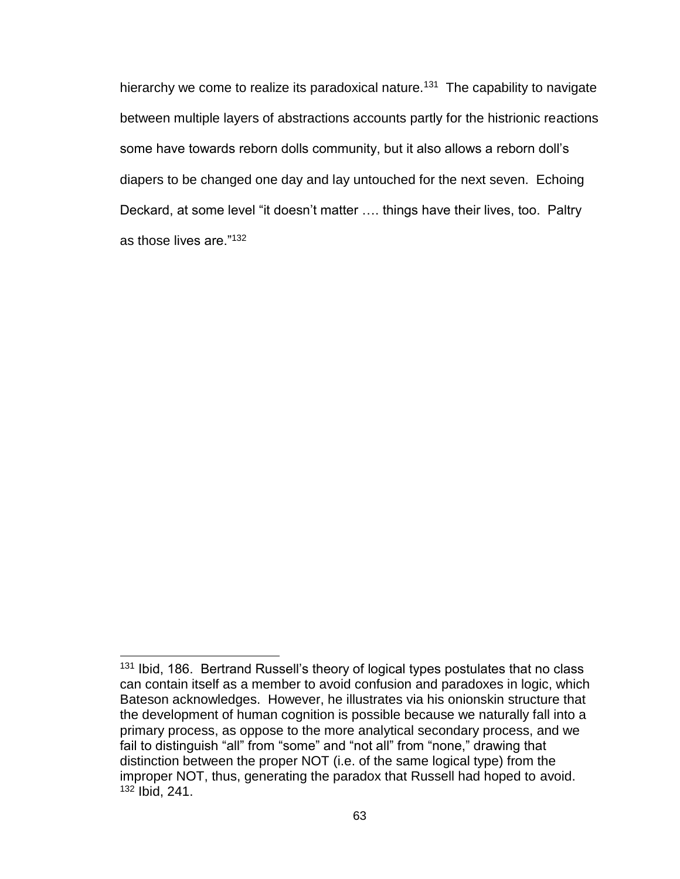hierarchy we come to realize its paradoxical nature.<sup>131</sup> The capability to navigate between multiple layers of abstractions accounts partly for the histrionic reactions some have towards reborn dolls community, but it also allows a reborn doll's diapers to be changed one day and lay untouched for the next seven. Echoing Deckard, at some level "it doesn't matter …. things have their lives, too. Paltry as those lives are."<sup>132</sup>

<sup>&</sup>lt;sup>131</sup> Ibid, 186. Bertrand Russell's theory of logical types postulates that no class can contain itself as a member to avoid confusion and paradoxes in logic, which Bateson acknowledges. However, he illustrates via his onionskin structure that the development of human cognition is possible because we naturally fall into a primary process, as oppose to the more analytical secondary process, and we fail to distinguish "all" from "some" and "not all" from "none," drawing that distinction between the proper NOT (i.e. of the same logical type) from the improper NOT, thus, generating the paradox that Russell had hoped to avoid. <sup>132</sup> Ibid, 241.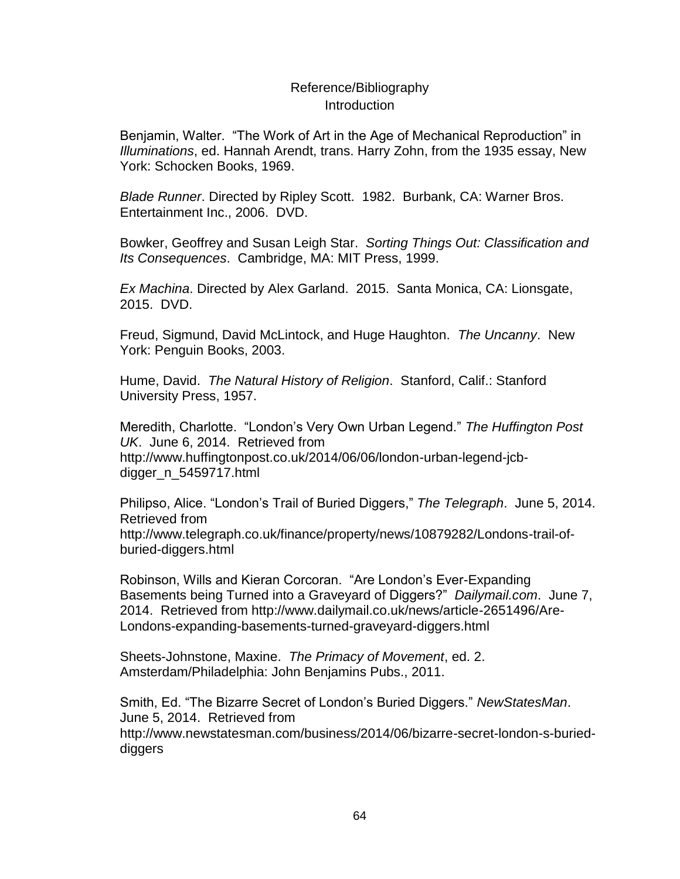# Reference/Bibliography Introduction

Benjamin, Walter. "The Work of Art in the Age of Mechanical Reproduction" in *Illuminations*, ed. Hannah Arendt, trans. Harry Zohn, from the 1935 essay, New York: Schocken Books, 1969.

*Blade Runner*. Directed by Ripley Scott. 1982. Burbank, CA: Warner Bros. Entertainment Inc., 2006. DVD.

Bowker, Geoffrey and Susan Leigh Star. *Sorting Things Out: Classification and Its Consequences*. Cambridge, MA: MIT Press, 1999.

*Ex Machina*. Directed by Alex Garland. 2015. Santa Monica, CA: Lionsgate, 2015. DVD.

Freud, Sigmund, David McLintock, and Huge Haughton. *The Uncanny*. New York: Penguin Books, 2003.

Hume, David. *The Natural History of Religion*. Stanford, Calif.: Stanford University Press, 1957.

Meredith, Charlotte. "London's Very Own Urban Legend." *The Huffington Post UK*. June 6, 2014. Retrieved from http://www.huffingtonpost.co.uk/2014/06/06/london-urban-legend-jcbdigger\_n\_5459717.html

Philipso, Alice. "London's Trail of Buried Diggers," *The Telegraph*. June 5, 2014. Retrieved from http://www.telegraph.co.uk/finance/property/news/10879282/Londons-trail-ofburied-diggers.html

Robinson, Wills and Kieran Corcoran. "Are London's Ever-Expanding Basements being Turned into a Graveyard of Diggers?" *Dailymail.com*. June 7, 2014. Retrieved from http://www.dailymail.co.uk/news/article-2651496/Are-Londons-expanding-basements-turned-graveyard-diggers.html

Sheets-Johnstone, Maxine. *The Primacy of Movement*, ed. 2. Amsterdam/Philadelphia: John Benjamins Pubs., 2011.

Smith, Ed. "The Bizarre Secret of London's Buried Diggers." *NewStatesMan*. June 5, 2014. Retrieved from http://www.newstatesman.com/business/2014/06/bizarre-secret-london-s-burieddiggers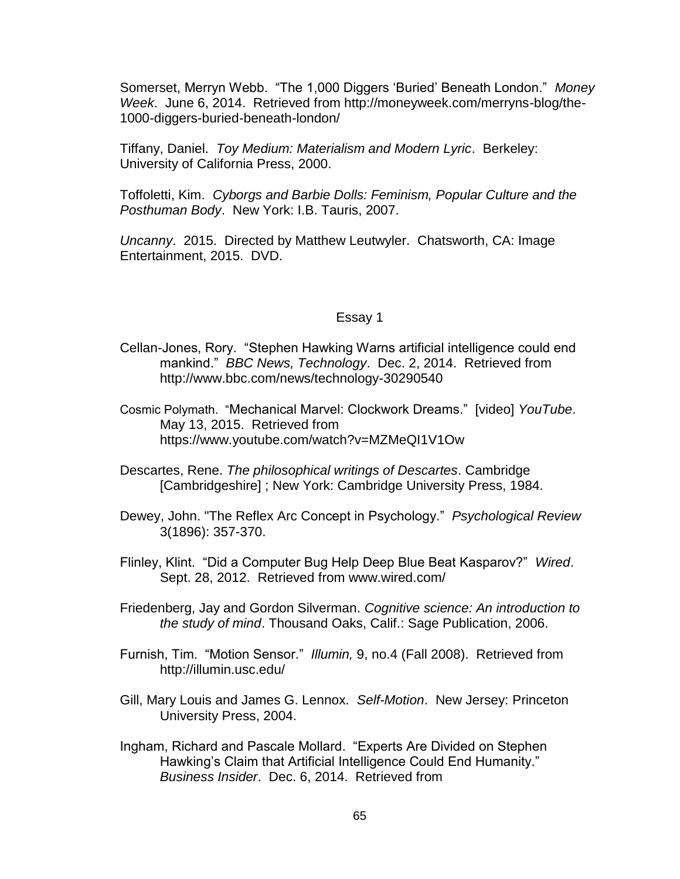Somerset, Merryn Webb. "The 1,000 Diggers 'Buried' Beneath London." *Money Week*. June 6, 2014. Retrieved from http://moneyweek.com/merryns-blog/the-1000-diggers-buried-beneath-london/

Tiffany, Daniel. *Toy Medium: Materialism and Modern Lyric*. Berkeley: University of California Press, 2000.

Toffoletti, Kim. *Cyborgs and Barbie Dolls: Feminism, Popular Culture and the Posthuman Body*. New York: I.B. Tauris, 2007.

*Uncanny*. 2015. Directed by Matthew Leutwyler. Chatsworth, CA: Image Entertainment, 2015. DVD.

## Essay 1

- Cellan-Jones, Rory. "Stephen Hawking Warns artificial intelligence could end mankind." *BBC News, Technology*. Dec. 2, 2014. Retrieved from http://www.bbc.com/news/technology-30290540
- Cosmic Polymath. "Mechanical Marvel: Clockwork Dreams." [video] *YouTube*. May 13, 2015. Retrieved from https://www.youtube.com/watch?v=MZMeQI1V1Ow
- Descartes, Rene. *The philosophical writings of Descartes*. Cambridge [Cambridgeshire] ; New York: Cambridge University Press, 1984.
- Dewey, John. "The Reflex Arc Concept in Psychology." *Psychological Review* 3(1896): 357-370.
- Flinley, Klint. "Did a Computer Bug Help Deep Blue Beat Kasparov?" *Wired*. Sept. 28, 2012. Retrieved from www.wired.com/
- Friedenberg, Jay and Gordon Silverman. *Cognitive science: An introduction to the study of mind*. Thousand Oaks, Calif.: Sage Publication, 2006.
- Furnish, Tim. "Motion Sensor." *Illumin,* 9, no.4 (Fall 2008). Retrieved from http://illumin.usc.edu/
- Gill, Mary Louis and James G. Lennox. *Self-Motion*. New Jersey: Princeton University Press, 2004.
- Ingham, Richard and Pascale Mollard. "Experts Are Divided on Stephen Hawking's Claim that Artificial Intelligence Could End Humanity." *Business Insider*. Dec. 6, 2014. Retrieved from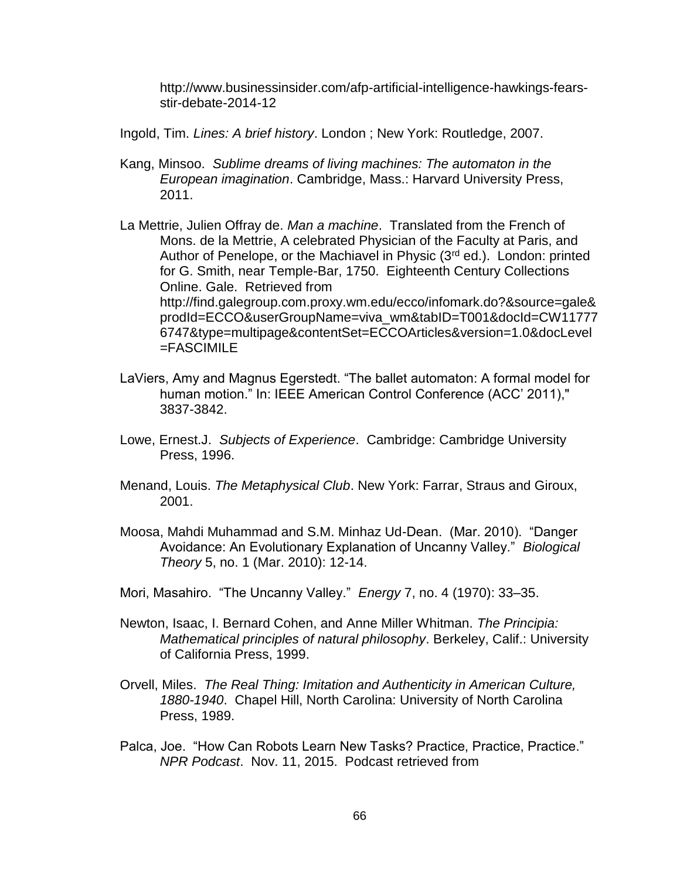http://www.businessinsider.com/afp-artificial-intelligence-hawkings-fearsstir-debate-2014-12

- Ingold, Tim. *Lines: A brief history*. London ; New York: Routledge, 2007.
- Kang, Minsoo. *Sublime dreams of living machines: The automaton in the European imagination*. Cambridge, Mass.: Harvard University Press, 2011.
- La Mettrie, Julien Offray de. *Man a machine*. Translated from the French of Mons. de la Mettrie, A celebrated Physician of the Faculty at Paris, and Author of Penelope, or the Machiavel in Physic (3rd ed.). London: printed for G. Smith, near Temple-Bar, 1750. Eighteenth Century Collections Online. Gale. Retrieved from http://find.galegroup.com.proxy.wm.edu/ecco/infomark.do?&source=gale& prodId=ECCO&userGroupName=viva\_wm&tabID=T001&docId=CW11777 6747&type=multipage&contentSet=ECCOArticles&version=1.0&docLevel =FASCIMILE
- LaViers, Amy and Magnus Egerstedt. "The ballet automaton: A formal model for human motion." In: IEEE American Control Conference (ACC' 2011)," 3837-3842.
- Lowe, Ernest.J. *Subjects of Experience*. Cambridge: Cambridge University Press, 1996.
- Menand, Louis. *The Metaphysical Club*. New York: Farrar, Straus and Giroux, 2001.
- Moosa, Mahdi Muhammad and S.M. Minhaz Ud-Dean. (Mar. 2010). "Danger Avoidance: An Evolutionary Explanation of Uncanny Valley." *Biological Theory* 5, no. 1 (Mar. 2010): 12-14.
- Mori, Masahiro. "The Uncanny Valley." *Energy* 7, no. 4 (1970): 33–35.
- Newton, Isaac, I. Bernard Cohen, and Anne Miller Whitman. *The Principia: Mathematical principles of natural philosophy*. Berkeley, Calif.: University of California Press, 1999.
- Orvell, Miles. *The Real Thing: Imitation and Authenticity in American Culture, 1880-1940*. Chapel Hill, North Carolina: University of North Carolina Press, 1989.
- Palca, Joe. "How Can Robots Learn New Tasks? Practice, Practice, Practice." *NPR Podcast*. Nov. 11, 2015. Podcast retrieved from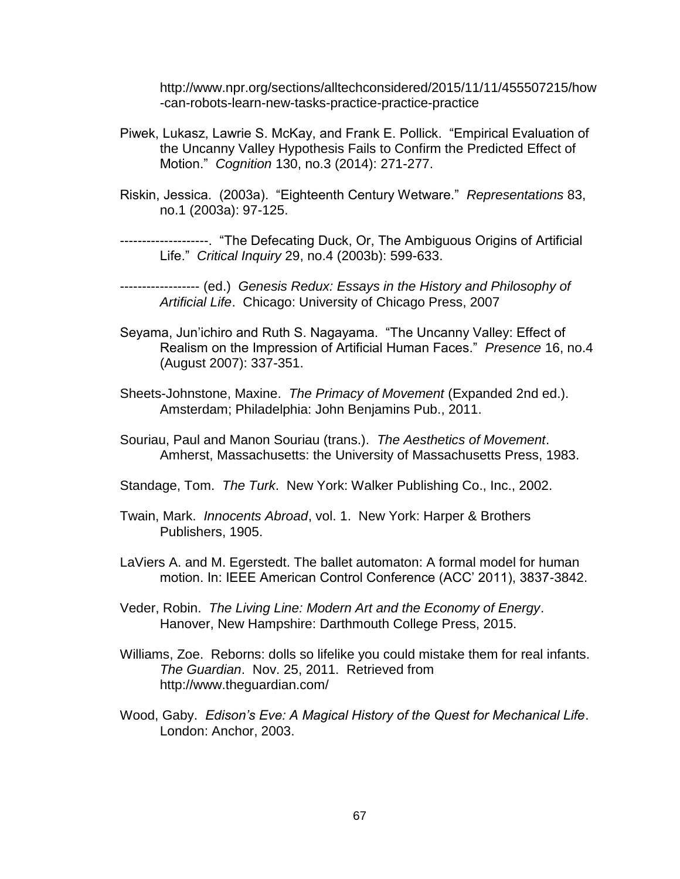http://www.npr.org/sections/alltechconsidered/2015/11/11/455507215/how -can-robots-learn-new-tasks-practice-practice-practice

- Piwek, Lukasz, Lawrie S. McKay, and Frank E. Pollick. "Empirical Evaluation of the Uncanny Valley Hypothesis Fails to Confirm the Predicted Effect of Motion." *Cognition* 130, no.3 (2014): 271-277.
- Riskin, Jessica. (2003a). "Eighteenth Century Wetware." *Representations* 83, no.1 (2003a): 97-125.

--------------------. "The Defecating Duck, Or, The Ambiguous Origins of Artificial Life." *Critical Inquiry* 29, no.4 (2003b): 599-633.

- ------------------ (ed.) *Genesis Redux: Essays in the History and Philosophy of Artificial Life*. Chicago: University of Chicago Press, 2007
- Seyama, Jun'ichiro and Ruth S. Nagayama. "The Uncanny Valley: Effect of Realism on the Impression of Artificial Human Faces." *Presence* 16, no.4 (August 2007): 337-351.
- Sheets-Johnstone, Maxine. *The Primacy of Movement* (Expanded 2nd ed.). Amsterdam; Philadelphia: John Benjamins Pub., 2011.
- Souriau, Paul and Manon Souriau (trans.). *The Aesthetics of Movement*. Amherst, Massachusetts: the University of Massachusetts Press, 1983.
- Standage, Tom. *The Turk*. New York: Walker Publishing Co., Inc., 2002.
- Twain, Mark. *Innocents Abroad*, vol. 1. New York: Harper & Brothers Publishers, 1905.
- LaViers A. and M. Egerstedt. The ballet automaton: A formal model for human motion. In: IEEE American Control Conference (ACC' 2011), 3837-3842.
- Veder, Robin. *The Living Line: Modern Art and the Economy of Energy*. Hanover, New Hampshire: Darthmouth College Press, 2015.
- Williams, Zoe. Reborns: dolls so lifelike you could mistake them for real infants. *The Guardian*. Nov. 25, 2011. Retrieved from http://www.theguardian.com/
- Wood, Gaby. *Edison's Eve: A Magical History of the Quest for Mechanical Life*. London: Anchor, 2003.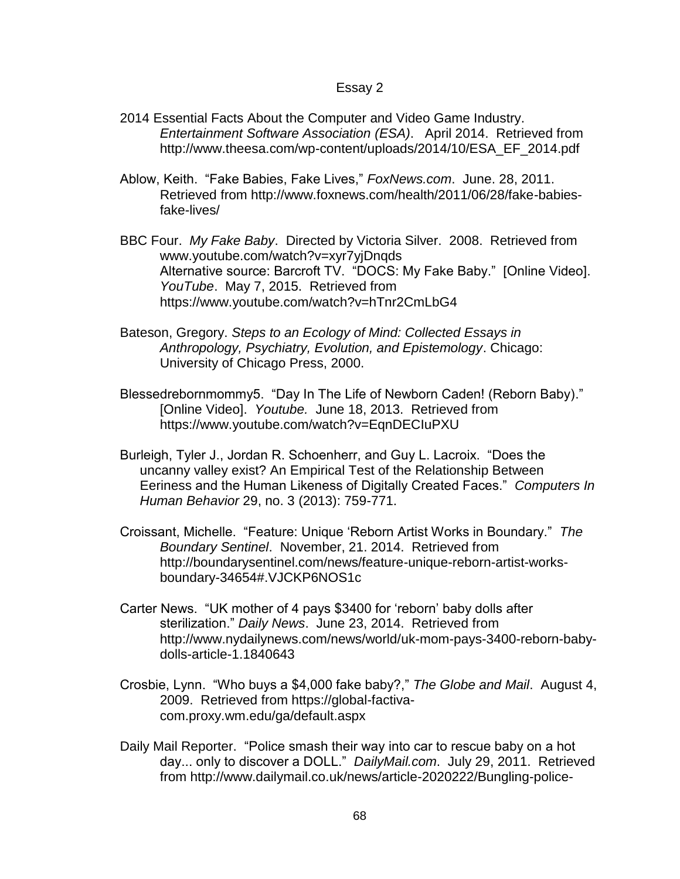## Essay 2

- 2014 Essential Facts About the Computer and Video Game Industry. *Entertainment Software Association (ESA)*. April 2014. Retrieved from http://www.theesa.com/wp-content/uploads/2014/10/ESA\_EF\_2014.pdf
- Ablow, Keith. "Fake Babies, Fake Lives," *FoxNews.com*. June. 28, 2011. Retrieved from http://www.foxnews.com/health/2011/06/28/fake-babiesfake-lives/
- BBC Four. *My Fake Baby*. Directed by Victoria Silver. 2008. Retrieved from www.youtube.com/watch?v=xyr7yjDnqds Alternative source: Barcroft TV. "DOCS: My Fake Baby." [Online Video]. *YouTube*. May 7, 2015. Retrieved from https://www.youtube.com/watch?v=hTnr2CmLbG4
- Bateson, Gregory. *Steps to an Ecology of Mind: Collected Essays in Anthropology, Psychiatry, Evolution, and Epistemology*. Chicago: University of Chicago Press, 2000.
- Blessedrebornmommy5. "Day In The Life of Newborn Caden! (Reborn Baby)." [Online Video]. *Youtube.* June 18, 2013. Retrieved from https://www.youtube.com/watch?v=EqnDECIuPXU
- Burleigh, Tyler J., Jordan R. Schoenherr, and Guy L. Lacroix. "Does the uncanny valley exist? An Empirical Test of the Relationship Between Eeriness and the Human Likeness of Digitally Created Faces." *Computers In Human Behavior* 29, no. 3 (2013): 759-771.
- Croissant, Michelle. "Feature: Unique 'Reborn Artist Works in Boundary." *The Boundary Sentinel*. November, 21. 2014. Retrieved from http://boundarysentinel.com/news/feature-unique-reborn-artist-worksboundary-34654#.VJCKP6NOS1c
- Carter News. "UK mother of 4 pays \$3400 for 'reborn' baby dolls after sterilization." *Daily News*. June 23, 2014. Retrieved from http://www.nydailynews.com/news/world/uk-mom-pays-3400-reborn-babydolls-article-1.1840643
- Crosbie, Lynn. "Who buys a \$4,000 fake baby?," *The Globe and Mail*. August 4, 2009. Retrieved from https://global-factivacom.proxy.wm.edu/ga/default.aspx
- Daily Mail Reporter. "Police smash their way into car to rescue baby on a hot day... only to discover a DOLL." *DailyMail.com*. July 29, 2011. Retrieved from http://www.dailymail.co.uk/news/article-2020222/Bungling-police-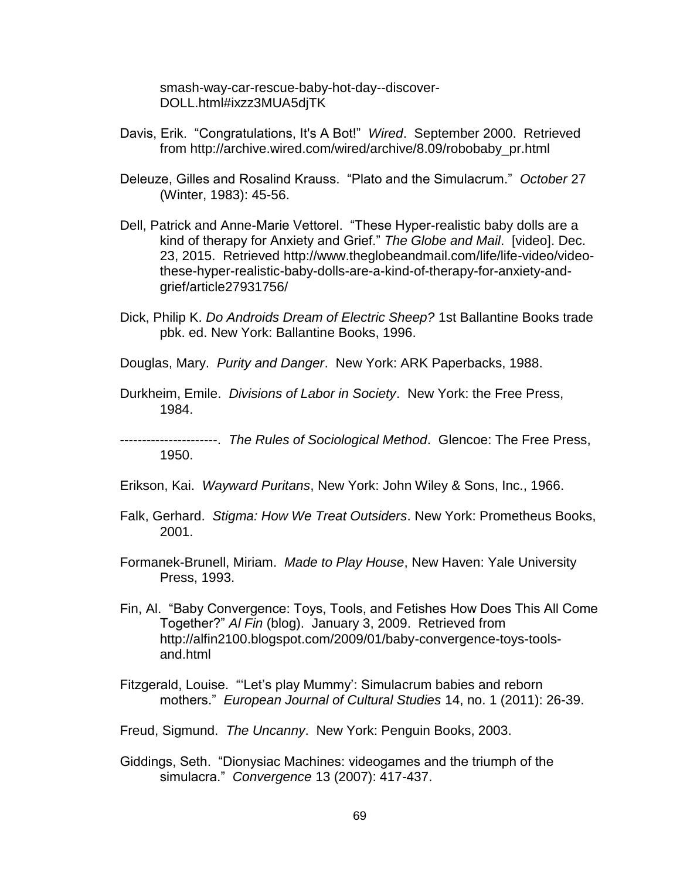smash-way-car-rescue-baby-hot-day--discover-DOLL.html#ixzz3MUA5djTK

- Davis, Erik. "Congratulations, It's A Bot!" *Wired*. September 2000. Retrieved from http://archive.wired.com/wired/archive/8.09/robobaby\_pr.html
- Deleuze, Gilles and Rosalind Krauss. "Plato and the Simulacrum." *October* 27 (Winter, 1983): 45-56.
- Dell, Patrick and Anne-Marie Vettorel. "These Hyper-realistic baby dolls are a kind of therapy for Anxiety and Grief." *The Globe and Mail*. [video]. Dec. 23, 2015. Retrieved http://www.theglobeandmail.com/life/life-video/videothese-hyper-realistic-baby-dolls-are-a-kind-of-therapy-for-anxiety-andgrief/article27931756/
- Dick, Philip K. *Do Androids Dream of Electric Sheep?* 1st Ballantine Books trade pbk. ed. New York: Ballantine Books, 1996.
- Douglas, Mary. *Purity and Danger*. New York: ARK Paperbacks, 1988.
- Durkheim, Emile. *Divisions of Labor in Society*. New York: the Free Press, 1984.
- ----------------------. *The Rules of Sociological Method*. Glencoe: The Free Press, 1950.
- Erikson, Kai. *Wayward Puritans*, New York: John Wiley & Sons, Inc., 1966.
- Falk, Gerhard. *Stigma: How We Treat Outsiders*. New York: Prometheus Books, 2001.
- Formanek-Brunell, Miriam. *Made to Play House*, New Haven: Yale University Press, 1993.
- Fin, Al. "Baby Convergence: Toys, Tools, and Fetishes How Does This All Come Together?" *Al Fin* (blog). January 3, 2009. Retrieved from http://alfin2100.blogspot.com/2009/01/baby-convergence-toys-toolsand.html
- Fitzgerald, Louise. "'Let's play Mummy': Simulacrum babies and reborn mothers." *European Journal of Cultural Studies* 14, no. 1 (2011): 26-39.
- Freud, Sigmund. *The Uncanny*. New York: Penguin Books, 2003.
- Giddings, Seth. "Dionysiac Machines: videogames and the triumph of the simulacra." *Convergence* 13 (2007): 417-437.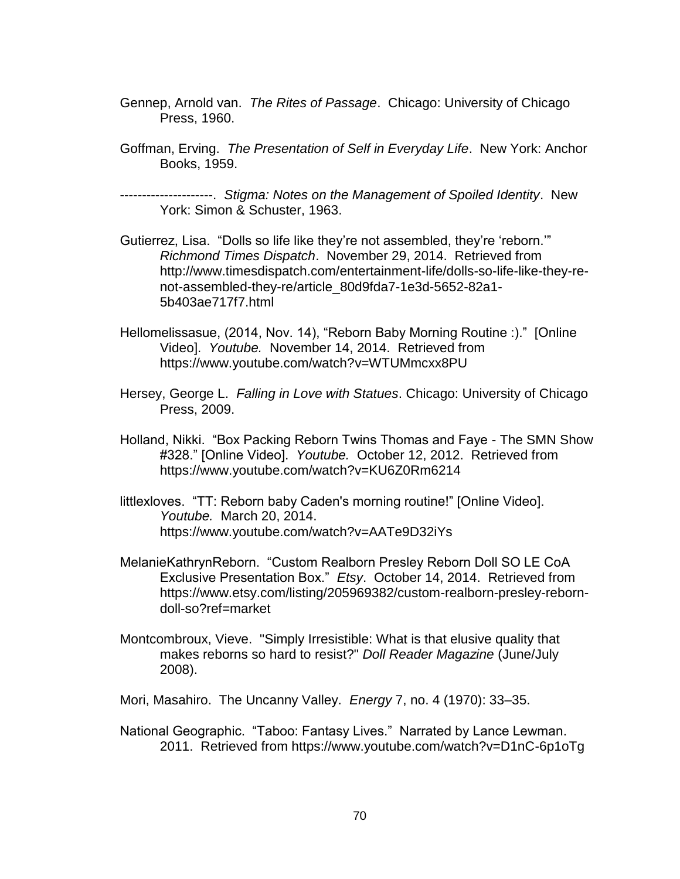- Gennep, Arnold van. *The Rites of Passage*. Chicago: University of Chicago Press, 1960.
- Goffman, Erving. *The Presentation of Self in Everyday Life*. New York: Anchor Books, 1959.

---------------------. *Stigma: Notes on the Management of Spoiled Identity*. New York: Simon & Schuster, 1963.

- Gutierrez, Lisa. "Dolls so life like they're not assembled, they're 'reborn.'" *Richmond Times Dispatch*. November 29, 2014. Retrieved from http://www.timesdispatch.com/entertainment-life/dolls-so-life-like-they-renot-assembled-they-re/article\_80d9fda7-1e3d-5652-82a1- 5b403ae717f7.html
- Hellomelissasue, (2014, Nov. 14), "Reborn Baby Morning Routine :)." [Online Video]. *Youtube.* November 14, 2014. Retrieved from https://www.youtube.com/watch?v=WTUMmcxx8PU
- Hersey, George L. *Falling in Love with Statues*. Chicago: University of Chicago Press, 2009.
- Holland, Nikki. "Box Packing Reborn Twins Thomas and Faye The SMN Show #328." [Online Video]. *Youtube.* October 12, 2012. Retrieved from https://www.youtube.com/watch?v=KU6Z0Rm6214
- littlexloves. "TT: Reborn baby Caden's morning routine!" [Online Video]. *Youtube.* March 20, 2014. https://www.youtube.com/watch?v=AATe9D32iYs
- MelanieKathrynReborn. "Custom Realborn Presley Reborn Doll SO LE CoA Exclusive Presentation Box." *Etsy*. October 14, 2014. Retrieved from https://www.etsy.com/listing/205969382/custom-realborn-presley-reborndoll-so?ref=market
- Montcombroux, Vieve. "Simply Irresistible: What is that elusive quality that makes reborns so hard to resist?" *Doll Reader Magazine* (June/July 2008).
- Mori, Masahiro. The Uncanny Valley. *Energy* 7, no. 4 (1970): 33–35.
- National Geographic. "Taboo: Fantasy Lives." Narrated by Lance Lewman. 2011. Retrieved from https://www.youtube.com/watch?v=D1nC-6p1oTg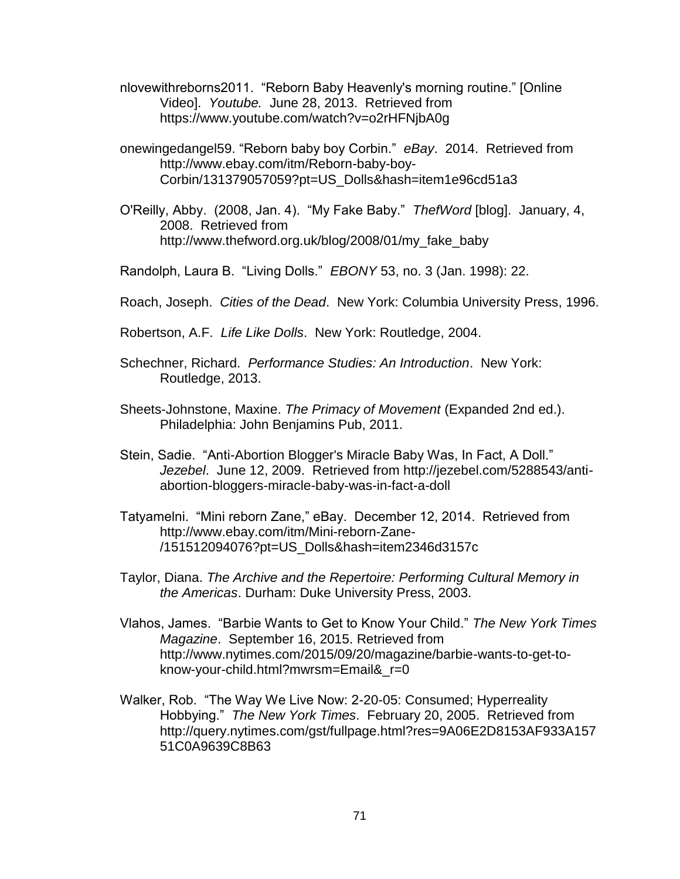- nlovewithreborns2011. "Reborn Baby Heavenly's morning routine." [Online Video]. *Youtube.* June 28, 2013. Retrieved from https://www.youtube.com/watch?v=o2rHFNjbA0g
- onewingedangel59. "Reborn baby boy Corbin." *eBay*. 2014. Retrieved from http://www.ebay.com/itm/Reborn-baby-boy-Corbin/131379057059?pt=US\_Dolls&hash=item1e96cd51a3
- O'Reilly, Abby. (2008, Jan. 4). "My Fake Baby." *ThefWord* [blog]. January, 4, 2008. Retrieved from http://www.thefword.org.uk/blog/2008/01/my\_fake\_baby
- Randolph, Laura B. "Living Dolls." *EBONY* 53, no. 3 (Jan. 1998): 22.
- Roach, Joseph. *Cities of the Dead*. New York: Columbia University Press, 1996.
- Robertson, A.F. *Life Like Dolls*. New York: Routledge, 2004.
- Schechner, Richard. *Performance Studies: An Introduction*. New York: Routledge, 2013.
- Sheets-Johnstone, Maxine. *The Primacy of Movement* (Expanded 2nd ed.). Philadelphia: John Benjamins Pub, 2011.
- Stein, Sadie. "Anti-Abortion Blogger's Miracle Baby Was, In Fact, A Doll." *Jezebel*. June 12, 2009. Retrieved from http://jezebel.com/5288543/antiabortion-bloggers-miracle-baby-was-in-fact-a-doll
- Tatyamelni. "Mini reborn Zane," eBay. December 12, 2014. Retrieved from http://www.ebay.com/itm/Mini-reborn-Zane- /151512094076?pt=US\_Dolls&hash=item2346d3157c
- Taylor, Diana. *The Archive and the Repertoire: Performing Cultural Memory in the Americas*. Durham: Duke University Press, 2003.
- Vlahos, James. "Barbie Wants to Get to Know Your Child." *The New York Times Magazine*. September 16, 2015. Retrieved from http://www.nytimes.com/2015/09/20/magazine/barbie-wants-to-get-toknow-your-child.html?mwrsm=Email&\_r=0
- Walker, Rob. "The Way We Live Now: 2-20-05: Consumed; Hyperreality Hobbying." *The New York Times*. February 20, 2005. Retrieved from http://query.nytimes.com/gst/fullpage.html?res=9A06E2D8153AF933A157 51C0A9639C8B63